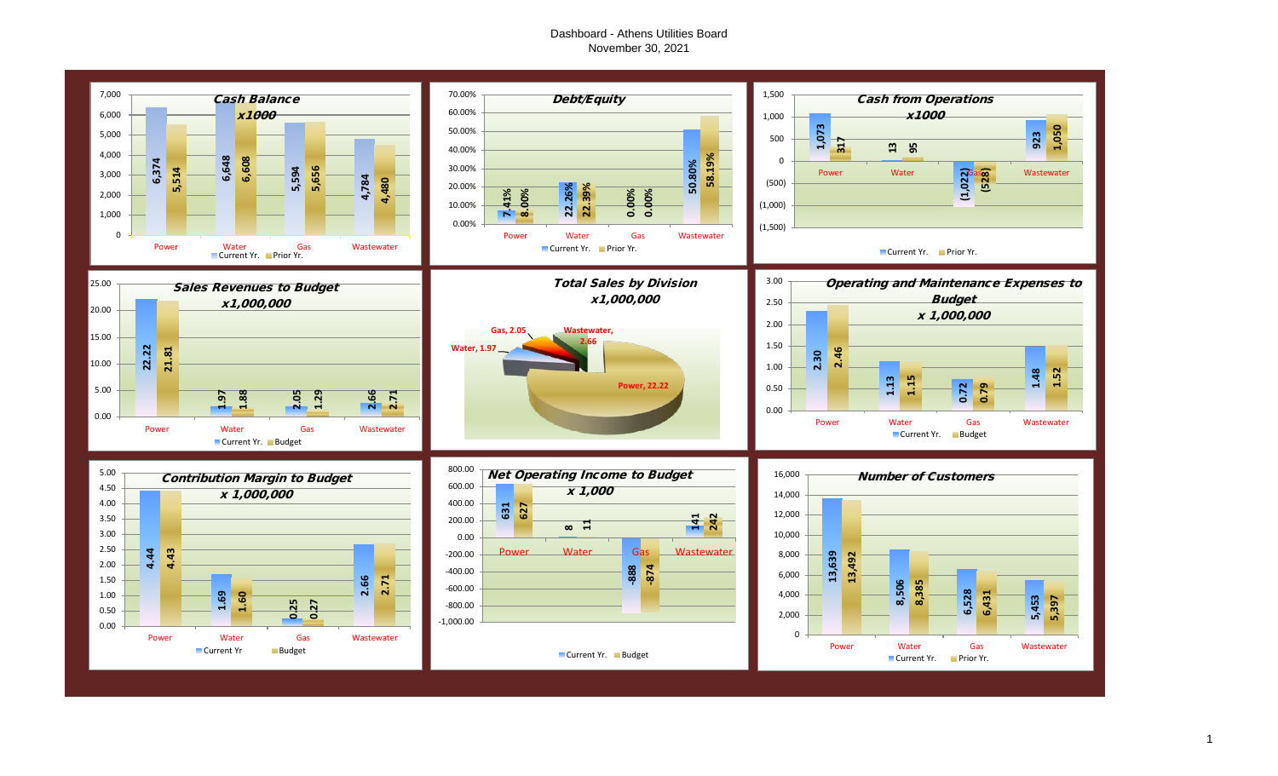# Dashboard - Athens Utilities Board November 30, 2021



1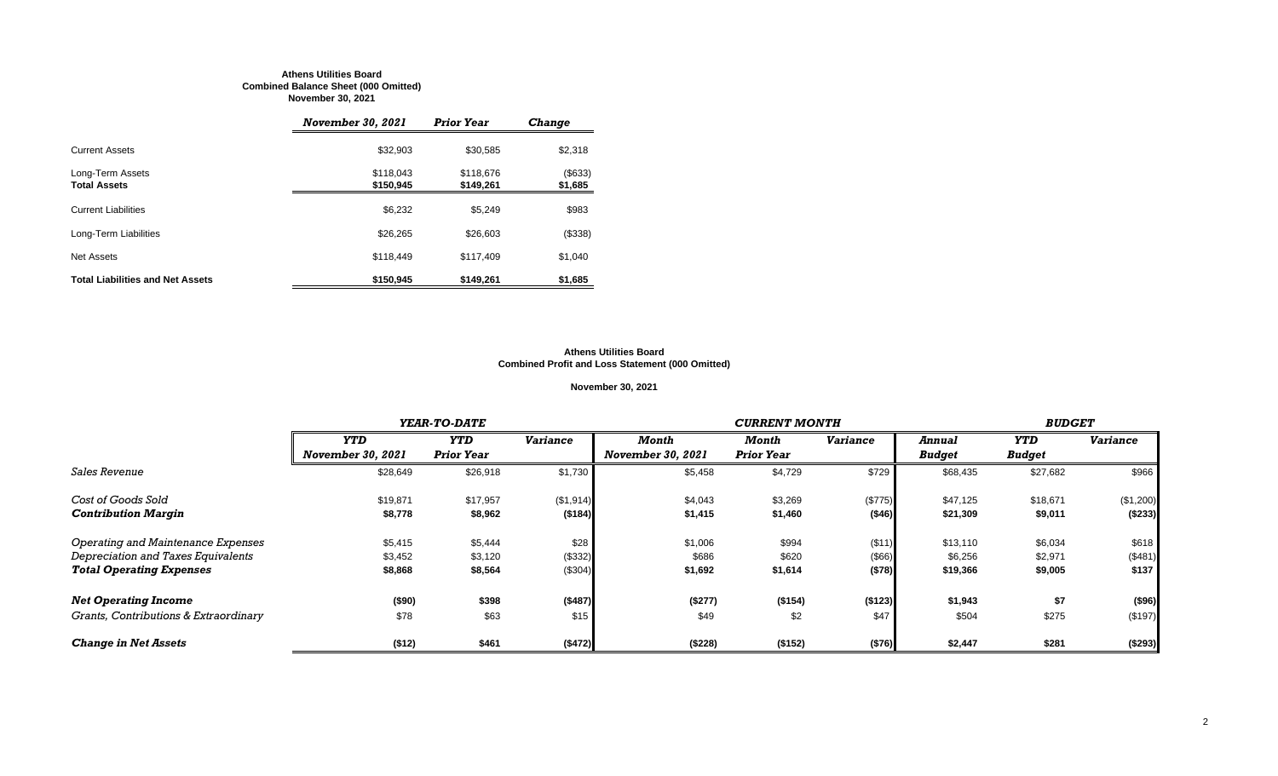#### **Athens Utilities Board Combined Balance Sheet (000 Omitted) November 30, 2021**

|                                         | <i><b>November 30, 2021</b></i> | <b>Prior Year</b>      | <b>Change</b>      |
|-----------------------------------------|---------------------------------|------------------------|--------------------|
| <b>Current Assets</b>                   | \$32.903                        | \$30.585               | \$2,318            |
| Long-Term Assets<br><b>Total Assets</b> | \$118,043<br>\$150,945          | \$118,676<br>\$149,261 | (\$633)<br>\$1,685 |
| <b>Current Liabilities</b>              | \$6,232                         | \$5.249                | \$983              |
| Long-Term Liabilities                   | \$26,265                        | \$26,603               | (\$338)            |
| Net Assets                              | \$118,449                       | \$117,409              | \$1,040            |
| <b>Total Liabilities and Net Assets</b> | \$150,945                       | \$149,261              | \$1,685            |

#### **Athens Utilities Board Combined Profit and Loss Statement (000 Omitted)**

## **November 30, 2021**

|                                       |                          | YEAR-TO-DATE      |                 |                          | <b>CURRENT MONTH</b> |                 |               |               |                 |  |
|---------------------------------------|--------------------------|-------------------|-----------------|--------------------------|----------------------|-----------------|---------------|---------------|-----------------|--|
|                                       | <b>YTD</b>               | <b>YTD</b>        | <b>Variance</b> | Month                    | Month                | <b>Variance</b> | <b>Annual</b> | YTD           | <b>Variance</b> |  |
|                                       | <b>November 30, 2021</b> | <b>Prior Year</b> |                 | <b>November 30, 2021</b> | <b>Prior Year</b>    |                 | <b>Budget</b> | <b>Budget</b> |                 |  |
| <i><b>Sales Revenue</b></i>           | \$28,649                 | \$26,918          | \$1,730         | \$5,458                  | \$4,729              | \$729           | \$68,435      | \$27,682      | \$966           |  |
| Cost of Goods Sold                    | \$19,871                 | \$17,957          | (\$1,914)       | \$4,043                  | \$3,269              | (\$775)         | \$47,125      | \$18,671      | (\$1,200)       |  |
| <b>Contribution Margin</b>            | \$8,778                  | \$8,962           | (\$184)         | \$1,415                  | \$1,460              | ( \$46)         | \$21,309      | \$9,011       | ( \$233)        |  |
| Operating and Maintenance Expenses    | \$5,415                  | \$5,444           | \$28            | \$1,006                  | \$994                | (\$11)          | \$13,110      | \$6,034       | \$618           |  |
| Depreciation and Taxes Equivalents    | \$3,452                  | \$3,120           | (\$332)         | \$686                    | \$620                | (\$66)          | \$6,256       | \$2,971       | (\$481)         |  |
| <b>Total Operating Expenses</b>       | \$8,868                  | \$8,564           | (\$304)         | \$1,692                  | \$1,614              | (\$78)          | \$19,366      | \$9,005       | \$137           |  |
| <b>Net Operating Income</b>           | ( \$90)                  | \$398             | (\$487)         | (\$277)                  | (\$154)              | (\$123)         | \$1,943       | \$7           | (\$96)          |  |
| Grants, Contributions & Extraordinary | \$78                     | \$63              | \$15            | \$49                     | \$2                  | \$47            | \$504         | \$275         | (\$197)         |  |
| <b>Change in Net Assets</b>           | (\$12)                   | \$461             | (\$472)         | (\$228)                  | (\$152)              | (\$76)          | \$2,447       | \$281         | (\$293)         |  |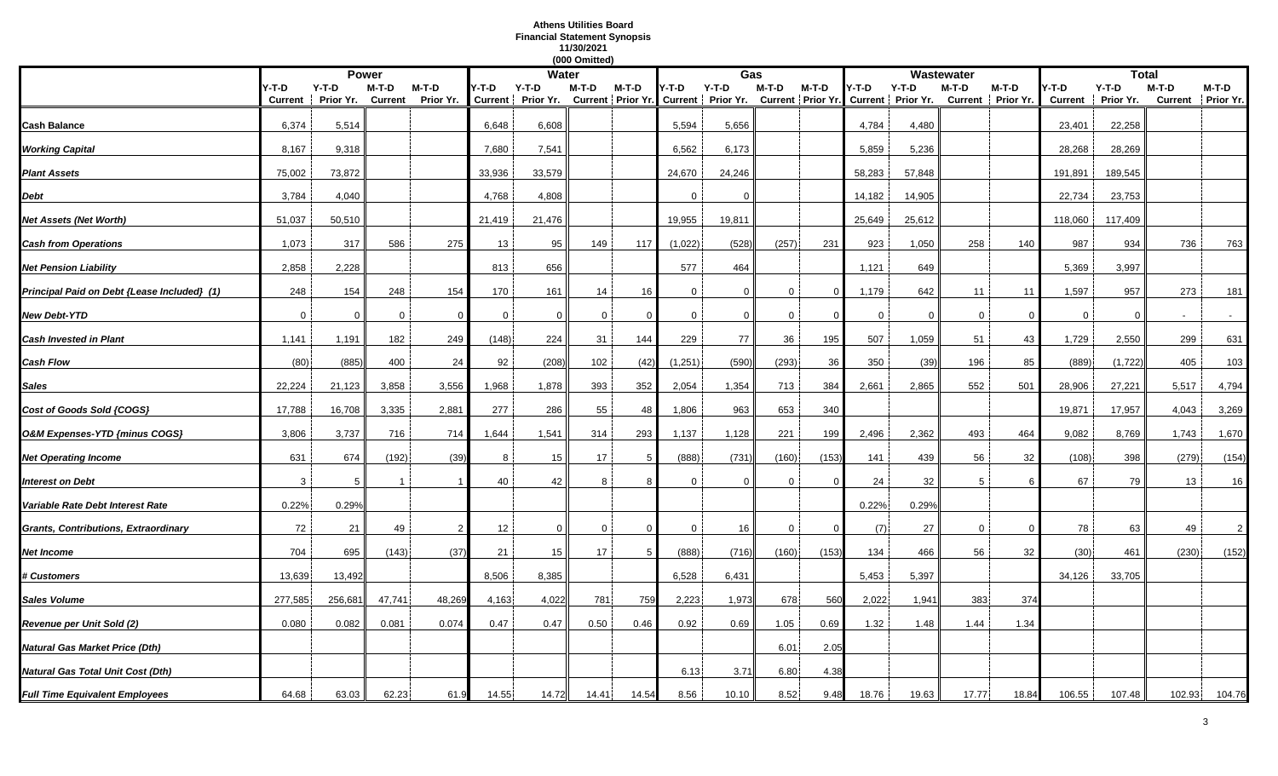# **Athens Utilities Board Financial Statement Synopsis 11/30/2021**

|                                             |                  |                      |                  |                      |             |                            | (000 Omitted) |          |              |                                                                                    |              |          |             |             |             |                            |                        |                      |         |                              |
|---------------------------------------------|------------------|----------------------|------------------|----------------------|-------------|----------------------------|---------------|----------|--------------|------------------------------------------------------------------------------------|--------------|----------|-------------|-------------|-------------|----------------------------|------------------------|----------------------|---------|------------------------------|
|                                             |                  |                      | <b>Power</b>     |                      |             | <b>Water</b>               |               |          |              | Gas                                                                                |              |          |             |             | Wastewater  |                            |                        | <b>Total</b>         |         |                              |
|                                             | Y-T-D<br>Current | $Y-T-D$<br>Prior Yr. | M-T-D<br>Current | $M-T-D$<br>Prior Yr. | Y-T-D       | Y-T-D<br>Current Prior Yr. | M-T-D         | M-T-D    | Y-T-D        | $Y-T-D$<br>Current Prior Yr. Current Prior Yr. Current Prior Yr. Current Prior Yr. | M-T-D        | M-T-D    | Y-T-D       | $Y-T-D$     | M-T-D       | M-T-D<br>Current Prior Yr. | -T-D<br><b>Current</b> | $Y-T-D$<br>Prior Yr. | $M-T-D$ | $M-T-D$<br>Current Prior Yr. |
|                                             |                  |                      |                  |                      |             |                            |               |          |              |                                                                                    |              |          |             |             |             |                            |                        |                      |         |                              |
| Cash Balance                                | 6,374            | 5,514                |                  |                      | 6,648       | 6,608                      |               |          | 5,594        | 5,656                                                                              |              |          | 4,784       | 4,480       |             |                            | 23,401                 | 22,258               |         |                              |
| <b>Working Capital</b>                      | 8,167            | 9,318                |                  |                      | 7,680       | 7,541                      |               |          | 6,562        | 6,173                                                                              |              |          | 5,859       | 5,236       |             |                            | 28,268                 | 28,269               |         |                              |
| <b>Plant Assets</b>                         | 75,002           | 73,872               |                  |                      | 33,936      | 33,579                     |               |          | 24,670       | 24,246                                                                             |              |          | 58,283      | 57,848      |             |                            | 191,891                | 189,545              |         |                              |
| Debt                                        | 3,784            | 4,040                |                  |                      | 4,768       | 4,808                      |               |          | $\Omega$     | $\Omega$                                                                           |              |          | 14,182      | 14,905      |             |                            | 22,734                 | 23,753               |         |                              |
| Net Assets (Net Worth)                      | 51,037           | 50,510               |                  |                      | 21,419      | 21,476                     |               |          | 19,955       | 19,811                                                                             |              |          | 25,649      | 25,612      |             |                            | 118,060                | 117,409              |         |                              |
| <b>Cash from Operations</b>                 | 1,073            | 317                  | 586              | 275                  | 13          | 95                         | 149           | 117      | (1,022)      | (528)                                                                              | (257)        | 231      | 923         | 1,050       | 258         | 140                        | 987                    | 934                  | 736     | 763                          |
| <b>Net Pension Liability</b>                | 2,858            | 2,228                |                  |                      | 813         | 656                        |               |          | 577          | 464                                                                                |              |          | 1,121       | 649         |             |                            | 5,369                  | 3,997                |         |                              |
| Principal Paid on Debt {Lease Included} (1) | 248              | 154                  | 248              | 154                  | 170         | 161                        | 14            | 16       | $\mathbf{0}$ | $\mathbf 0$                                                                        | $\Omega$     | $\Omega$ | 1,179       | 642         | 11          | 11                         | 1,597                  | 957                  | 273     | 181                          |
| <b>New Debt-YTD</b>                         | $\overline{0}$   | $\Omega$             | 0                | $\Omega$             | $\mathbf 0$ | $\Omega$                   | 0             |          | 0            | $\mathbf 0$                                                                        | $\mathbf{0}$ | -C       | $\mathbf 0$ | $\mathbf 0$ | $\mathbf 0$ | - 0                        | $\mathbf 0$            | $\Omega$             |         |                              |
| <b>Cash Invested in Plant</b>               | 1,141            | 1,191                | 182              | 249                  | (148)       | 224                        | 31            | 144      | 229          | 77                                                                                 | 36           | 195      | 507         | 1,059       | 51          | 43                         | 1,729                  | 2,550                | 299     | 631                          |
| <b>Cash Flow</b>                            | (80)             | (885)                | 400              | 24                   | 92          | (208)                      | 102           | (42)     | (1, 251)     | (590)                                                                              | (293)        | 36       | 350         | (39)        | 196         | 85                         | (889)                  | (1, 722)             | 405     | 103                          |
| <b>Sales</b>                                | 22,224           | 21,123               | 3,858            | 3,556                | 1,968       | 1,878                      | 393           | 352      | 2,054        | 1,354                                                                              | 713          | 384      | 2,661       | 2,865       | 552         | 501                        | 28,906                 | 27,221               | 5,517   | 4,794                        |
| Cost of Goods Sold {COGS}                   | 17,788           | 16,708               | 3,335            | 2,881                | 277         | 286                        | 55            | 48       | 1,806        | 963                                                                                | 653          | 340      |             |             |             |                            | 19,871                 | 17,957               | 4,043   | 3,269                        |
| O&M Expenses-YTD {minus COGS}               | 3,806            | 3,737                | 716              | 714                  | 1,644       | 1,541                      | 314           | 293      | 1,137        | 1,128                                                                              | 221          | 199      | 2,496       | 2,362       | 493         | 464                        | 9,082                  | 8,769                | 1,743   | 1,670                        |
| <b>Net Operating Income</b>                 | 631              | 674                  | (192)            | (39)                 | 8           | 15                         | 17            |          | (888)        | (731)                                                                              | (160)        | (153)    | 141         | 439         | 56          | 32                         | (108)                  | 398                  | (279)   | (154)                        |
| Interest on Debt                            | 3                | 5                    |                  |                      | 40          | 42                         | 8             |          | $\mathbf{0}$ | $\mathbf 0$                                                                        | 0            |          | 24          | 32          | -5          |                            | 67                     | 79                   | 13      | 16                           |
| Variable Rate Debt Interest Rate            | 0.22%            | 0.29%                |                  |                      |             |                            |               |          |              |                                                                                    |              |          | 0.22%       | 0.29%       |             |                            |                        |                      |         |                              |
| <b>Grants, Contributions, Extraordinary</b> | 72               | 21                   | 49               | $\overline{2}$       | 12          | $\Omega$                   | 0             | $\Omega$ | 0            | 16                                                                                 | $\mathbf{0}$ | $\Omega$ | (7)         | 27          | $\mathbf 0$ | $\Omega$                   | 78                     | 63                   | 49      | $\overline{2}$               |
| Net Income                                  | 704              | 695                  | (143)            | (37)                 | 21          | 15                         | 17            |          | (888)        | (716)                                                                              | (160)        | (153)    | 134         | 466         | 56          | 32                         | (30)                   | 461                  | (230)   | (152)                        |
| <b># Customers</b>                          | 13,639           | 13,492               |                  |                      | 8,506       | 8,385                      |               |          | 6,528        | 6,431                                                                              |              |          | 5,453       | 5,397       |             |                            | 34,126                 | 33,705               |         |                              |
| <b>Sales Volume</b>                         | 277,585          | 256,681              | 47,741           | 48,269               | 4,163       | 4,022                      | 781           | 759      | 2,223        | 1,973                                                                              | 678          | 560      | 2,022       | 1,941       | 383         | 374                        |                        |                      |         |                              |
| Revenue per Unit Sold (2)                   | 0.080            | 0.082                | 0.081            | 0.074                | 0.47        | 0.47                       | 0.50          | 0.46     | 0.92         | 0.69                                                                               | 1.05         | 0.69     | 1.32        | 1.48        | 1.44        | 1.34                       |                        |                      |         |                              |
| Natural Gas Market Price (Dth)              |                  |                      |                  |                      |             |                            |               |          |              |                                                                                    | 6.01         | 2.05     |             |             |             |                            |                        |                      |         |                              |
| Natural Gas Total Unit Cost (Dth)           |                  |                      |                  |                      |             |                            |               |          | 6.13         | 3.71                                                                               | 6.80         | 4.38     |             |             |             |                            |                        |                      |         |                              |
| <b>Full Time Equivalent Employees</b>       | 64.68            | 63.03                | 62.23            | 61.9                 | 14.55       | 14.72                      | 14.41         | 14.54    | 8.56         | 10.10                                                                              | 8.52         | 9.48     | 18.76       | 19.63       | 17.77       | 18.84                      | 106.55                 | 107.48               | 102.93  | 104.76                       |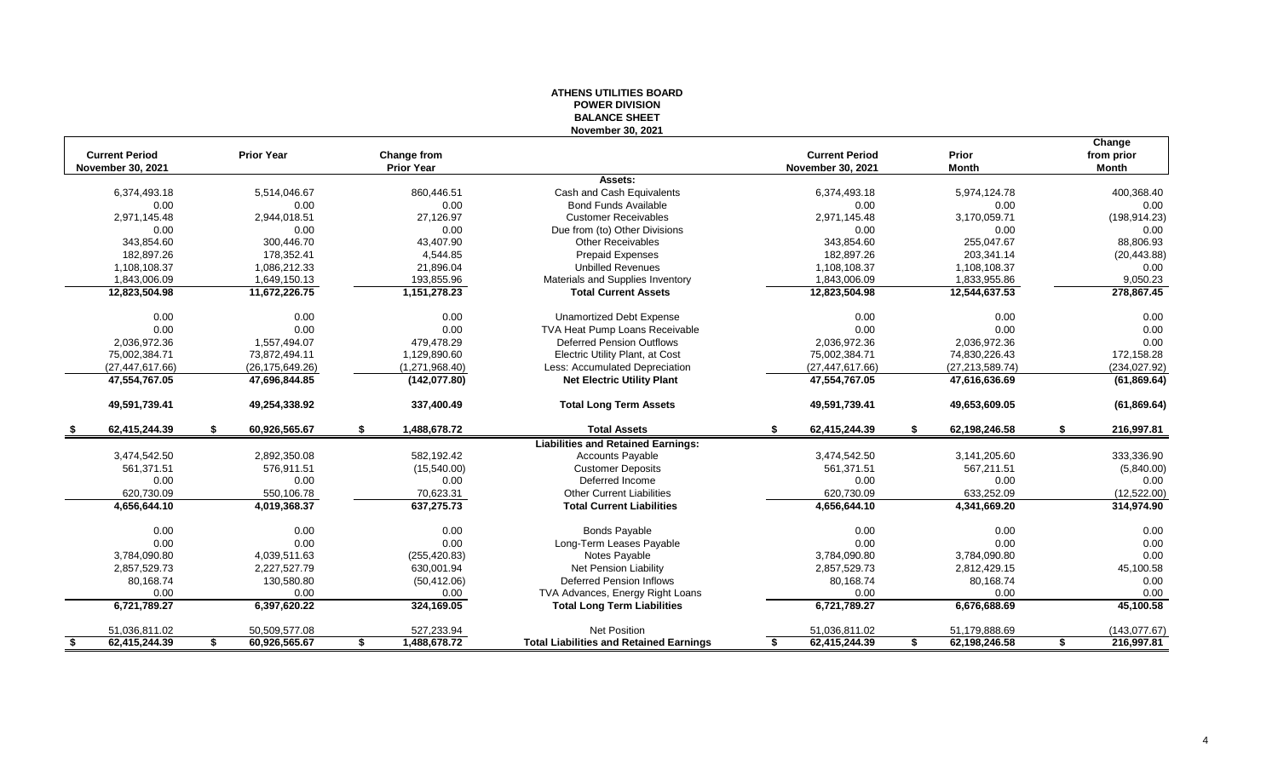#### **ATHENS UTILITIES BOARD POWER DIVISION BALANCE SHEET November 30, 2021**

|                          |                     |                    |                                                |                          |                     | Change           |
|--------------------------|---------------------|--------------------|------------------------------------------------|--------------------------|---------------------|------------------|
| <b>Current Period</b>    | <b>Prior Year</b>   | Change from        |                                                | <b>Current Period</b>    | Prior               | from prior       |
| <b>November 30, 2021</b> |                     | <b>Prior Year</b>  |                                                | <b>November 30, 2021</b> | <b>Month</b>        | <b>Month</b>     |
|                          |                     |                    | Assets:                                        |                          |                     |                  |
| 6,374,493.18             | 5,514,046.67        | 860,446.51         | Cash and Cash Equivalents                      | 6,374,493.18             | 5,974,124.78        | 400,368.40       |
| 0.00                     | 0.00                | 0.00               | <b>Bond Funds Available</b>                    | 0.00                     | 0.00                | 0.00             |
| 2,971,145.48             | 2,944,018.51        | 27,126.97          | <b>Customer Receivables</b>                    | 2,971,145.48             | 3,170,059.71        | (198, 914.23)    |
| 0.00                     | 0.00                | 0.00               | Due from (to) Other Divisions                  | 0.00                     | 0.00                | 0.00             |
| 343,854.60               | 300.446.70          | 43,407.90          | <b>Other Receivables</b>                       | 343,854.60               | 255.047.67          | 88,806.93        |
| 182,897.26               | 178,352.41          | 4,544.85           | <b>Prepaid Expenses</b>                        | 182,897.26               | 203,341.14          | (20, 443.88)     |
| 1,108,108.37             | 1,086,212.33        | 21,896.04          | <b>Unbilled Revenues</b>                       | 1,108,108.37             | 1,108,108.37        | 0.00             |
| 1,843,006.09             | 1,649,150.13        | 193,855.96         | Materials and Supplies Inventory               | 1,843,006.09             | 1,833,955.86        | 9,050.23         |
| 12,823,504.98            | 11,672,226.75       | 1,151,278.23       | <b>Total Current Assets</b>                    | 12,823,504.98            | 12,544,637.53       | 278,867.45       |
| 0.00                     | 0.00                | 0.00               | <b>Unamortized Debt Expense</b>                | 0.00                     | 0.00                | 0.00             |
| 0.00                     | 0.00                | 0.00               | TVA Heat Pump Loans Receivable                 | 0.00                     | 0.00                | 0.00             |
| 2,036,972.36             | 1,557,494.07        | 479,478.29         | Deferred Pension Outflows                      | 2,036,972.36             | 2,036,972.36        | 0.00             |
| 75,002,384.71            | 73,872,494.11       | 1,129,890.60       | Electric Utility Plant, at Cost                | 75,002,384.71            | 74,830,226.43       | 172,158.28       |
| (27, 447, 617.66)        | (26, 175, 649.26)   | (1,271,968.40)     | Less: Accumulated Depreciation                 | (27, 447, 617.66)        | (27, 213, 589.74)   | (234, 027.92)    |
| 47,554,767.05            | 47,696,844.85       | (142, 077.80)      | <b>Net Electric Utility Plant</b>              | 47,554,767.05            | 47,616,636.69       | (61, 869.64)     |
| 49,591,739.41            | 49,254,338.92       | 337,400.49         | <b>Total Long Term Assets</b>                  | 49,591,739.41            | 49,653,609.05       | (61, 869.64)     |
| 62,415,244.39<br>\$      | \$<br>60,926,565.67 | \$<br>1,488,678.72 | <b>Total Assets</b>                            | \$<br>62,415,244.39      | \$<br>62,198,246.58 | \$<br>216,997.81 |
|                          |                     |                    | <b>Liabilities and Retained Earnings:</b>      |                          |                     |                  |
| 3,474,542.50             | 2,892,350.08        | 582.192.42         | <b>Accounts Payable</b>                        | 3,474,542.50             | 3,141,205.60        | 333,336.90       |
| 561,371.51               | 576,911.51          | (15,540.00)        | <b>Customer Deposits</b>                       | 561,371.51               | 567,211.51          | (5,840.00)       |
| 0.00                     | 0.00                | 0.00               | Deferred Income                                | 0.00                     | 0.00                | 0.00             |
| 620,730.09               | 550,106.78          | 70,623.31          | <b>Other Current Liabilities</b>               | 620,730.09               | 633,252.09          | (12,522.00)      |
| 4,656,644.10             | 4,019,368.37        | 637,275.73         | <b>Total Current Liabilities</b>               | 4,656,644.10             | 4,341,669.20        | 314,974.90       |
| 0.00                     | 0.00                | 0.00               | <b>Bonds Payable</b>                           | 0.00                     | 0.00                | 0.00             |
| 0.00                     | 0.00                | 0.00               | Long-Term Leases Payable                       | 0.00                     | 0.00                | 0.00             |
| 3,784,090.80             | 4,039,511.63        | (255, 420.83)      | Notes Payable                                  | 3,784,090.80             | 3,784,090.80        | 0.00             |
| 2,857,529.73             | 2,227,527.79        | 630,001.94         | Net Pension Liability                          | 2,857,529.73             | 2,812,429.15        | 45,100.58        |
| 80,168.74                | 130,580.80          | (50, 412.06)       | <b>Deferred Pension Inflows</b>                | 80,168.74                | 80,168.74           | 0.00             |
| 0.00                     | 0.00                | 0.00               | TVA Advances, Energy Right Loans               | 0.00                     | 0.00                | 0.00             |
| 6,721,789.27             | 6,397,620.22        | 324,169.05         | <b>Total Long Term Liabilities</b>             | 6,721,789.27             | 6,676,688.69        | 45,100.58        |
| 51,036,811.02            | 50,509,577.08       | 527,233.94         | <b>Net Position</b>                            | 51,036,811.02            | 51,179,888.69       | (143, 077.67)    |
| 62,415,244.39<br>-\$     | 60,926,565.67<br>\$ | 1,488,678.72<br>\$ | <b>Total Liabilities and Retained Earnings</b> | 62,415,244.39<br>S.      | 62.198.246.58<br>\$ | \$<br>216,997.81 |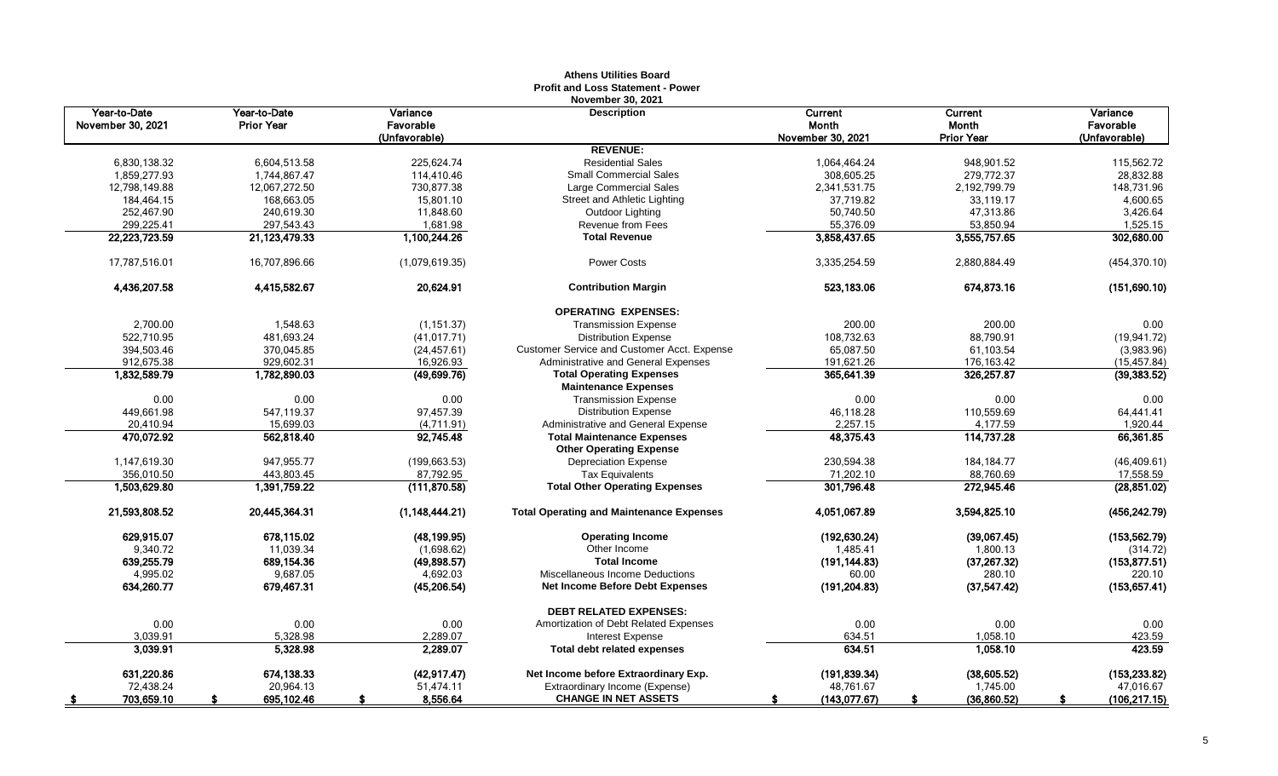|                                   |                                   |                       | <b>November 30, 2021</b>                                       |                         |                          |                       |
|-----------------------------------|-----------------------------------|-----------------------|----------------------------------------------------------------|-------------------------|--------------------------|-----------------------|
| Year-to-Date<br>November 30, 2021 | Year-to-Date<br><b>Prior Year</b> | Variance<br>Favorable | <b>Description</b>                                             | Current<br><b>Month</b> | Current<br>Month         | Variance<br>Favorable |
|                                   |                                   | (Unfavorable)         |                                                                | November 30, 2021       | <b>Prior Year</b>        | (Unfavorable)         |
|                                   |                                   |                       | <b>REVENUE:</b>                                                |                         |                          |                       |
| 6,830,138.32                      | 6,604,513.58                      | 225,624.74            | <b>Residential Sales</b>                                       | 1,064,464.24            | 948,901.52               | 115,562.72            |
| 1,859,277.93                      | 1,744,867.47                      | 114,410.46            | <b>Small Commercial Sales</b>                                  | 308,605.25              | 279,772.37               | 28,832.88             |
| 12,798,149.88                     | 12,067,272.50                     | 730.877.38            | Large Commercial Sales                                         | 2,341,531.75            | 2,192,799.79             | 148.731.96            |
| 184,464.15                        | 168,663.05                        | 15,801.10             | Street and Athletic Lighting                                   | 37,719.82               | 33,119.17                | 4,600.65              |
| 252,467.90                        | 240,619.30                        | 11,848.60             | Outdoor Lighting                                               | 50,740.50               | 47,313.86                | 3,426.64              |
| 299,225.41                        | 297,543.43                        | 1,681.98              | Revenue from Fees                                              | 55,376.09               | 53,850.94                | 1,525.15              |
| 22,223,723.59                     | 21,123,479.33                     | 1,100,244.26          | <b>Total Revenue</b>                                           | 3,858,437.65            | 3,555,757.65             | 302,680.00            |
| 17,787,516.01                     | 16,707,896.66                     | (1,079,619.35)        | <b>Power Costs</b>                                             | 3,335,254.59            | 2,880,884.49             | (454, 370.10)         |
| 4,436,207.58                      | 4,415,582.67                      | 20,624.91             | <b>Contribution Margin</b>                                     | 523,183.06              | 674,873.16               | (151, 690.10)         |
|                                   |                                   |                       | <b>OPERATING EXPENSES:</b>                                     |                         |                          |                       |
| 2,700.00                          | 1,548.63                          | (1, 151.37)           | <b>Transmission Expense</b>                                    | 200.00                  | 200.00                   | 0.00                  |
| 522,710.95                        | 481,693.24                        | (41, 017.71)          | <b>Distribution Expense</b>                                    | 108,732.63              | 88,790.91                | (19, 941.72)          |
| 394,503.46                        | 370,045.85                        | (24, 457.61)          | <b>Customer Service and Customer Acct. Expense</b>             | 65,087.50               | 61,103.54                | (3,983.96)            |
| 912,675.38                        | 929,602.31                        | 16,926.93             | Administrative and General Expenses                            | 191,621.26              | 176,163.42               | (15, 457.84)          |
| 1,832,589.79                      | 1,782,890.03                      | (49, 699.76)          | <b>Total Operating Expenses</b><br><b>Maintenance Expenses</b> | 365,641.39              | 326,257.87               | (39, 383.52)          |
| 0.00                              | 0.00                              | 0.00                  | <b>Transmission Expense</b>                                    | 0.00                    | 0.00                     | 0.00                  |
| 449,661.98                        | 547,119.37                        | 97,457.39             | <b>Distribution Expense</b>                                    | 46,118.28               | 110,559.69               | 64,441.41             |
| 20.410.94                         | 15,699.03                         | (4,711.91)            | Administrative and General Expense                             | 2,257.15                | 4,177.59                 | 1,920.44              |
| 470,072.92                        | 562,818.40                        | 92,745.48             | <b>Total Maintenance Expenses</b>                              | 48,375.43               | 114,737.28               | 66,361.85             |
|                                   |                                   |                       | <b>Other Operating Expense</b>                                 |                         |                          |                       |
| 1,147,619.30                      | 947,955.77                        | (199, 663.53)         | <b>Depreciation Expense</b>                                    | 230,594.38              | 184, 184. 77             | (46, 409.61)          |
| 356,010.50                        | 443,803.45                        | 87,792.95             | <b>Tax Equivalents</b>                                         | 71,202.10               | 88,760.69                | 17,558.59             |
| 1,503,629.80                      | 1,391,759.22                      | (111, 870.58)         | <b>Total Other Operating Expenses</b>                          | 301,796.48              | 272,945.46               | (28, 851.02)          |
| 21,593,808.52                     | 20,445,364.31                     | (1, 148, 444.21)      | <b>Total Operating and Maintenance Expenses</b>                | 4,051,067.89            | 3,594,825.10             | (456, 242.79)         |
| 629,915.07                        | 678.115.02                        | (48, 199.95)          | <b>Operating Income</b>                                        | (192, 630.24)           | (39,067.45)              | (153, 562.79)         |
| 9,340.72                          | 11,039.34                         | (1,698.62)            | Other Income                                                   | 1.485.41                | 1,800.13                 | (314.72)              |
| 639,255.79                        | 689,154.36                        | (49, 898.57)          | <b>Total Income</b>                                            | (191, 144.83)           | (37, 267.32)             | (153, 877.51)         |
| 4,995.02                          | 9,687.05                          | 4,692.03              | Miscellaneous Income Deductions                                | 60.00                   | 280.10                   | 220.10                |
| 634,260.77                        | 679,467.31                        | (45, 206.54)          | Net Income Before Debt Expenses                                | (191, 204.83)           | (37, 547.42)             | (153, 657.41)         |
|                                   |                                   |                       | <b>DEBT RELATED EXPENSES:</b>                                  |                         |                          |                       |
| 0.00                              | 0.00                              | 0.00                  | Amortization of Debt Related Expenses                          | 0.00                    | 0.00                     | 0.00                  |
| 3,039.91<br>3,039.91              | 5,328.98<br>5,328.98              | 2,289.07<br>2,289.07  | Interest Expense<br><b>Total debt related expenses</b>         | 634.51<br>634.51        | 1,058.10<br>1,058.10     | 423.59<br>423.59      |
| 631,220.86                        | 674,138.33                        | (42, 917.47)          | Net Income before Extraordinary Exp.                           | (191, 839.34)           |                          | (153, 233.82)         |
| 72,438.24                         | 20,964.13                         | 51,474.11             | Extraordinary Income (Expense)                                 | 48,761.67               | (38, 605.52)<br>1,745.00 | 47,016.67             |
| 703,659.10                        | 695,102.46                        | 8,556.64              | <b>CHANGE IN NET ASSETS</b>                                    | (143,077.67)            | (36, 860.52)             | (106, 217.15)         |
| - \$                              |                                   | S                     |                                                                |                         |                          |                       |

## **Athens Utilities Board Profit and Loss Statement - Power**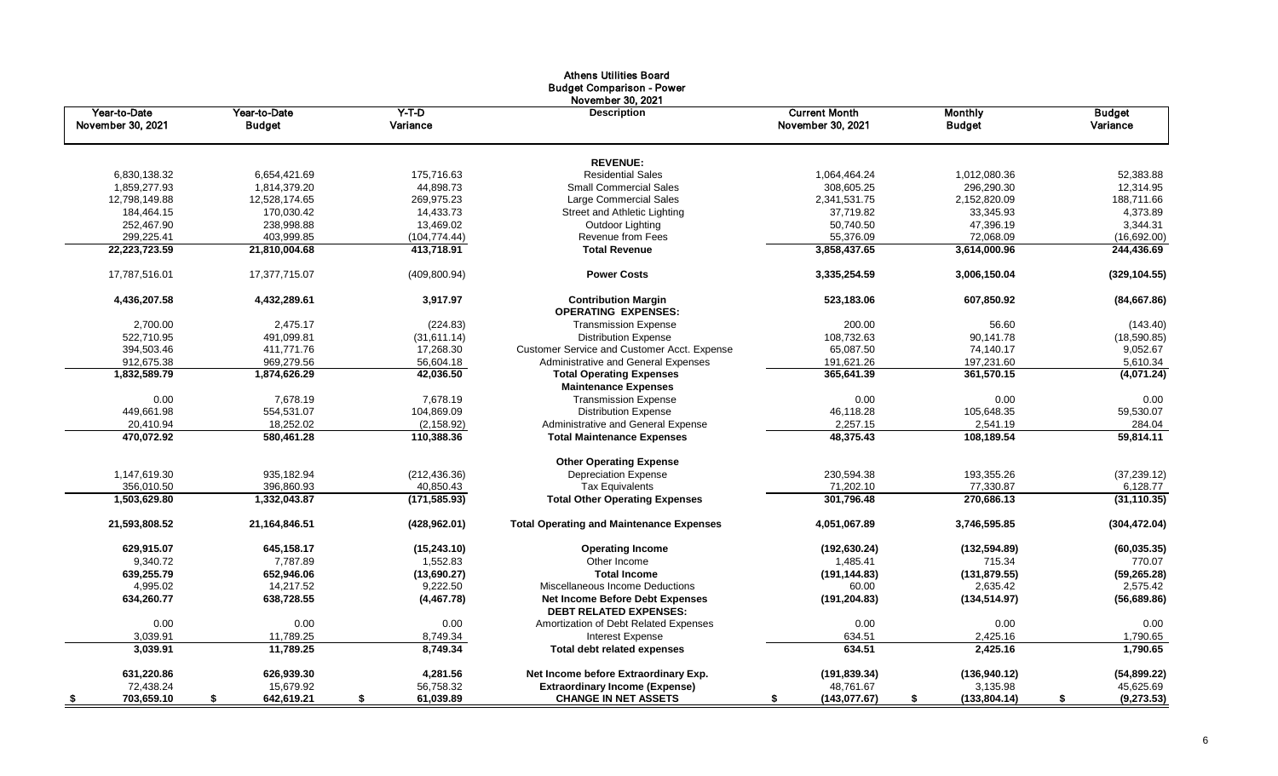|                                   |                               |                     | Athens Utilities Board<br><b>Budget Comparison - Power</b>              |                                           |                                 |                           |
|-----------------------------------|-------------------------------|---------------------|-------------------------------------------------------------------------|-------------------------------------------|---------------------------------|---------------------------|
| Year-to-Date<br>November 30, 2021 | Year-to-Date<br><b>Budget</b> | $Y-T-D$<br>Variance | November 30, 2021<br><b>Description</b>                                 | <b>Current Month</b><br>November 30, 2021 | <b>Monthly</b><br><b>Budget</b> | <b>Budget</b><br>Variance |
|                                   |                               |                     | <b>REVENUE:</b>                                                         |                                           |                                 |                           |
| 6,830,138.32                      | 6,654,421.69                  | 175,716.63          | <b>Residential Sales</b>                                                | 1,064,464.24                              | 1,012,080.36                    | 52,383.88                 |
| 1,859,277.93                      | 1,814,379.20                  | 44,898.73           | <b>Small Commercial Sales</b>                                           | 308,605.25                                | 296,290.30                      | 12,314.95                 |
| 12,798,149.88                     | 12,528,174.65                 | 269,975.23          | Large Commercial Sales                                                  | 2,341,531.75                              | 2,152,820.09                    | 188,711.66                |
| 184,464.15                        | 170,030.42                    | 14,433.73           | Street and Athletic Lighting                                            | 37,719.82                                 | 33,345.93                       | 4,373.89                  |
| 252,467.90                        | 238,998.88                    | 13,469.02           | Outdoor Lighting                                                        | 50,740.50                                 | 47,396.19                       | 3,344.31                  |
| 299,225.41                        | 403,999.85                    | (104, 774.44)       | Revenue from Fees                                                       | 55,376.09                                 | 72,068.09                       | (16,692.00)               |
| 22,223,723.59                     | 21,810,004.68                 | 413,718.91          | <b>Total Revenue</b>                                                    | 3,858,437.65                              | 3,614,000.96                    | 244,436.69                |
| 17,787,516.01                     | 17,377,715.07                 | (409, 800.94)       | <b>Power Costs</b>                                                      | 3,335,254.59                              | 3,006,150.04                    | (329, 104.55)             |
| 4,436,207.58                      | 4,432,289.61                  | 3,917.97            | <b>Contribution Margin</b><br><b>OPERATING EXPENSES:</b>                | 523,183.06                                | 607,850.92                      | (84,667.86)               |
| 2,700.00                          | 2,475.17                      | (224.83)            | <b>Transmission Expense</b>                                             | 200.00                                    | 56.60                           | (143.40)                  |
| 522,710.95                        | 491,099.81                    | (31,611.14)         | <b>Distribution Expense</b>                                             | 108,732.63                                | 90,141.78                       | (18,590.85)               |
| 394,503.46                        | 411.771.76                    | 17,268.30           | <b>Customer Service and Customer Acct. Expense</b>                      | 65.087.50                                 | 74,140.17                       | 9,052.67                  |
| 912,675.38                        | 969,279.56                    | 56,604.18           | Administrative and General Expenses                                     | 191,621.26                                | 197,231.60                      | 5,610.34                  |
| 1,832,589.79                      | 1,874,626.29                  | 42,036.50           | <b>Total Operating Expenses</b>                                         | 365,641.39                                | 361,570.15                      | (4,071.24)                |
|                                   |                               |                     | <b>Maintenance Expenses</b>                                             |                                           |                                 |                           |
| 0.00                              | 7,678.19                      | 7,678.19            | <b>Transmission Expense</b>                                             | 0.00                                      | 0.00                            | 0.00                      |
| 449,661.98                        | 554,531.07                    | 104,869.09          | <b>Distribution Expense</b>                                             | 46,118.28                                 | 105,648.35                      | 59,530.07                 |
| 20,410.94                         | 18,252.02                     | (2, 158.92)         | Administrative and General Expense                                      | 2,257.15                                  | 2,541.19                        | 284.04                    |
| 470,072.92                        | 580,461.28                    | 110,388.36          | <b>Total Maintenance Expenses</b>                                       | 48,375.43                                 | 108,189.54                      | 59,814.11                 |
|                                   |                               |                     | <b>Other Operating Expense</b>                                          |                                           |                                 |                           |
| 1,147,619.30                      | 935,182.94                    | (212, 436.36)       | <b>Depreciation Expense</b>                                             | 230,594.38                                | 193,355.26                      | (37, 239.12)              |
| 356,010.50                        | 396,860.93                    | 40,850.43           | <b>Tax Equivalents</b>                                                  | 71,202.10                                 | 77,330.87                       | 6,128.77                  |
| 1,503,629.80                      | 1,332,043.87                  | (171, 585.93)       | <b>Total Other Operating Expenses</b>                                   | 301,796.48                                | 270,686.13                      | (31, 110.35)              |
| 21,593,808.52                     | 21,164,846.51                 | (428, 962.01)       | <b>Total Operating and Maintenance Expenses</b>                         | 4,051,067.89                              | 3,746,595.85                    | (304, 472.04)             |
| 629,915.07                        | 645,158.17                    | (15, 243.10)        | <b>Operating Income</b>                                                 | (192, 630.24)                             | (132, 594.89)                   | (60, 035.35)              |
| 9,340.72                          | 7,787.89                      | 1,552.83            | Other Income                                                            | 1,485.41                                  | 715.34                          | 770.07                    |
| 639,255.79                        | 652,946.06                    | (13,690.27)         | <b>Total Income</b>                                                     | (191, 144.83)                             | (131, 879.55)                   | (59, 265.28)              |
| 4,995.02                          | 14,217.52                     | 9,222.50            | Miscellaneous Income Deductions                                         | 60.00                                     | 2,635.42                        | 2,575.42                  |
| 634,260.77                        | 638,728.55                    | (4, 467.78)         | <b>Net Income Before Debt Expenses</b><br><b>DEBT RELATED EXPENSES:</b> | (191, 204.83)                             | (134, 514.97)                   | (56,689.86)               |
| 0.00                              | 0.00                          | 0.00                | Amortization of Debt Related Expenses                                   | 0.00                                      | 0.00                            | 0.00                      |
| 3,039.91                          | 11,789.25                     | 8,749.34            | <b>Interest Expense</b>                                                 | 634.51                                    | 2,425.16                        | 1,790.65                  |
| 3,039.91                          | 11,789.25                     | 8.749.34            | <b>Total debt related expenses</b>                                      | 634.51                                    | 2,425.16                        | 1,790.65                  |
| 631,220.86                        | 626,939.30                    | 4,281.56            | Net Income before Extraordinary Exp.                                    | (191, 839.34)                             | (136, 940.12)                   | (54,899.22)               |
| 72,438.24                         | 15,679.92                     | 56,758.32           | <b>Extraordinary Income (Expense)</b>                                   | 48,761.67                                 | 3,135.98                        | 45,625.69                 |
| 703,659.10<br>\$                  | \$<br>642,619.21              | \$<br>61,039.89     | <b>CHANGE IN NET ASSETS</b>                                             | (143,077.67)<br>\$                        | (133, 804.14)<br>\$             | (9, 273.53)<br>\$         |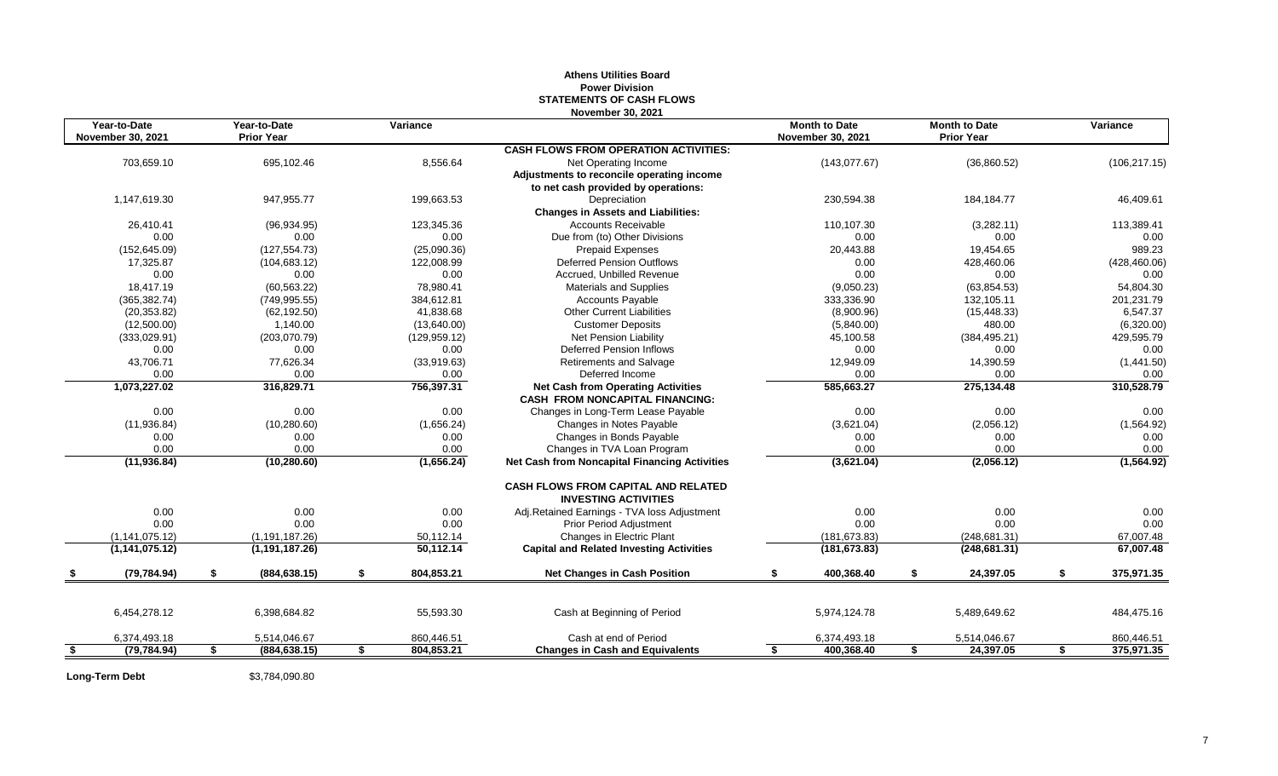#### **Athens Utilities Board Power Division STATEMENTS OF CASH FLOWS November 30, 2021**

|      | Year-to-Date<br>November 30, 2021 | Year-to-Date<br><b>Prior Year</b> |    | Variance      |                                                                                     |    | <b>Month to Date</b><br><b>November 30, 2021</b> | <b>Month to Date</b><br><b>Prior Year</b> | Variance         |
|------|-----------------------------------|-----------------------------------|----|---------------|-------------------------------------------------------------------------------------|----|--------------------------------------------------|-------------------------------------------|------------------|
|      |                                   |                                   |    |               | <b>CASH FLOWS FROM OPERATION ACTIVITIES:</b>                                        |    |                                                  |                                           |                  |
|      | 703,659.10                        | 695,102.46                        |    | 8,556.64      | Net Operating Income                                                                |    | (143, 077.67)                                    | (36,860.52)                               | (106, 217.15)    |
|      |                                   |                                   |    |               | Adjustments to reconcile operating income                                           |    |                                                  |                                           |                  |
|      |                                   |                                   |    |               | to net cash provided by operations:                                                 |    |                                                  |                                           |                  |
|      | 1,147,619.30                      | 947,955.77                        |    | 199,663.53    | Depreciation                                                                        |    | 230,594.38                                       | 184, 184. 77                              | 46,409.61        |
|      |                                   |                                   |    |               | <b>Changes in Assets and Liabilities:</b>                                           |    |                                                  |                                           |                  |
|      | 26,410.41                         | (96, 934.95)                      |    | 123,345.36    | <b>Accounts Receivable</b>                                                          |    | 110,107.30                                       | (3,282.11)                                | 113,389.41       |
|      | 0.00                              | 0.00                              |    | 0.00          | Due from (to) Other Divisions                                                       |    | 0.00                                             | 0.00                                      | 0.00             |
|      | (152, 645.09)                     | (127, 554.73)                     |    | (25,090.36)   | <b>Prepaid Expenses</b>                                                             |    | 20,443.88                                        | 19,454.65                                 | 989.23           |
|      | 17,325.87                         | (104, 683.12)                     |    | 122,008.99    | <b>Deferred Pension Outflows</b>                                                    |    | 0.00                                             | 428,460.06                                | (428, 460.06)    |
|      | 0.00                              | 0.00                              |    | 0.00          | Accrued, Unbilled Revenue                                                           |    | 0.00                                             | 0.00                                      | 0.00             |
|      | 18.417.19                         | (60, 563.22)                      |    | 78,980.41     | <b>Materials and Supplies</b>                                                       |    | (9,050.23)                                       | (63, 854.53)                              | 54,804.30        |
|      | (365, 382.74)                     | (749, 995.55)                     |    | 384,612.81    | <b>Accounts Payable</b>                                                             |    | 333,336.90                                       | 132,105.11                                | 201,231.79       |
|      | (20, 353.82)                      | (62, 192.50)                      |    | 41,838.68     | <b>Other Current Liabilities</b>                                                    |    | (8,900.96)                                       | (15, 448.33)                              | 6,547.37         |
|      | (12,500.00)                       | 1,140.00                          |    | (13,640.00)   | <b>Customer Deposits</b>                                                            |    | (5,840.00)                                       | 480.00                                    | (6,320.00)       |
|      | (333,029.91)                      | (203,070.79)                      |    | (129, 959.12) | <b>Net Pension Liability</b>                                                        |    | 45,100.58                                        | (384, 495.21)                             | 429,595.79       |
|      | 0.00                              | 0.00                              |    | 0.00          | <b>Deferred Pension Inflows</b>                                                     |    | 0.00                                             | 0.00                                      | 0.00             |
|      | 43,706.71                         | 77,626.34                         |    | (33,919.63)   | <b>Retirements and Salvage</b>                                                      |    | 12,949.09                                        | 14,390.59                                 | (1,441.50)       |
|      | 0.00                              | 0.00                              |    | 0.00          | Deferred Income                                                                     |    | 0.00                                             | 0.00                                      | 0.00             |
|      | 1,073,227.02                      | 316,829.71                        |    | 756,397.31    | <b>Net Cash from Operating Activities</b><br><b>CASH FROM NONCAPITAL FINANCING:</b> |    | 585,663.27                                       | 275,134.48                                | 310,528.79       |
|      | 0.00                              | 0.00                              |    | 0.00          | Changes in Long-Term Lease Payable                                                  |    | 0.00                                             | 0.00                                      | 0.00             |
|      | (11, 936.84)                      | (10, 280.60)                      |    | (1,656.24)    | Changes in Notes Payable                                                            |    | (3,621.04)                                       | (2,056.12)                                | (1,564.92)       |
|      | 0.00                              | 0.00                              |    | 0.00          | Changes in Bonds Payable                                                            |    | 0.00                                             | 0.00                                      | 0.00             |
|      | 0.00                              | 0.00                              |    | 0.00          | Changes in TVA Loan Program                                                         |    | 0.00                                             | 0.00                                      | 0.00             |
|      | (11, 936.84)                      | (10, 280.60)                      |    | (1,656.24)    | <b>Net Cash from Noncapital Financing Activities</b>                                |    | (3,621.04)                                       | (2,056.12)                                | (1, 564.92)      |
|      |                                   |                                   |    |               | CASH FLOWS FROM CAPITAL AND RELATED<br><b>INVESTING ACTIVITIES</b>                  |    |                                                  |                                           |                  |
|      | 0.00                              | 0.00                              |    | 0.00          | Adj.Retained Earnings - TVA loss Adjustment                                         |    | 0.00                                             | 0.00                                      | 0.00             |
|      | 0.00                              | 0.00                              |    | 0.00          | <b>Prior Period Adjustment</b>                                                      |    | 0.00                                             | 0.00                                      | 0.00             |
|      | (1, 141, 075, 12)                 | (1, 191, 187.26)                  |    | 50,112.14     | Changes in Electric Plant                                                           |    | (181, 673.83)                                    | (248, 681.31)                             | 67,007.48        |
|      | (1, 141, 075.12)                  | (1, 191, 187.26)                  |    | 50,112.14     | <b>Capital and Related Investing Activities</b>                                     |    | (181, 673.83)                                    | (248, 681.31)                             | 67,007.48        |
|      | (79, 784.94)                      | \$<br>(884, 638.15)               | \$ | 804,853.21    | <b>Net Changes in Cash Position</b>                                                 | \$ | 400,368.40                                       | \$<br>24,397.05                           | \$<br>375,971.35 |
|      |                                   |                                   |    |               |                                                                                     |    |                                                  |                                           |                  |
|      | 6,454,278.12                      | 6,398,684.82                      |    | 55,593.30     | Cash at Beginning of Period                                                         |    | 5,974,124.78                                     | 5,489,649.62                              | 484,475.16       |
|      | 6,374,493.18                      | 5,514,046.67                      |    | 860,446.51    | Cash at end of Period                                                               |    | 6,374,493.18                                     | 5,514,046.67                              | 860,446.51       |
| - \$ | (79, 784.94)                      | \$<br>(884, 638.15)               | s, | 804.853.21    | <b>Changes in Cash and Equivalents</b>                                              | S, | 400.368.40                                       | \$<br>24,397.05                           | \$<br>375,971.35 |

**Long-Term Debt** \$3,784,090.80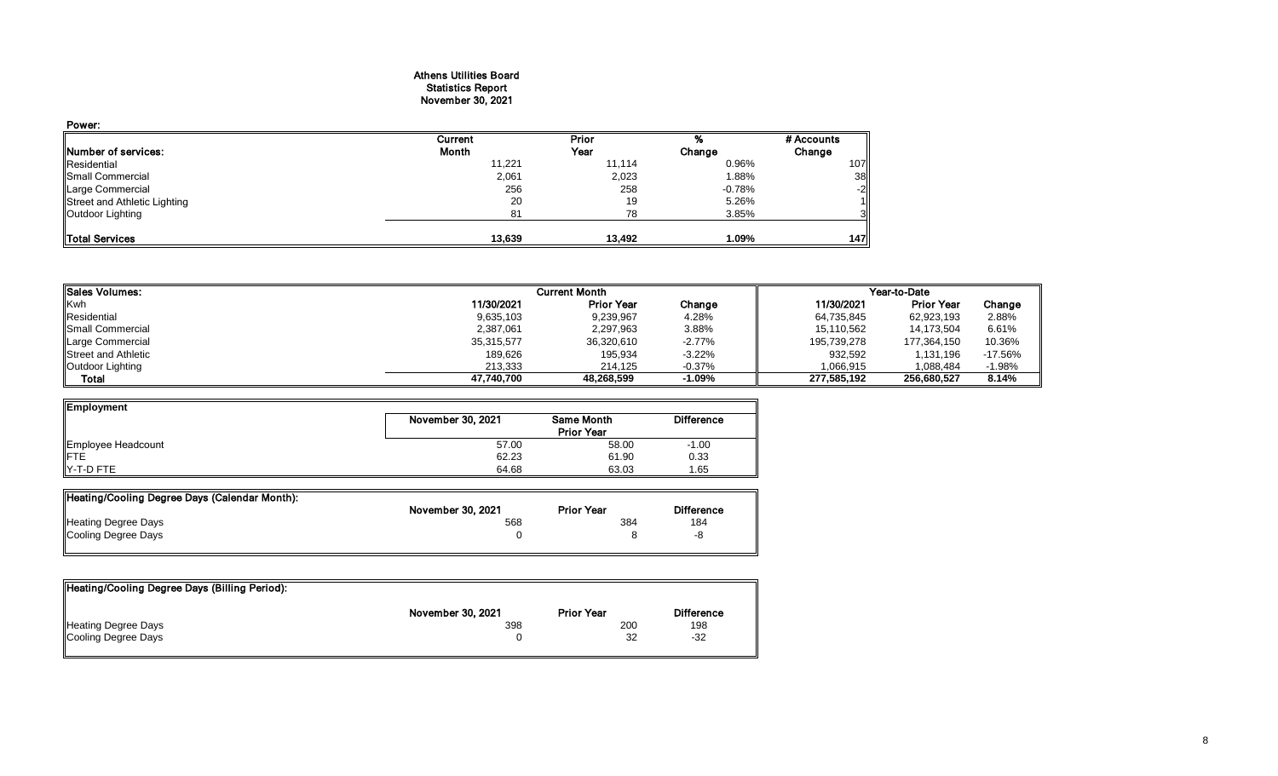## Athens Utilities Board Statistics Report November 30, 2021

| Power:                       |         |        |          |            |
|------------------------------|---------|--------|----------|------------|
|                              | Current | Prior  |          | # Accounts |
| <b>INumber of services:</b>  | Month   | Year   | Change   | Change     |
| Residential                  | 11,221  | 11,114 | 0.96%    | 107        |
| Small Commercial             | 2,061   | 2,023  | 1.88%    | 38         |
| Large Commercial             | 256     | 258    | $-0.78%$ | $-2$       |
| Street and Athletic Lighting | 20      | 19     | 5.26%    |            |
| Outdoor Lighting             | 81      | 78     | 3.85%    | 31         |
| Total Services               | 13,639  | 13,492 | 1.09%    | 147        |

| <b>Sales Volumes:</b>       |            | <b>Current Month</b> |          | Year-to-Date |                   |           |  |
|-----------------------------|------------|----------------------|----------|--------------|-------------------|-----------|--|
| Kwh                         | 11/30/2021 | <b>Prior Year</b>    | Change   | 11/30/2021   | <b>Prior Year</b> | Change    |  |
| Residential                 | 9,635,103  | 9,239,967            | 4.28%    | 64,735,845   | 62,923,193        | 2.88%     |  |
| Small Commercial            | 2,387,061  | 2,297,963            | 3.88%    | 15,110,562   | 14.173.504        | 6.61%     |  |
| Large Commercial            | 35,315,577 | 36,320,610           | $-2.77%$ | 195,739,278  | 177,364,150       | 10.36%    |  |
| <b>IStreet and Athletic</b> | 189.626    | 195.934              | $-3.22%$ | 932.592      | 1.131.196         | $-17.56%$ |  |
| Outdoor Lighting            | 213.333    | 214.125              | $-0.37%$ | 1.066.915    | 1,088,484         | $-1.98%$  |  |
| Total                       | 47.740.700 | 48,268,599           | $-1.09%$ | 277.585.192  | 256,680,527       | 8.14%     |  |

| Employment         |                   |                                        |         |  |  |  |
|--------------------|-------------------|----------------------------------------|---------|--|--|--|
|                    | November 30, 2021 | <b>Same Month</b><br><b>Prior Year</b> |         |  |  |  |
|                    | 57.00             | 58.00                                  | $-1.00$ |  |  |  |
| Employee Headcount | 62.23             | 61.90                                  | 0.33    |  |  |  |
| Y-T-D FTE          | 64.68             | 63.03                                  | 1.65    |  |  |  |

| Heating/Cooling Degree Days (Calendar Month): |                   |                   |                   |
|-----------------------------------------------|-------------------|-------------------|-------------------|
|                                               | November 30, 2021 | <b>Prior Year</b> | <b>Difference</b> |
| Heating Degree Days                           | 568               | 384               | 184               |
| Cooling Degree Days                           |                   |                   | -8                |
|                                               |                   |                   |                   |

| Heating/Cooling Degree Days (Billing Period): |                   |                   |                   |
|-----------------------------------------------|-------------------|-------------------|-------------------|
|                                               | November 30, 2021 | <b>Prior Year</b> | <b>Difference</b> |
| Heating Degree Days                           | 398               | 200               | 198               |
| Cooling Degree Days                           |                   | 32                | -32               |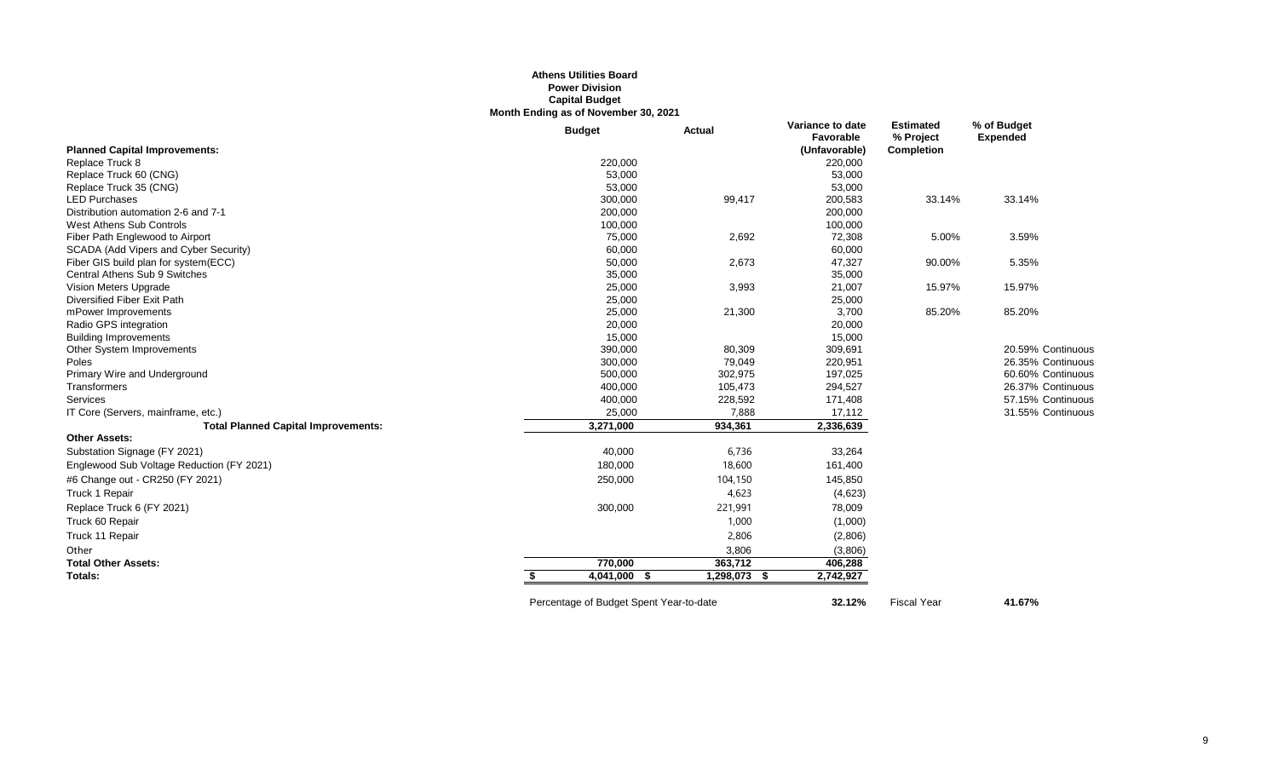#### **Athens Utilities Board Power Division Capital Budget Month Ending as of November 30, 2021**

|                                            | <b>Budget</b> | Actual       | Variance to date<br>Favorable | <b>Estimated</b><br>% Project | % of Budget<br><b>Expended</b> |
|--------------------------------------------|---------------|--------------|-------------------------------|-------------------------------|--------------------------------|
| <b>Planned Capital Improvements:</b>       |               |              | (Unfavorable)                 | <b>Completion</b>             |                                |
| Replace Truck 8                            | 220,000       |              | 220,000                       |                               |                                |
| Replace Truck 60 (CNG)                     | 53,000        |              | 53,000                        |                               |                                |
| Replace Truck 35 (CNG)                     | 53,000        |              | 53,000                        |                               |                                |
| <b>LED Purchases</b>                       | 300,000       | 99,417       | 200,583                       | 33.14%                        | 33.14%                         |
| Distribution automation 2-6 and 7-1        | 200,000       |              | 200,000                       |                               |                                |
| West Athens Sub Controls                   | 100,000       |              | 100,000                       |                               |                                |
| Fiber Path Englewood to Airport            | 75,000        | 2,692        | 72,308                        | 5.00%                         | 3.59%                          |
| SCADA (Add Vipers and Cyber Security)      | 60,000        |              | 60,000                        |                               |                                |
| Fiber GIS build plan for system(ECC)       | 50,000        | 2,673        | 47,327                        | 90.00%                        | 5.35%                          |
| Central Athens Sub 9 Switches              | 35,000        |              | 35,000                        |                               |                                |
| Vision Meters Upgrade                      | 25,000        | 3,993        | 21,007                        | 15.97%                        | 15.97%                         |
| Diversified Fiber Exit Path                | 25,000        |              | 25,000                        |                               |                                |
| mPower Improvements                        | 25,000        | 21,300       | 3,700                         | 85.20%                        | 85.20%                         |
| Radio GPS integration                      | 20,000        |              | 20,000                        |                               |                                |
| <b>Building Improvements</b>               | 15,000        |              | 15,000                        |                               |                                |
| Other System Improvements                  | 390,000       | 80,309       | 309,691                       |                               | 20.59% Continuous              |
| Poles                                      | 300,000       | 79,049       | 220,951                       |                               | 26.35% Continuous              |
| Primary Wire and Underground               | 500,000       | 302,975      | 197,025                       |                               | 60.60% Continuous              |
| Transformers                               | 400,000       | 105,473      | 294,527                       |                               | 26.37% Continuous              |
| Services                                   | 400,000       | 228,592      | 171,408                       |                               | 57.15% Continuous              |
| IT Core (Servers, mainframe, etc.)         | 25,000        | 7,888        | 17,112                        |                               | 31.55% Continuous              |
| <b>Total Planned Capital Improvements:</b> | 3,271,000     | 934,361      | 2,336,639                     |                               |                                |
| <b>Other Assets:</b>                       |               |              |                               |                               |                                |
| Substation Signage (FY 2021)               | 40,000        | 6,736        | 33,264                        |                               |                                |
| Englewood Sub Voltage Reduction (FY 2021)  | 180,000       | 18,600       | 161,400                       |                               |                                |
| #6 Change out - CR250 (FY 2021)            | 250,000       | 104,150      | 145,850                       |                               |                                |
| Truck 1 Repair                             |               | 4,623        | (4,623)                       |                               |                                |
| Replace Truck 6 (FY 2021)                  | 300,000       | 221,991      | 78,009                        |                               |                                |
| Truck 60 Repair                            |               | 1,000        | (1,000)                       |                               |                                |
| Truck 11 Repair                            |               | 2,806        | (2,806)                       |                               |                                |
| Other                                      |               | 3,806        | (3,806)                       |                               |                                |
| <b>Total Other Assets:</b>                 | 770,000       | 363,712      | 406,288                       |                               |                                |
| Totals:                                    | 4,041,000 \$  | 1,298,073 \$ | 2,742,927                     |                               |                                |
|                                            |               |              |                               |                               |                                |

Percentage of Budget Spent Year-to-date **32.12%** Fiscal Year **41.67%**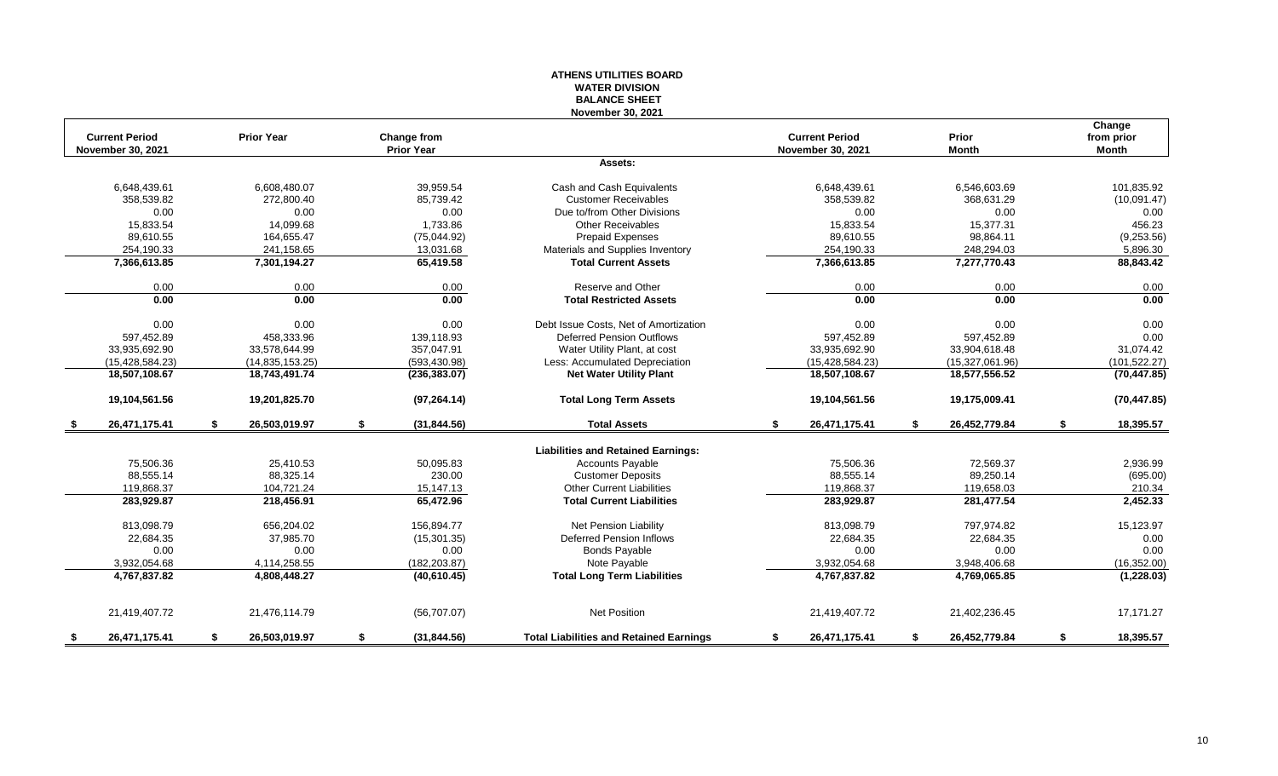#### **ATHENS UTILITIES BOARD WATER DIVISION BALANCE SHEET November 30, 2021**

| <b>Current Period</b><br><b>November 30, 2021</b> |    | <b>Prior Year</b> | Change from<br><b>Prior Year</b> |                                                |    | <b>Current Period</b><br><b>November 30, 2021</b> |      | Prior<br><b>Month</b> |    | Change<br>from prior<br><b>Month</b> |
|---------------------------------------------------|----|-------------------|----------------------------------|------------------------------------------------|----|---------------------------------------------------|------|-----------------------|----|--------------------------------------|
|                                                   |    |                   |                                  | Assets:                                        |    |                                                   |      |                       |    |                                      |
| 6,648,439.61                                      |    | 6,608,480.07      | 39.959.54                        | Cash and Cash Equivalents                      |    | 6,648,439.61                                      |      | 6,546,603.69          |    | 101,835.92                           |
| 358,539.82                                        |    | 272,800.40        | 85,739.42                        | <b>Customer Receivables</b>                    |    | 358,539.82                                        |      | 368,631.29            |    | (10,091.47)                          |
| 0.00                                              |    | 0.00              | 0.00                             | Due to/from Other Divisions                    |    | 0.00                                              |      | 0.00                  |    | 0.00                                 |
| 15.833.54                                         |    | 14.099.68         | 1.733.86                         | <b>Other Receivables</b>                       |    | 15.833.54                                         |      | 15,377.31             |    | 456.23                               |
| 89,610.55                                         |    | 164,655.47        | (75,044.92)                      | <b>Prepaid Expenses</b>                        |    | 89,610.55                                         |      | 98,864.11             |    | (9,253.56)                           |
| 254,190.33                                        |    | 241,158.65        | 13,031.68                        | Materials and Supplies Inventory               |    | 254,190.33                                        |      | 248,294.03            |    | 5,896.30                             |
| 7,366,613.85                                      |    | 7,301,194.27      | 65,419.58                        | <b>Total Current Assets</b>                    |    | 7,366,613.85                                      |      | 7,277,770.43          |    | 88,843.42                            |
| 0.00                                              |    | 0.00              | 0.00                             | Reserve and Other                              |    | 0.00                                              |      | 0.00                  |    | 0.00                                 |
| 0.00                                              |    | 0.00              | 0.00                             | <b>Total Restricted Assets</b>                 |    | 0.00                                              |      | 0.00                  |    | 0.00                                 |
| 0.00                                              |    | 0.00              | 0.00                             | Debt Issue Costs, Net of Amortization          |    | 0.00                                              |      | 0.00                  |    | 0.00                                 |
| 597,452.89                                        |    | 458,333.96        | 139,118.93                       | <b>Deferred Pension Outflows</b>               |    | 597,452.89                                        |      | 597,452.89            |    | 0.00                                 |
| 33,935,692.90                                     |    | 33,578,644.99     | 357,047.91                       | Water Utility Plant, at cost                   |    | 33,935,692.90                                     |      | 33,904,618.48         |    | 31,074.42                            |
| (15, 428, 584.23)                                 |    | (14, 835, 153.25) | (593, 430.98)                    | Less: Accumulated Depreciation                 |    | (15, 428, 584.23)                                 |      | (15,327,061.96)       |    | (101, 522.27)                        |
| 18,507,108.67                                     |    | 18,743,491.74     | (236, 383.07)                    | <b>Net Water Utility Plant</b>                 |    | 18,507,108.67                                     |      | 18,577,556.52         |    | (70, 447.85)                         |
| 19,104,561.56                                     |    | 19,201,825.70     | (97, 264.14)                     | <b>Total Long Term Assets</b>                  |    | 19,104,561.56                                     |      | 19,175,009.41         |    | (70, 447.85)                         |
| 26,471,175.41                                     | S  | 26,503,019.97     | (31, 844.56)                     | <b>Total Assets</b>                            | s. | 26,471,175.41                                     | - 55 | 26,452,779.84         | -S | 18,395.57                            |
|                                                   |    |                   |                                  | <b>Liabilities and Retained Earnings:</b>      |    |                                                   |      |                       |    |                                      |
| 75,506.36                                         |    | 25,410.53         | 50,095.83                        | <b>Accounts Payable</b>                        |    | 75,506.36                                         |      | 72,569.37             |    | 2,936.99                             |
| 88,555.14                                         |    | 88,325.14         | 230.00                           | <b>Customer Deposits</b>                       |    | 88,555.14                                         |      | 89,250.14             |    | (695.00)                             |
| 119,868.37                                        |    | 104,721.24        | 15,147.13                        | <b>Other Current Liabilities</b>               |    | 119,868.37                                        |      | 119,658.03            |    | 210.34                               |
| 283,929.87                                        |    | 218,456.91        | 65,472.96                        | <b>Total Current Liabilities</b>               |    | 283,929.87                                        |      | 281,477.54            |    | 2,452.33                             |
| 813,098.79                                        |    | 656,204.02        | 156,894.77                       | Net Pension Liability                          |    | 813,098.79                                        |      | 797,974.82            |    | 15,123.97                            |
| 22.684.35                                         |    | 37,985.70         | (15, 301.35)                     | <b>Deferred Pension Inflows</b>                |    | 22,684.35                                         |      | 22,684.35             |    | 0.00                                 |
| 0.00                                              |    | 0.00              | 0.00                             | <b>Bonds Payable</b>                           |    | 0.00                                              |      | 0.00                  |    | 0.00                                 |
| 3,932,054.68                                      |    | 4,114,258.55      | (182, 203.87)                    | Note Payable                                   |    | 3,932,054.68                                      |      | 3,948,406.68          |    | (16, 352.00)                         |
| 4,767,837.82                                      |    | 4,808,448.27      | (40,610.45)                      | <b>Total Long Term Liabilities</b>             |    | 4,767,837.82                                      |      | 4,769,065.85          |    | (1, 228.03)                          |
| 21,419,407.72                                     |    | 21,476,114.79     | (56,707.07)                      | <b>Net Position</b>                            |    | 21,419,407.72                                     |      | 21,402,236.45         |    | 17,171.27                            |
| \$<br>26,471,175.41                               | \$ | 26.503.019.97     | \$<br>(31, 844.56)               | <b>Total Liabilities and Retained Earnings</b> | \$ | 26,471,175.41                                     | \$   | 26,452,779.84         | \$ | 18,395.57                            |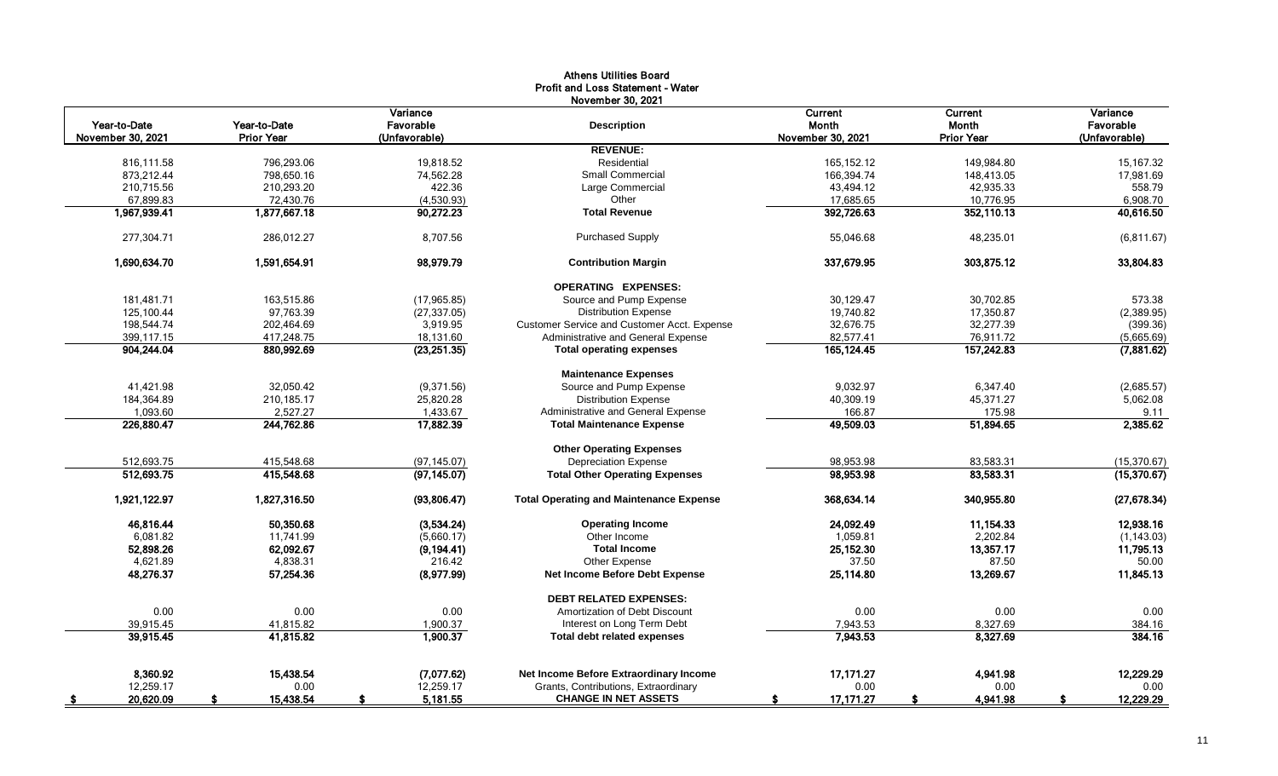|                   |                   |                       | Aultiis Vulluts Dvalu<br><b>Profit and Loss Statement - Water</b> |                   |                   |                       |
|-------------------|-------------------|-----------------------|-------------------------------------------------------------------|-------------------|-------------------|-----------------------|
| Year-to-Date      | Year-to-Date      | Variance<br>Favorable | November 30, 2021<br><b>Description</b>                           | Current<br>Month  | Current<br>Month  | Variance<br>Favorable |
| November 30, 2021 | <b>Prior Year</b> | (Unfavorable)         |                                                                   | November 30, 2021 | <b>Prior Year</b> | (Unfavorable)         |
|                   |                   |                       | <b>REVENUE:</b>                                                   |                   |                   |                       |
| 816,111.58        | 796,293.06        | 19,818.52             | Residential                                                       | 165, 152. 12      | 149,984.80        | 15,167.32             |
| 873,212.44        | 798,650.16        | 74,562.28             | Small Commercial                                                  | 166,394.74        | 148,413.05        | 17,981.69             |
| 210,715.56        | 210,293.20        | 422.36                | Large Commercial                                                  | 43,494.12         | 42,935.33         | 558.79                |
| 67,899.83         | 72,430.76         | (4,530.93)            | Other                                                             | 17,685.65         | 10,776.95         | 6,908.70              |
| 1,967,939.41      | 1,877,667.18      | 90,272.23             | <b>Total Revenue</b>                                              | 392,726.63        | 352,110.13        | 40,616.50             |
| 277,304.71        | 286,012.27        | 8,707.56              | <b>Purchased Supply</b>                                           | 55,046.68         | 48,235.01         | (6, 811.67)           |
| 1,690,634.70      | 1,591,654.91      | 98,979.79             | <b>Contribution Margin</b>                                        | 337,679.95        | 303,875.12        | 33,804.83             |
|                   |                   |                       | <b>OPERATING EXPENSES:</b>                                        |                   |                   |                       |
| 181,481.71        | 163,515.86        | (17, 965.85)          | Source and Pump Expense                                           | 30,129.47         | 30,702.85         | 573.38                |
| 125,100.44        | 97,763.39         | (27, 337.05)          | <b>Distribution Expense</b>                                       | 19,740.82         | 17,350.87         | (2,389.95)            |
| 198,544.74        | 202,464.69        | 3,919.95              | Customer Service and Customer Acct. Expense                       | 32,676.75         | 32,277.39         | (399.36)              |
| 399,117.15        | 417,248.75        | 18,131.60             | Administrative and General Expense                                | 82,577.41         | 76,911.72         | (5,665.69)            |
| 904,244.04        | 880,992.69        | (23, 251.35)          | <b>Total operating expenses</b>                                   | 165, 124.45       | 157,242.83        | (7,881.62)            |
|                   |                   |                       | <b>Maintenance Expenses</b>                                       |                   |                   |                       |
| 41,421.98         | 32,050.42         | (9,371.56)            | Source and Pump Expense                                           | 9,032.97          | 6,347.40          | (2,685.57)            |
| 184,364.89        | 210,185.17        | 25,820.28             | <b>Distribution Expense</b>                                       | 40,309.19         | 45,371.27         | 5,062.08              |
| 1,093.60          | 2,527.27          | 1,433.67              | Administrative and General Expense                                | 166.87            | 175.98            | 9.11                  |
| 226,880.47        | 244,762.86        | 17,882.39             | <b>Total Maintenance Expense</b>                                  | 49,509.03         | 51,894.65         | 2,385.62              |
|                   |                   |                       | <b>Other Operating Expenses</b>                                   |                   |                   |                       |
| 512,693.75        | 415,548.68        | (97, 145.07)          | <b>Depreciation Expense</b>                                       | 98,953.98         | 83,583.31         | (15, 370.67)          |
| 512,693.75        | 415,548.68        | (97, 145.07)          | <b>Total Other Operating Expenses</b>                             | 98,953.98         | 83,583.31         | (15,370.67)           |
| 1,921,122.97      | 1,827,316.50      | (93,806.47)           | <b>Total Operating and Maintenance Expense</b>                    | 368,634.14        | 340,955.80        | (27, 678.34)          |
| 46,816.44         | 50,350.68         | (3,534.24)            | <b>Operating Income</b>                                           | 24,092.49         | 11,154.33         | 12,938.16             |
| 6.081.82          | 11.741.99         | (5,660.17)            | Other Income                                                      | 1,059.81          | 2,202.84          | (1, 143.03)           |
| 52,898.26         | 62,092.67         | (9, 194.41)           | <b>Total Income</b>                                               | 25, 152.30        | 13,357.17         | 11,795.13             |
| 4,621.89          | 4.838.31          | 216.42                | Other Expense                                                     | 37.50             | 87.50             | 50.00                 |
| 48,276.37         | 57,254.36         | (8,977.99)            | Net Income Before Debt Expense                                    | 25,114.80         | 13,269.67         | 11,845.13             |
|                   |                   |                       | <b>DEBT RELATED EXPENSES:</b>                                     |                   |                   |                       |
| 0.00              | 0.00              | 0.00                  | Amortization of Debt Discount                                     | 0.00              | 0.00              | 0.00                  |
| 39,915.45         | 41,815.82         | 1,900.37              | Interest on Long Term Debt                                        | 7,943.53          | 8,327.69          | 384.16                |
| 39,915.45         | 41,815.82         | 1,900.37              | <b>Total debt related expenses</b>                                | 7,943.53          | 8,327.69          | 384.16                |
| 8,360.92          | 15,438.54         | (7,077.62)            | Net Income Before Extraordinary Income                            | 17,171.27         | 4,941.98          | 12,229.29             |
| 12,259.17         | 0.00              | 12,259.17             | Grants, Contributions, Extraordinary                              | 0.00              | 0.00              | 0.00                  |
|                   |                   |                       |                                                                   |                   |                   |                       |
| 20,620.09<br>- \$ | 15,438.54         | 5,181.55              | <b>CHANGE IN NET ASSETS</b>                                       | 17,171.27<br>-S   | 4,941.98          | 12,229.29             |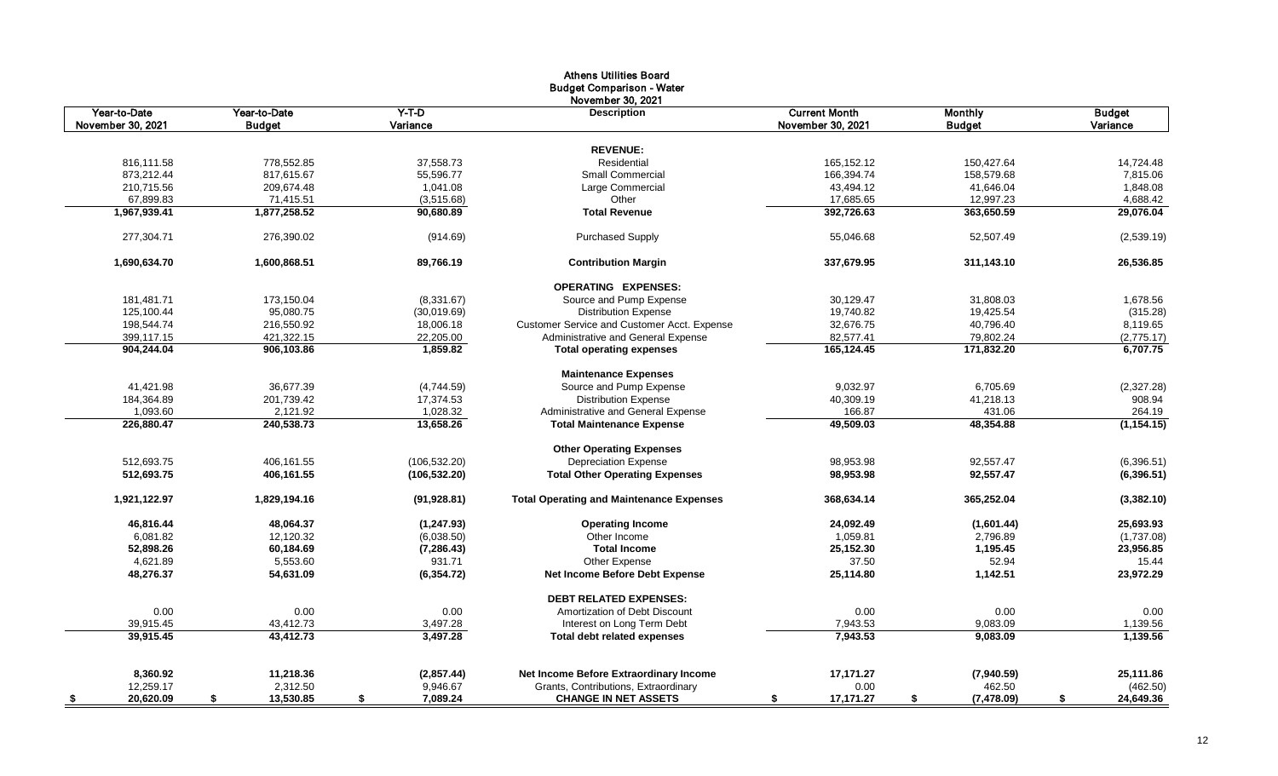|                   |                 |                | <b>Athens Utilities Board</b><br><b>Budget Comparison - Water</b><br>November 30, 2021 |                      |                   |                 |
|-------------------|-----------------|----------------|----------------------------------------------------------------------------------------|----------------------|-------------------|-----------------|
| Year-to-Date      | Year-to-Date    | $Y-T-D$        | <b>Description</b>                                                                     | <b>Current Month</b> | <b>Monthly</b>    | <b>Budget</b>   |
| November 30, 2021 | <b>Budget</b>   | Variance       |                                                                                        | November 30, 2021    | <b>Budget</b>     | Variance        |
|                   |                 |                | <b>REVENUE:</b>                                                                        |                      |                   |                 |
| 816,111.58        | 778,552.85      | 37,558.73      | Residential                                                                            | 165,152.12           | 150,427.64        | 14,724.48       |
| 873,212.44        | 817,615.67      | 55,596.77      | Small Commercial                                                                       | 166,394.74           | 158,579.68        | 7,815.06        |
| 210,715.56        | 209,674.48      | 1,041.08       | Large Commercial                                                                       | 43,494.12            | 41,646.04         | 1,848.08        |
| 67,899.83         | 71,415.51       | (3,515.68)     | Other                                                                                  | 17,685.65            | 12,997.23         | 4,688.42        |
| 1,967,939.41      | 1,877,258.52    | 90,680.89      | <b>Total Revenue</b>                                                                   | 392,726.63           | 363,650.59        | 29,076.04       |
|                   |                 |                |                                                                                        |                      |                   |                 |
| 277,304.71        | 276,390.02      | (914.69)       | <b>Purchased Supply</b>                                                                | 55,046.68            | 52,507.49         | (2,539.19)      |
| 1,690,634.70      | 1,600,868.51    | 89,766.19      | <b>Contribution Margin</b>                                                             | 337,679.95           | 311,143.10        | 26,536.85       |
|                   |                 |                | <b>OPERATING EXPENSES:</b>                                                             |                      |                   |                 |
| 181,481.71        | 173,150.04      | (8,331.67)     | Source and Pump Expense                                                                | 30,129.47            | 31,808.03         | 1,678.56        |
| 125,100.44        | 95,080.75       | (30,019.69)    | <b>Distribution Expense</b>                                                            | 19,740.82            | 19,425.54         | (315.28)        |
| 198,544.74        | 216,550.92      | 18,006.18      | <b>Customer Service and Customer Acct. Expense</b>                                     | 32,676.75            | 40,796.40         | 8,119.65        |
| 399,117.15        | 421,322.15      | 22,205.00      | Administrative and General Expense                                                     | 82,577.41            | 79,802.24         | (2,775.17)      |
| 904,244.04        | 906,103.86      | 1,859.82       | <b>Total operating expenses</b>                                                        | 165,124.45           | 171,832.20        | 6,707.75        |
|                   |                 |                | <b>Maintenance Expenses</b>                                                            |                      |                   |                 |
| 41,421.98         | 36,677.39       | (4,744.59)     | Source and Pump Expense                                                                | 9,032.97             | 6,705.69          | (2,327.28)      |
| 184,364.89        | 201,739.42      | 17,374.53      | <b>Distribution Expense</b>                                                            | 40,309.19            | 41,218.13         | 908.94          |
| 1,093.60          | 2,121.92        | 1,028.32       | Administrative and General Expense                                                     | 166.87               | 431.06            | 264.19          |
| 226,880.47        | 240,538.73      | 13,658.26      | <b>Total Maintenance Expense</b>                                                       | 49,509.03            | 48,354.88         | (1, 154.15)     |
|                   |                 |                | <b>Other Operating Expenses</b>                                                        |                      |                   |                 |
| 512,693.75        | 406,161.55      | (106, 532.20)  | <b>Depreciation Expense</b>                                                            | 98,953.98            | 92,557.47         | (6,396.51)      |
| 512,693.75        | 406,161.55      | (106, 532.20)  | <b>Total Other Operating Expenses</b>                                                  | 98,953.98            | 92,557.47         | (6, 396.51)     |
| 1,921,122.97      | 1,829,194.16    | (91, 928.81)   | <b>Total Operating and Maintenance Expenses</b>                                        | 368,634.14           | 365,252.04        | (3,382.10)      |
| 46,816.44         | 48,064.37       | (1, 247.93)    | <b>Operating Income</b>                                                                | 24,092.49            | (1,601.44)        | 25,693.93       |
| 6,081.82          | 12,120.32       | (6,038.50)     | Other Income                                                                           | 1,059.81             | 2,796.89          | (1,737.08)      |
| 52,898.26         | 60,184.69       | (7, 286.43)    | <b>Total Income</b>                                                                    | 25,152.30            | 1,195.45          | 23,956.85       |
| 4,621.89          | 5,553.60        | 931.71         | Other Expense                                                                          | 37.50                | 52.94             | 15.44           |
| 48,276.37         | 54,631.09       | (6, 354.72)    | <b>Net Income Before Debt Expense</b>                                                  | 25,114.80            | 1,142.51          | 23,972.29       |
|                   |                 |                | <b>DEBT RELATED EXPENSES:</b>                                                          |                      |                   |                 |
| 0.00              | 0.00            | 0.00           | Amortization of Debt Discount                                                          | 0.00                 | 0.00              | 0.00            |
| 39,915.45         | 43,412.73       | 3,497.28       | Interest on Long Term Debt                                                             | 7,943.53             | 9,083.09          | 1,139.56        |
| 39,915.45         | 43,412.73       | 3,497.28       | <b>Total debt related expenses</b>                                                     | 7,943.53             | 9,083.09          | 1,139.56        |
|                   |                 |                |                                                                                        |                      |                   |                 |
| 8,360.92          | 11,218.36       | (2,857.44)     | Net Income Before Extraordinary Income                                                 | 17,171.27            | (7,940.59)        | 25,111.86       |
| 12,259.17         | 2,312.50        | 9,946.67       | Grants, Contributions, Extraordinary                                                   | 0.00                 | 462.50            | (462.50)        |
| 20,620.09<br>- \$ | 13,530.85<br>\$ | 7,089.24<br>\$ | <b>CHANGE IN NET ASSETS</b>                                                            | \$<br>17,171.27      | \$<br>(7, 478.09) | 24,649.36<br>\$ |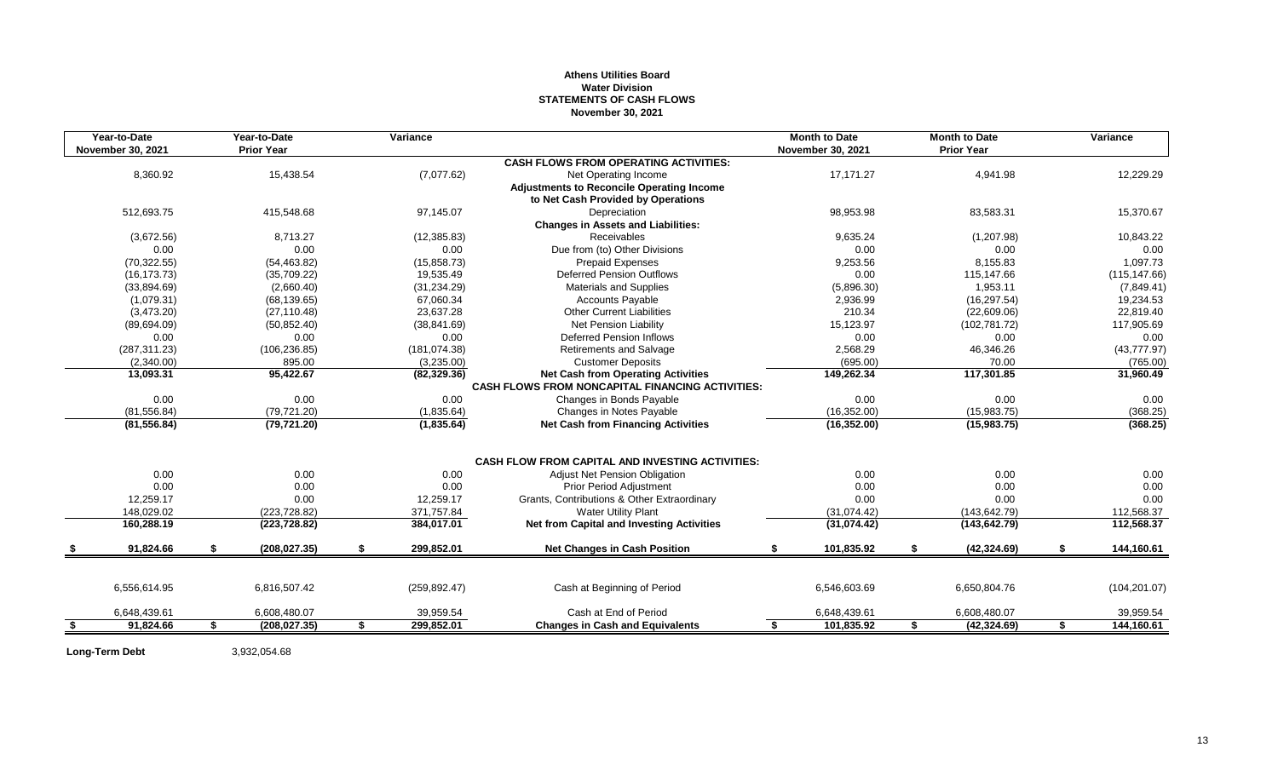## **Athens Utilities Board Water Division STATEMENTS OF CASH FLOWS November 30, 2021**

| Year-to-Date<br><b>November 30, 2021</b> | Year-to-Date<br><b>Prior Year</b> | Variance         |                                                                                                      |    | <b>Month to Date</b><br>November 30, 2021 | <b>Month to Date</b><br><b>Prior Year</b> | Variance             |
|------------------------------------------|-----------------------------------|------------------|------------------------------------------------------------------------------------------------------|----|-------------------------------------------|-------------------------------------------|----------------------|
|                                          |                                   |                  | <b>CASH FLOWS FROM OPERATING ACTIVITIES:</b>                                                         |    |                                           |                                           |                      |
| 8,360.92                                 | 15,438.54                         | (7,077.62)       | Net Operating Income                                                                                 |    | 17,171.27                                 | 4,941.98                                  | 12,229.29            |
|                                          |                                   |                  | <b>Adjustments to Reconcile Operating Income</b><br>to Net Cash Provided by Operations               |    |                                           |                                           |                      |
| 512,693.75                               | 415,548.68                        | 97,145.07        | Depreciation                                                                                         |    | 98,953.98                                 | 83,583.31                                 | 15,370.67            |
|                                          |                                   |                  | <b>Changes in Assets and Liabilities:</b>                                                            |    |                                           |                                           |                      |
| (3,672.56)                               | 8,713.27                          | (12, 385.83)     | <b>Receivables</b>                                                                                   |    | 9,635.24                                  | (1,207.98)                                | 10,843.22            |
| 0.00                                     | 0.00                              | 0.00             | Due from (to) Other Divisions                                                                        |    | 0.00                                      | 0.00                                      | 0.00                 |
| (70, 322.55)                             | (54, 463.82)                      | (15, 858.73)     | <b>Prepaid Expenses</b>                                                                              |    | 9,253.56                                  | 8,155.83                                  | 1,097.73             |
| (16, 173.73)                             | (35,709.22)                       | 19,535.49        | <b>Deferred Pension Outflows</b>                                                                     |    | 0.00                                      | 115,147.66                                | (115, 147.66)        |
| (33,894.69)                              | (2,660.40)                        | (31, 234.29)     | <b>Materials and Supplies</b>                                                                        |    | (5,896.30)                                | 1.953.11                                  | (7,849.41)           |
| (1,079.31)                               | (68, 139.65)                      | 67,060.34        | Accounts Payable                                                                                     |    | 2,936.99                                  | (16, 297.54)                              | 19,234.53            |
| (3,473.20)                               | (27, 110.48)                      | 23,637.28        | <b>Other Current Liabilities</b>                                                                     |    | 210.34                                    | (22,609.06)                               | 22,819.40            |
| (89,694.09)                              | (50, 852.40)                      | (38, 841.69)     | <b>Net Pension Liability</b>                                                                         |    | 15,123.97                                 | (102, 781.72)                             | 117,905.69           |
| 0.00                                     | 0.00                              | 0.00             | <b>Deferred Pension Inflows</b>                                                                      |    | 0.00                                      | 0.00                                      |                      |
|                                          |                                   | (181, 074.38)    | <b>Retirements and Salvage</b>                                                                       |    | 2,568.29                                  | 46,346.26                                 | 0.00<br>(43, 777.97) |
| (287, 311.23)                            | (106, 236.85)                     |                  |                                                                                                      |    |                                           |                                           |                      |
| (2,340.00)                               | 895.00                            | (3,235.00)       | <b>Customer Deposits</b>                                                                             |    | (695.00)                                  | 70.00                                     | (765.00)             |
| 13,093.31                                | 95,422.67                         | (82, 329.36)     | <b>Net Cash from Operating Activities</b><br><b>CASH FLOWS FROM NONCAPITAL FINANCING ACTIVITIES:</b> |    | 149,262.34                                | 117,301.85                                | 31,960.49            |
| 0.00                                     | 0.00                              | 0.00             | Changes in Bonds Payable                                                                             |    | 0.00                                      | 0.00                                      | 0.00                 |
| (81, 556.84)                             | (79, 721.20)                      | (1,835.64)       | Changes in Notes Payable                                                                             |    | (16, 352.00)                              | (15,983.75)                               | (368.25)             |
| (81, 556.84)                             | (79, 721.20)                      | (1,835.64)       | <b>Net Cash from Financing Activities</b>                                                            |    | (16, 352.00)                              | (15,983.75)                               | (368.25)             |
|                                          |                                   |                  | <b>CASH FLOW FROM CAPITAL AND INVESTING ACTIVITIES:</b>                                              |    |                                           |                                           |                      |
| 0.00                                     | 0.00                              | 0.00             | Adjust Net Pension Obligation                                                                        |    | 0.00                                      | 0.00                                      | 0.00                 |
| 0.00                                     | 0.00                              | 0.00             | <b>Prior Period Adjustment</b>                                                                       |    | 0.00                                      | 0.00                                      | 0.00                 |
| 12,259.17                                | 0.00                              | 12,259.17        | Grants, Contributions & Other Extraordinary                                                          |    | 0.00                                      | 0.00                                      | 0.00                 |
| 148,029.02                               | (223, 728.82)                     | 371,757.84       | <b>Water Utility Plant</b>                                                                           |    | (31,074.42)                               | (143, 642.79)                             | 112,568.37           |
| 160,288.19                               | (223, 728.82)                     | 384,017.01       | Net from Capital and Investing Activities                                                            |    | (31,074.42)                               | (143, 642.79)                             | 112,568.37           |
|                                          |                                   |                  |                                                                                                      |    |                                           |                                           |                      |
| 91,824.66                                | \$<br>(208, 027.35)               | \$<br>299,852.01 | <b>Net Changes in Cash Position</b>                                                                  | \$ | 101,835.92                                | \$<br>(42, 324.69)                        | \$<br>144,160.61     |
|                                          |                                   |                  |                                                                                                      |    |                                           |                                           |                      |
| 6,556,614.95                             | 6,816,507.42                      | (259, 892.47)    | Cash at Beginning of Period                                                                          |    | 6,546,603.69                              | 6,650,804.76                              | (104, 201.07)        |
| 6,648,439.61                             | 6,608,480.07                      | 39,959.54        | Cash at End of Period                                                                                |    | 6,648,439.61                              | 6,608,480.07                              | 39,959.54            |
| \$<br>91,824.66                          | \$<br>(208, 027.35)               | \$<br>299.852.01 | <b>Changes in Cash and Equivalents</b>                                                               | S  | 101,835.92                                | \$<br>(42, 324.69)                        | \$<br>144,160.61     |

**Long-Term Debt** 3,932,054.68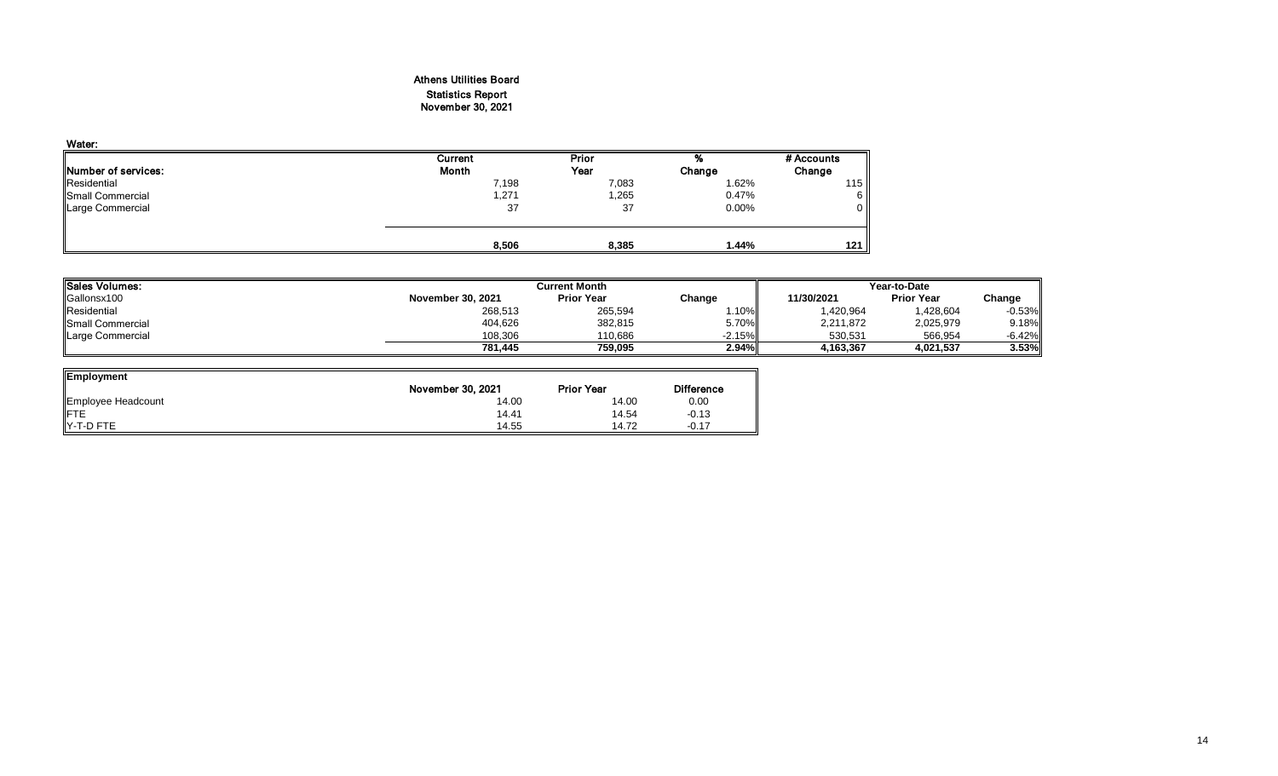# Athens Utilities Board Statistics Report November 30, 2021

| Water:              |         |              |        |                  |
|---------------------|---------|--------------|--------|------------------|
|                     | Current | <b>Prior</b> | 70     | # Accounts       |
| Number of services: | Month   | Year         | Change | Change           |
| Residential         | 7,198   | 7,083        | 1.62%  | 115 <sub>1</sub> |
| Small Commercial    | 271,    | 1,265        | 0.47%  | 6 I              |
| Large Commercial    | 37      | 37           | 0.00%  | $\overline{0}$   |
|                     |         |              |        |                  |
|                     | 8,506   | 8,385        | 1.44%  | 121 h            |

| <b>ISales Volumes:</b>   |                   | Current Month     | Year-to-Date |            |                   |          |
|--------------------------|-------------------|-------------------|--------------|------------|-------------------|----------|
| Gallonsx100              | November 30, 2021 | <b>Prior Year</b> | Change       | 11/30/2021 | <b>Prior Year</b> | Change   |
| Residential              | 268,513           | 265,594           | .10%         | 1,420,964  | 1,428,604         | $-0.53%$ |
| <b>ISmall Commercial</b> | 404,626           | 382,815           | 5.70%        | 2,211,872  | 2,025,979         | 9.18%    |
| Large Commercial         | 108,306           | 110,686           | $-2.15\%$    | 530.531    | 566,954           | $-6.42%$ |
|                          | 781,445           | 759,095           | 2.94%        | 1,163,367  | 4,021,537         | 3.53%    |

| Employment         |                   |                   |                   |
|--------------------|-------------------|-------------------|-------------------|
|                    | November 30, 2021 | <b>Prior Year</b> | <b>Difference</b> |
| Employee Headcount | 14.00             | 14.00             | 0.00              |
| <b>IFTE</b>        | 14.41             | 14.54             | $-0.13$           |
| IY-T-D FTE         | 14.55             | 14.72             | $-0.17$           |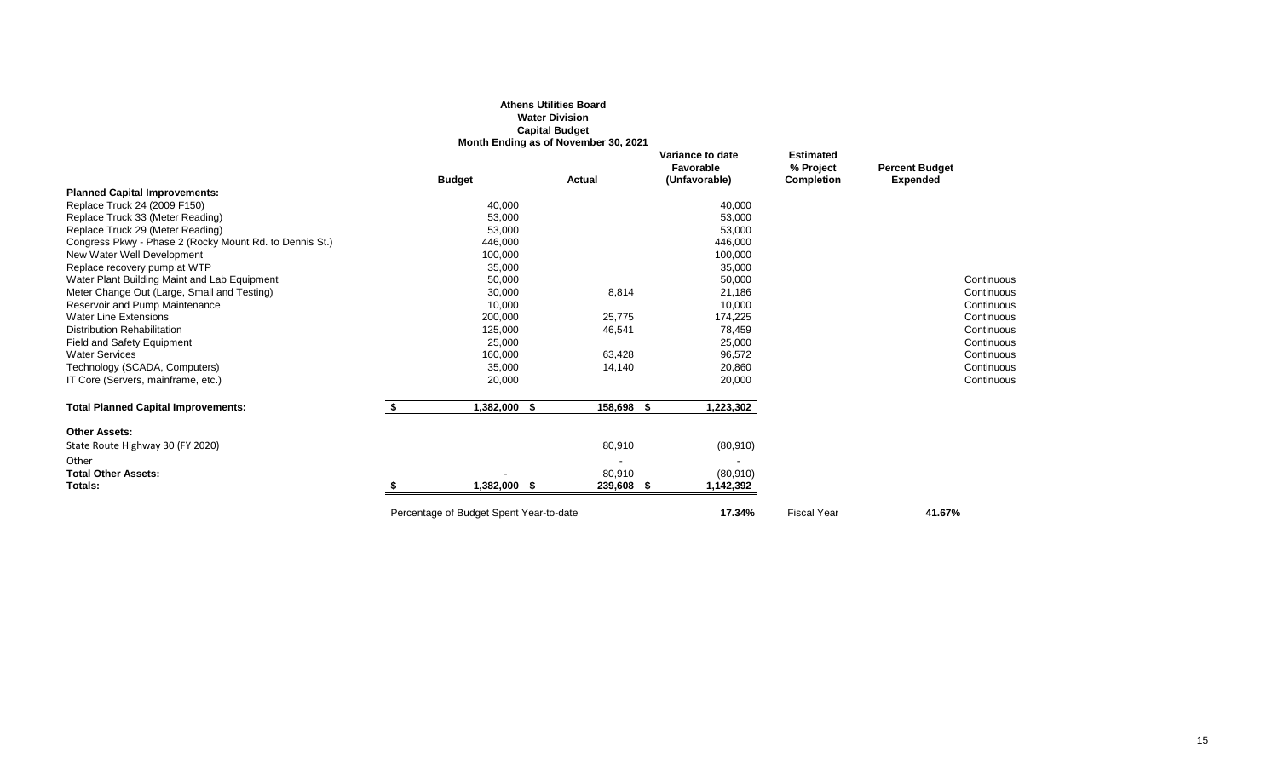|                                                         |                                         | <b>Athens Utilities Board</b><br><b>Water Division</b><br><b>Capital Budget</b> |                                                |                                                    |                                          |
|---------------------------------------------------------|-----------------------------------------|---------------------------------------------------------------------------------|------------------------------------------------|----------------------------------------------------|------------------------------------------|
|                                                         |                                         | Month Ending as of November 30, 2021                                            |                                                |                                                    |                                          |
|                                                         | <b>Budget</b>                           | Actual                                                                          | Variance to date<br>Favorable<br>(Unfavorable) | <b>Estimated</b><br>% Project<br><b>Completion</b> | <b>Percent Budget</b><br><b>Expended</b> |
| <b>Planned Capital Improvements:</b>                    |                                         |                                                                                 |                                                |                                                    |                                          |
| Replace Truck 24 (2009 F150)                            | 40,000                                  |                                                                                 | 40,000                                         |                                                    |                                          |
| Replace Truck 33 (Meter Reading)                        | 53,000                                  |                                                                                 | 53,000                                         |                                                    |                                          |
| Replace Truck 29 (Meter Reading)                        | 53,000                                  |                                                                                 | 53,000                                         |                                                    |                                          |
| Congress Pkwy - Phase 2 (Rocky Mount Rd. to Dennis St.) | 446,000                                 |                                                                                 | 446,000                                        |                                                    |                                          |
| New Water Well Development                              | 100,000                                 |                                                                                 | 100,000                                        |                                                    |                                          |
| Replace recovery pump at WTP                            | 35,000                                  |                                                                                 | 35,000                                         |                                                    |                                          |
| Water Plant Building Maint and Lab Equipment            | 50,000                                  |                                                                                 | 50,000                                         |                                                    | Continuous                               |
| Meter Change Out (Large, Small and Testing)             | 30,000                                  | 8,814                                                                           | 21,186                                         |                                                    | Continuous                               |
| Reservoir and Pump Maintenance                          | 10,000                                  |                                                                                 | 10,000                                         |                                                    | Continuous                               |
| <b>Water Line Extensions</b>                            | 200,000                                 | 25,775                                                                          | 174,225                                        |                                                    | Continuous                               |
| <b>Distribution Rehabilitation</b>                      | 125,000                                 | 46,541                                                                          | 78,459                                         |                                                    | Continuous                               |
| Field and Safety Equipment                              | 25,000                                  |                                                                                 | 25,000                                         |                                                    | Continuous                               |
| <b>Water Services</b>                                   | 160,000                                 | 63,428                                                                          | 96,572                                         |                                                    | Continuous                               |
| Technology (SCADA, Computers)                           | 35,000                                  | 14,140                                                                          | 20,860                                         |                                                    | Continuous                               |
| IT Core (Servers, mainframe, etc.)                      | 20,000                                  |                                                                                 | 20,000                                         |                                                    | Continuous                               |
| <b>Total Planned Capital Improvements:</b>              | \$<br>1,382,000 \$                      | 158,698 \$                                                                      | 1,223,302                                      |                                                    |                                          |
| <b>Other Assets:</b>                                    |                                         |                                                                                 |                                                |                                                    |                                          |
| State Route Highway 30 (FY 2020)                        |                                         | 80,910                                                                          | (80, 910)                                      |                                                    |                                          |
| Other                                                   |                                         |                                                                                 |                                                |                                                    |                                          |
| <b>Total Other Assets:</b>                              |                                         | 80,910                                                                          | (80, 910)                                      |                                                    |                                          |
| Totals:                                                 | 1,382,000<br>- 56                       | 239,608 \$                                                                      | 1,142,392                                      |                                                    |                                          |
|                                                         | Percentage of Budget Spent Year-to-date |                                                                                 | 17.34%                                         | <b>Fiscal Year</b>                                 | 41.67%                                   |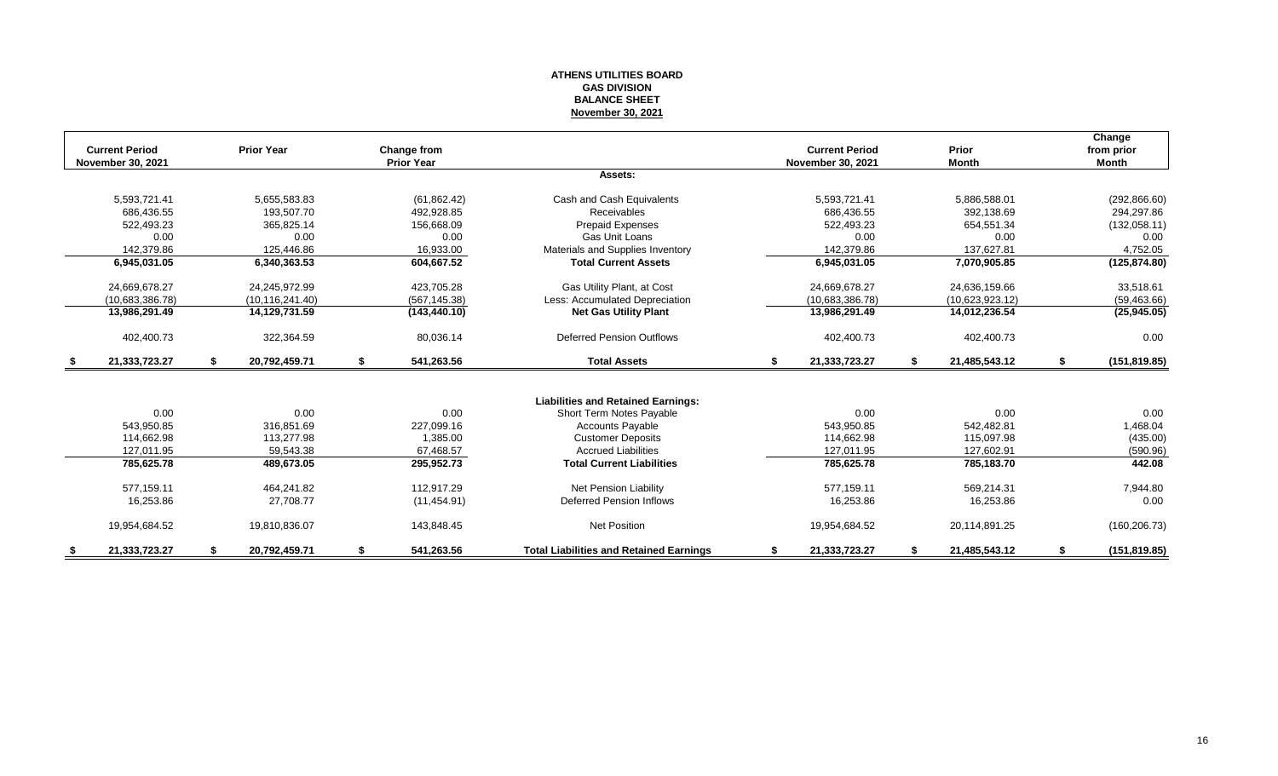#### **ATHENS UTILITIES BOARD GAS DIVISION BALANCE SHEET November 30, 2021**

|                          |                 |                     |    |                   |                                                |    |                       |      |                 |    | Change        |
|--------------------------|-----------------|---------------------|----|-------------------|------------------------------------------------|----|-----------------------|------|-----------------|----|---------------|
| <b>Current Period</b>    |                 | <b>Prior Year</b>   |    | Change from       |                                                |    | <b>Current Period</b> |      | Prior           |    | from prior    |
| <b>November 30, 2021</b> |                 |                     |    | <b>Prior Year</b> |                                                |    | November 30, 2021     |      | <b>Month</b>    |    | <b>Month</b>  |
|                          |                 |                     |    |                   | Assets:                                        |    |                       |      |                 |    |               |
|                          | 5,593,721.41    | 5,655,583.83        |    | (61, 862.42)      | Cash and Cash Equivalents                      |    | 5,593,721.41          |      | 5,886,588.01    |    | (292, 866.60) |
|                          | 686,436.55      | 193,507.70          |    | 492.928.85        | Receivables                                    |    | 686,436.55            |      | 392,138.69      |    | 294,297.86    |
|                          | 522,493.23      | 365,825.14          |    | 156,668.09        | <b>Prepaid Expenses</b>                        |    | 522,493.23            |      | 654,551.34      |    | (132,058.11)  |
|                          | 0.00            | 0.00                |    | 0.00              | <b>Gas Unit Loans</b>                          |    | 0.00                  |      | 0.00            |    | 0.00          |
|                          | 142.379.86      | 125.446.86          |    | 16,933.00         | Materials and Supplies Inventory               |    | 142.379.86            |      | 137.627.81      |    | 4,752.05      |
|                          | 6,945,031.05    | 6,340,363.53        |    | 604,667.52        | <b>Total Current Assets</b>                    |    | 6,945,031.05          |      | 7,070,905.85    |    | (125, 874.80) |
|                          | 24,669,678.27   | 24.245.972.99       |    | 423,705.28        | Gas Utility Plant, at Cost                     |    | 24,669,678.27         |      | 24,636,159.66   |    | 33,518.61     |
|                          | (10,683,386.78) | (10, 116, 241.40)   |    | (567, 145.38)     | Less: Accumulated Depreciation                 |    | (10,683,386.78)       |      | (10,623,923.12) |    | (59, 463.66)  |
|                          | 13,986,291.49   | 14,129,731.59       |    | (143, 440.10)     | <b>Net Gas Utility Plant</b>                   |    | 13,986,291.49         |      | 14,012,236.54   |    | (25,945.05)   |
|                          | 402,400.73      | 322,364.59          |    | 80,036.14         | <b>Deferred Pension Outflows</b>               |    | 402,400.73            |      | 402,400.73      |    | 0.00          |
|                          | 21,333,723.27   | \$<br>20,792,459.71 | \$ | 541,263.56        | <b>Total Assets</b>                            | \$ | 21,333,723.27         | - \$ | 21,485,543.12   | S. | (151, 819.85) |
|                          |                 |                     |    |                   |                                                |    |                       |      |                 |    |               |
|                          |                 |                     |    |                   | <b>Liabilities and Retained Earnings:</b>      |    |                       |      |                 |    |               |
|                          | 0.00            | 0.00                |    | 0.00              | Short Term Notes Payable                       |    | 0.00                  |      | 0.00            |    | 0.00          |
|                          | 543,950.85      | 316,851.69          |    | 227,099.16        | <b>Accounts Payable</b>                        |    | 543,950.85            |      | 542,482.81      |    | 1,468.04      |
|                          | 114.662.98      | 113,277.98          |    | 1.385.00          | <b>Customer Deposits</b>                       |    | 114,662.98            |      | 115,097.98      |    | (435.00)      |
|                          | 127,011.95      | 59,543.38           |    | 67,468.57         | <b>Accrued Liabilities</b>                     |    | 127,011.95            |      | 127,602.91      |    | (590.96)      |
|                          | 785,625.78      | 489,673.05          |    | 295,952.73        | <b>Total Current Liabilities</b>               |    | 785,625.78            |      | 785,183.70      |    | 442.08        |
|                          | 577,159.11      | 464,241.82          |    | 112,917.29        | <b>Net Pension Liability</b>                   |    | 577,159.11            |      | 569,214.31      |    | 7,944.80      |
|                          | 16,253.86       | 27,708.77           |    | (11, 454.91)      | <b>Deferred Pension Inflows</b>                |    | 16,253.86             |      | 16,253.86       |    | 0.00          |
|                          | 19,954,684.52   | 19,810,836.07       |    | 143,848.45        | <b>Net Position</b>                            |    | 19,954,684.52         |      | 20,114,891.25   |    | (160, 206.73) |
|                          | 21,333,723.27   | 20,792,459.71       | S  | 541,263.56        | <b>Total Liabilities and Retained Earnings</b> | S  | 21,333,723.27         |      | 21,485,543.12   | -S | (151, 819.85) |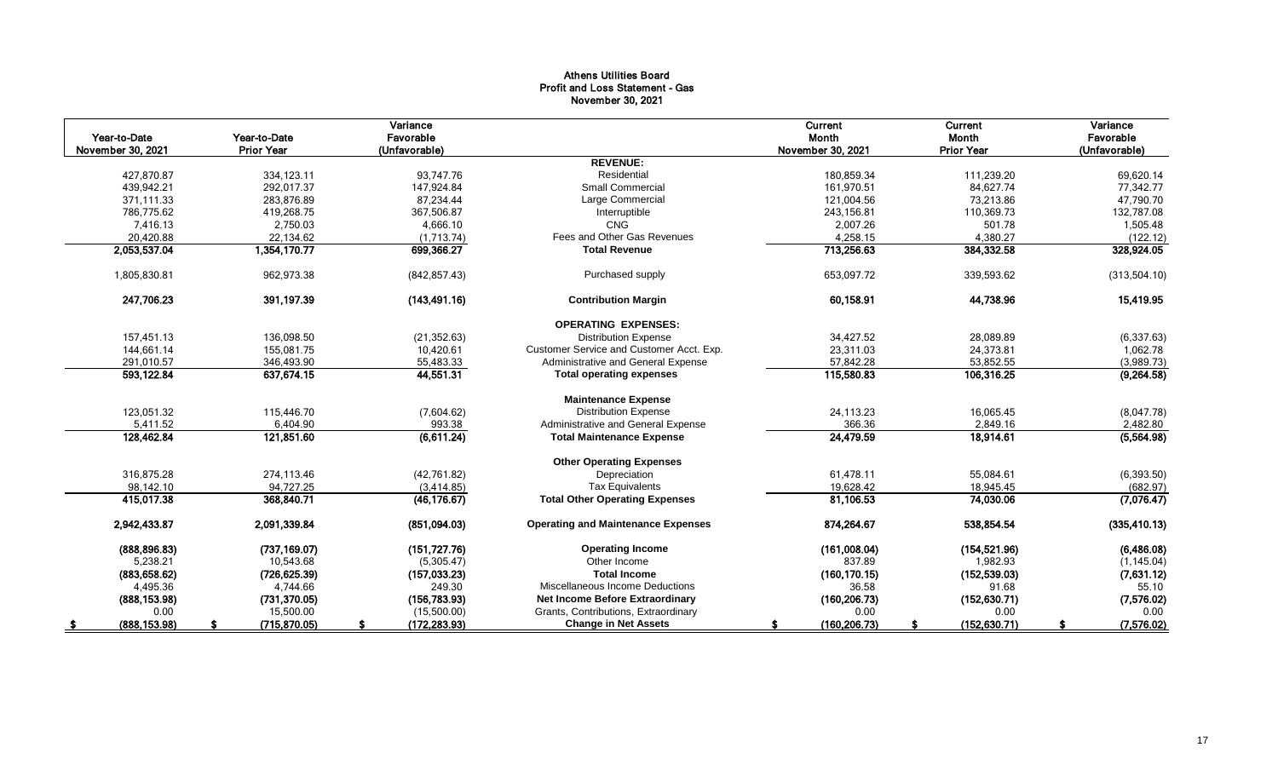## Athens Utilities Board Profit and Loss Statement - Gas November 30, 2021

| Year to-Date<br>November 30, 2021 | Year-to-Date<br><b>Prior Year</b> | Variance<br>Favorable<br>(Unfavorable) |                                           | Current<br>Month<br>November 30, 2021 | Current<br>Month<br><b>Prior Year</b> | Variance<br>Favorable<br>(Unfavorable) |
|-----------------------------------|-----------------------------------|----------------------------------------|-------------------------------------------|---------------------------------------|---------------------------------------|----------------------------------------|
|                                   |                                   |                                        | <b>REVENUE:</b>                           |                                       |                                       |                                        |
| 427,870.87                        | 334, 123.11                       | 93.747.76                              | Residential                               | 180,859.34                            | 111,239.20                            | 69,620.14                              |
| 439.942.21                        | 292.017.37                        | 147,924.84                             | <b>Small Commercial</b>                   | 161,970.51                            | 84,627.74                             | 77,342.77                              |
| 371.111.33                        | 283,876.89                        | 87,234.44                              | Large Commercial                          | 121,004.56                            | 73,213.86                             | 47,790.70                              |
| 786,775.62                        | 419,268.75                        | 367,506.87                             | Interruptible                             | 243,156.81                            | 110,369.73                            | 132,787.08                             |
| 7,416.13                          | 2,750.03                          | 4,666.10                               | <b>CNG</b>                                | 2,007.26                              | 501.78                                | 1,505.48                               |
| 20,420.88                         | 22,134.62                         | (1,713.74)                             | Fees and Other Gas Revenues               | 4,258.15                              | 4,380.27                              | (122.12)                               |
| 2,053,537.04                      | 1,354,170.77                      | 699,366.27                             | <b>Total Revenue</b>                      | 713,256.63                            | 384,332.58                            | 328,924.05                             |
| 1,805,830.81                      | 962,973.38                        | (842, 857.43)                          | Purchased supply                          | 653,097.72                            | 339,593.62                            | (313,504.10)                           |
| 247,706.23                        | 391,197.39                        | (143, 491.16)                          | <b>Contribution Margin</b>                | 60,158.91                             | 44,738.96                             | 15,419.95                              |
|                                   |                                   |                                        | <b>OPERATING EXPENSES:</b>                |                                       |                                       |                                        |
| 157,451.13                        | 136,098.50                        | (21, 352.63)                           | <b>Distribution Expense</b>               | 34,427.52                             | 28,089.89                             | (6,337.63)                             |
| 144,661.14                        | 155.081.75                        | 10,420.61                              | Customer Service and Customer Acct. Exp.  | 23,311.03                             | 24,373.81                             | 1,062.78                               |
| 291,010.57                        | 346,493.90                        | 55,483.33                              | Administrative and General Expense        | 57,842.28                             | 53,852.55                             | (3,989.73)                             |
| 593,122.84                        | 637,674.15                        | 44,551.31                              | <b>Total operating expenses</b>           | 115,580.83                            | 106,316.25                            | (9,264.58)                             |
|                                   |                                   |                                        | <b>Maintenance Expense</b>                |                                       |                                       |                                        |
| 123,051.32                        | 115,446.70                        | (7,604.62)                             | <b>Distribution Expense</b>               | 24,113.23                             | 16,065.45                             | (8,047.78)                             |
| 5,411.52                          | 6,404.90                          | 993.38                                 | Administrative and General Expense        | 366.36                                | 2,849.16                              | 2,482.80                               |
| 128,462.84                        | 121,851.60                        | (6,611.24)                             | <b>Total Maintenance Expense</b>          | 24,479.59                             | 18,914.61                             | (5, 564.98)                            |
|                                   |                                   |                                        | <b>Other Operating Expenses</b>           |                                       |                                       |                                        |
| 316,875.28                        | 274,113.46                        | (42,761.82)                            | Depreciation                              | 61,478.11                             | 55,084.61                             | (6, 393.50)                            |
| 98,142.10                         | 94,727.25                         | (3,414.85)                             | <b>Tax Equivalents</b>                    | 19,628.42                             | 18,945.45                             | (682.97)                               |
| 415.017.38                        | 368,840.71                        | (46, 176.67)                           | <b>Total Other Operating Expenses</b>     | 81.106.53                             | 74,030.06                             | (7,076.47)                             |
| 2,942,433.87                      | 2,091,339.84                      | (851,094.03)                           | <b>Operating and Maintenance Expenses</b> | 874,264.67                            | 538,854.54                            | (335, 410.13)                          |
| (888, 896.83)                     | (737, 169.07)                     | (151, 727.76)                          | <b>Operating Income</b>                   | (161,008.04)                          | (154, 521.96)                         | (6,486.08)                             |
| 5,238.21                          | 10,543.68                         | (5,305.47)                             | Other Income                              | 837.89                                | 1,982.93                              | (1, 145.04)                            |
| (883, 658.62)                     | (726, 625.39)                     | (157,033.23)                           | <b>Total Income</b>                       | (160, 170.15)                         | (152, 539.03)                         | (7,631.12)                             |
| 4,495.36                          | 4,744.66                          | 249.30                                 | Miscellaneous Income Deductions           | 36.58                                 | 91.68                                 | 55.10                                  |
| (888, 153.98)                     | (731, 370.05)                     | (156, 783.93)                          | <b>Net Income Before Extraordinary</b>    | (160, 206.73)                         | (152, 630.71)                         | (7,576.02)                             |
| 0.00                              | 15,500.00                         | (15,500.00)                            | Grants, Contributions, Extraordinary      | 0.00                                  | 0.00                                  | 0.00                                   |
| (888, 153.98)<br>S                | (715, 870.05)                     | (172, 283.93)                          | <b>Change in Net Assets</b>               | (160, 206.73)<br>£.                   | (152, 630.71)                         | (7,576.02)<br>\$                       |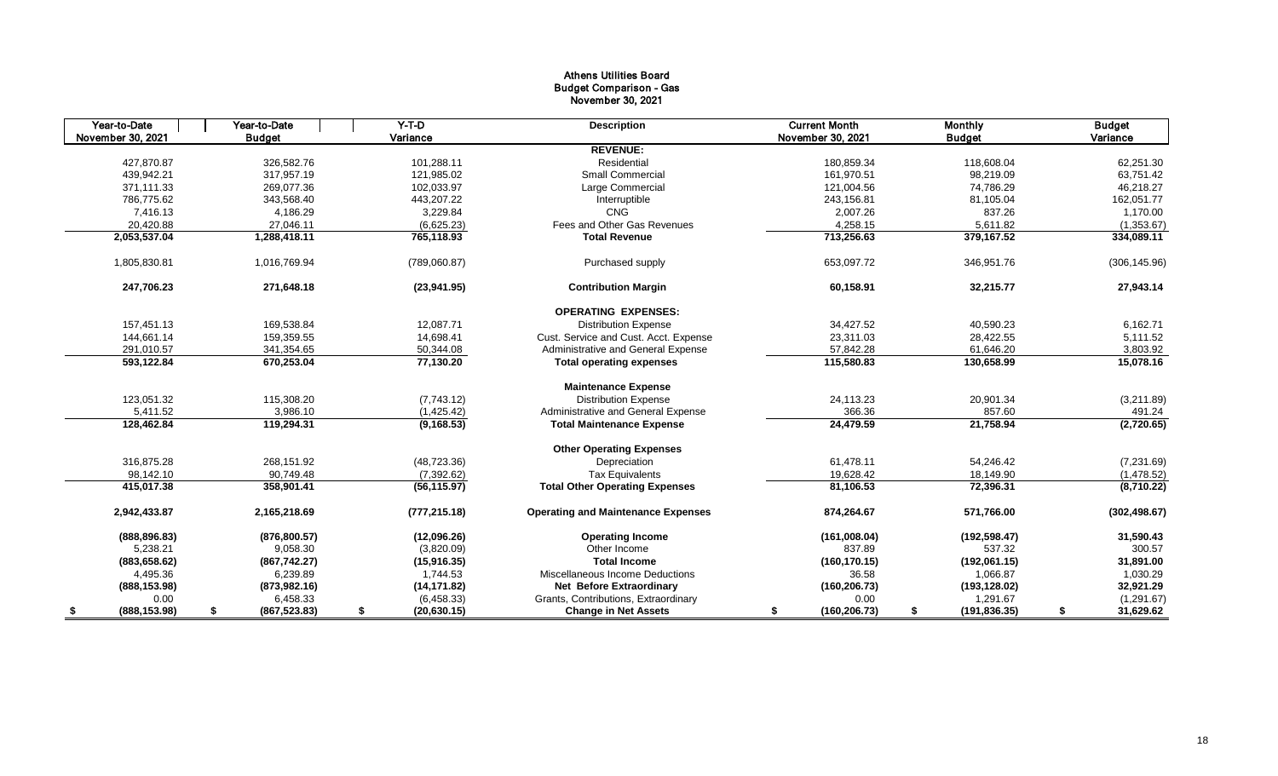# Athens Utilities Board Budget Comparison - Gas November 30, 2021

| Year-to-Date        | $Y-T-D$<br>Year-to-Date |                    | <b>Description</b>                        | <b>Current Month</b> | <b>Monthly</b>      | <b>Budget</b>   |  |
|---------------------|-------------------------|--------------------|-------------------------------------------|----------------------|---------------------|-----------------|--|
| November 30, 2021   | <b>Budget</b>           | Variance           |                                           | November 30, 2021    | <b>Budget</b>       | Variance        |  |
|                     |                         |                    | <b>REVENUE:</b>                           |                      |                     |                 |  |
| 427,870.87          | 326,582.76              | 101,288.11         | Residential                               | 180,859.34           | 118,608.04          | 62,251.30       |  |
| 439,942.21          | 317,957.19              | 121,985.02         | <b>Small Commercial</b>                   | 161,970.51           | 98,219.09           | 63,751.42       |  |
| 371,111.33          | 269,077.36              | 102,033.97         | Large Commercial                          | 121,004.56           | 74,786.29           | 46,218.27       |  |
| 786.775.62          | 343.568.40              | 443.207.22         | Interruptible                             | 243,156.81           | 81,105.04           | 162,051.77      |  |
| 7,416.13            | 4,186.29                | 3,229.84           | <b>CNG</b>                                | 2,007.26             | 837.26              | 1,170.00        |  |
| 20,420.88           | 27.046.11               | (6,625.23)         | Fees and Other Gas Revenues               | 4,258.15             | 5.611.82            | (1,353.67)      |  |
| 2,053,537.04        | 1,288,418.11            | 765,118.93         | <b>Total Revenue</b>                      | 713,256.63           | 379,167.52          | 334,089.11      |  |
| 1,805,830.81        | 1,016,769.94            | (789,060.87)       | Purchased supply                          | 653,097.72           | 346,951.76          | (306, 145.96)   |  |
| 247,706.23          | 271,648.18              | (23,941.95)        | <b>Contribution Margin</b>                | 60,158.91            | 32,215.77           | 27,943.14       |  |
|                     |                         |                    | <b>OPERATING EXPENSES:</b>                |                      |                     |                 |  |
| 157,451.13          | 169,538.84              | 12,087.71          | <b>Distribution Expense</b>               | 34,427.52            | 40,590.23           | 6,162.71        |  |
| 144,661.14          | 159,359.55              | 14,698.41          | Cust. Service and Cust. Acct. Expense     | 23,311.03            | 28,422.55           | 5,111.52        |  |
| 291,010.57          | 341,354.65              | 50,344.08          | Administrative and General Expense        | 57,842.28            | 61,646.20           | 3,803.92        |  |
| 593,122.84          | 670,253.04              | 77,130.20          | <b>Total operating expenses</b>           | 115,580.83           | 130,658.99          | 15,078.16       |  |
|                     |                         |                    | <b>Maintenance Expense</b>                |                      |                     |                 |  |
| 123,051.32          | 115,308.20              | (7,743.12)         | <b>Distribution Expense</b>               | 24,113.23            | 20,901.34           | (3,211.89)      |  |
| 5,411.52            | 3,986.10                | (1, 425.42)        | Administrative and General Expense        | 366.36               | 857.60              | 491.24          |  |
| 128,462.84          | 119,294.31              | (9, 168.53)        | <b>Total Maintenance Expense</b>          | 24,479.59            | 21,758.94           | (2,720.65)      |  |
|                     |                         |                    | <b>Other Operating Expenses</b>           |                      |                     |                 |  |
| 316,875.28          | 268,151.92              | (48, 723.36)       | Depreciation                              | 61,478.11            | 54,246.42           | (7,231.69)      |  |
| 98.142.10           | 90,749.48               | (7, 392.62)        | <b>Tax Equivalents</b>                    | 19.628.42            | 18.149.90           | (1,478.52)      |  |
| 415,017.38          | 358,901.41              | (56, 115.97)       | <b>Total Other Operating Expenses</b>     | 81,106.53            | 72,396.31           | (8,710.22)      |  |
| 2,942,433.87        | 2,165,218.69            | (777, 215.18)      | <b>Operating and Maintenance Expenses</b> | 874,264.67           | 571,766.00          | (302, 498.67)   |  |
| (888, 896.83)       | (876, 800.57)           | (12,096.26)        | <b>Operating Income</b>                   | (161,008.04)         | (192, 598.47)       | 31,590.43       |  |
| 5,238.21            | 9,058.30                | (3,820.09)         | Other Income                              | 837.89               | 537.32              | 300.57          |  |
| (883, 658.62)       | (867, 742.27)           | (15, 916.35)       | <b>Total Income</b>                       | (160, 170.15)        | (192,061.15)        | 31,891.00       |  |
| 4,495.36            | 6,239.89                | 1,744.53           | Miscellaneous Income Deductions           | 36.58                | 1,066.87            | 1,030.29        |  |
| (888, 153.98)       | (873, 982.16)           | (14, 171.82)       | <b>Net Before Extraordinary</b>           | (160, 206.73)        | (193, 128.02)       | 32,921.29       |  |
| 0.00                | 6,458.33                | (6,458.33)         | Grants, Contributions, Extraordinary      | 0.00                 | 1,291.67            | (1,291.67)      |  |
| (888, 153.98)<br>\$ | (867, 523.83)<br>\$     | (20, 630.15)<br>\$ | <b>Change in Net Assets</b>               | (160, 206.73)<br>\$  | \$<br>(191, 836.35) | 31,629.62<br>\$ |  |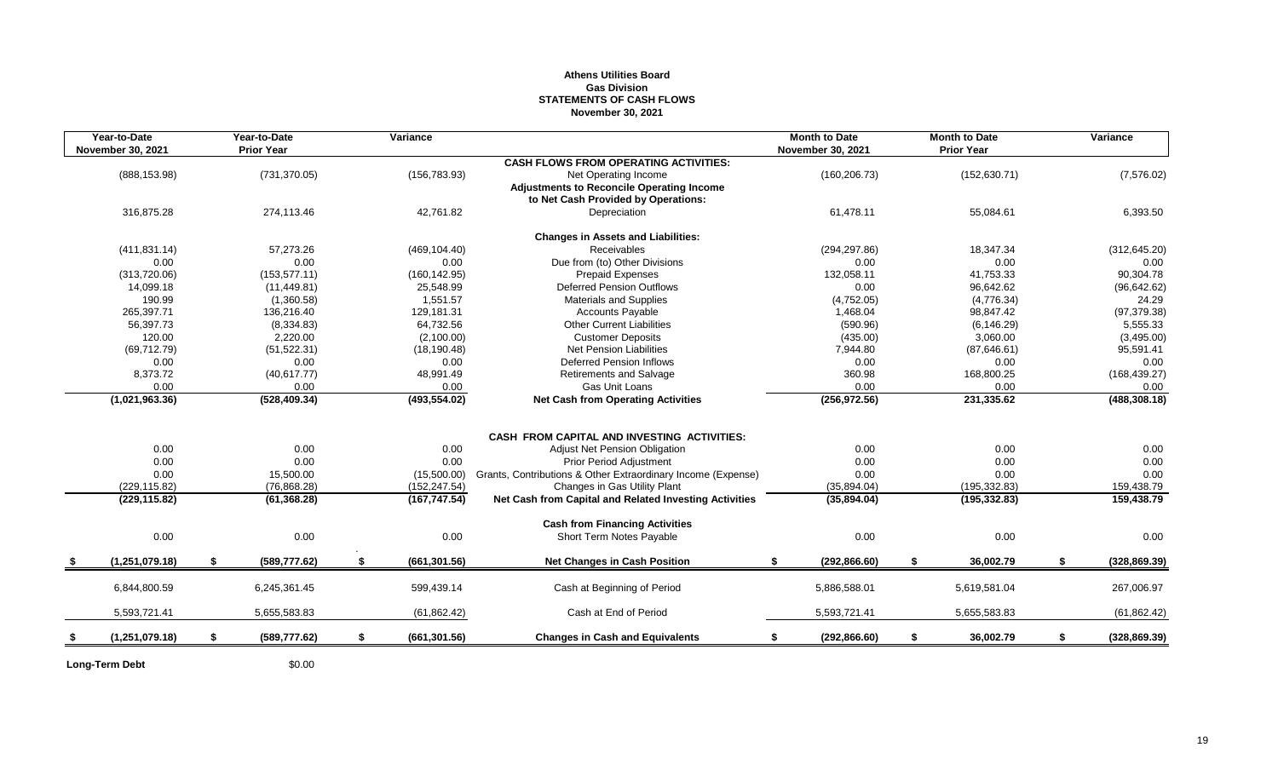## **Athens Utilities Board Gas Division STATEMENTS OF CASH FLOWS November 30, 2021**

|      | Year-to-Date<br>November 30, 2021 | Year-to-Date<br><b>Prior Year</b> | Variance            |                                                              | <b>Month to Date</b><br><b>November 30, 2021</b> |               | <b>Month to Date</b><br><b>Prior Year</b> | Variance            |
|------|-----------------------------------|-----------------------------------|---------------------|--------------------------------------------------------------|--------------------------------------------------|---------------|-------------------------------------------|---------------------|
|      |                                   |                                   |                     | <b>CASH FLOWS FROM OPERATING ACTIVITIES:</b>                 |                                                  |               |                                           |                     |
|      | (888, 153.98)                     | (731, 370.05)                     | (156, 783.93)       | Net Operating Income                                         |                                                  | (160, 206.73) | (152, 630.71)                             | (7, 576.02)         |
|      |                                   |                                   |                     | <b>Adjustments to Reconcile Operating Income</b>             |                                                  |               |                                           |                     |
|      |                                   |                                   |                     | to Net Cash Provided by Operations:                          |                                                  |               |                                           |                     |
|      | 316,875.28                        | 274,113.46                        | 42,761.82           | Depreciation                                                 |                                                  | 61,478.11     | 55,084.61                                 | 6,393.50            |
|      |                                   |                                   |                     | <b>Changes in Assets and Liabilities:</b>                    |                                                  |               |                                           |                     |
|      | (411, 831.14)                     | 57,273.26                         | (469, 104.40)       | Receivables                                                  |                                                  | (294, 297.86) | 18,347.34                                 | (312, 645.20)       |
|      | 0.00                              | 0.00                              | 0.00                | Due from (to) Other Divisions                                |                                                  | 0.00          | 0.00                                      | 0.00                |
|      | (313, 720.06)                     | (153, 577.11)                     | (160, 142.95)       | Prepaid Expenses                                             |                                                  | 132,058.11    | 41,753.33                                 | 90,304.78           |
|      | 14,099.18                         | (11, 449.81)                      | 25,548.99           | <b>Deferred Pension Outflows</b>                             |                                                  | 0.00          | 96,642.62                                 | (96, 642.62)        |
|      | 190.99                            | (1,360.58)                        | 1,551.57            | <b>Materials and Supplies</b>                                |                                                  | (4,752.05)    | (4,776.34)                                | 24.29               |
|      | 265,397.71                        | 136,216.40                        | 129,181.31          | <b>Accounts Payable</b>                                      |                                                  | 1,468.04      | 98,847.42                                 | (97, 379.38)        |
|      | 56,397.73                         | (8,334.83)                        | 64,732.56           | <b>Other Current Liabilities</b>                             |                                                  | (590.96)      | (6, 146.29)                               | 5,555.33            |
|      | 120.00                            | 2,220.00                          | (2,100.00)          | <b>Customer Deposits</b>                                     |                                                  | (435.00)      | 3,060.00                                  | (3,495.00)          |
|      | (69, 712.79)                      | (51, 522.31)                      | (18, 190.48)        | Net Pension Liabilities                                      |                                                  | 7,944.80      | (87, 646.61)                              | 95,591.41           |
|      | 0.00                              | 0.00                              | 0.00                | <b>Deferred Pension Inflows</b>                              |                                                  | 0.00          | 0.00                                      | 0.00                |
|      | 8,373.72                          | (40, 617.77)                      | 48,991.49           | <b>Retirements and Salvage</b>                               |                                                  | 360.98        | 168,800.25                                | (168, 439.27)       |
|      | 0.00                              | 0.00                              | 0.00                | <b>Gas Unit Loans</b>                                        |                                                  | 0.00          | 0.00                                      | 0.00                |
|      | (1,021,963.36)                    | (528, 409.34)                     | (493, 554.02)       | <b>Net Cash from Operating Activities</b>                    |                                                  | (256, 972.56) | 231,335.62                                | (488, 308.18)       |
|      |                                   |                                   |                     |                                                              |                                                  |               |                                           |                     |
|      |                                   |                                   |                     | <b>CASH FROM CAPITAL AND INVESTING ACTIVITIES:</b>           |                                                  |               |                                           |                     |
|      | 0.00                              | 0.00                              | 0.00                | <b>Adjust Net Pension Obligation</b>                         |                                                  | 0.00          | 0.00                                      | 0.00                |
|      | 0.00                              | 0.00                              | 0.00                | <b>Prior Period Adjustment</b>                               |                                                  | 0.00          | 0.00                                      | 0.00                |
|      | 0.00                              | 15,500.00                         | (15,500.00)         | Grants, Contributions & Other Extraordinary Income (Expense) |                                                  | 0.00          | 0.00                                      | 0.00                |
|      | (229, 115.82)                     | (76, 868.28)                      | (152, 247.54)       | Changes in Gas Utility Plant                                 |                                                  | (35,894.04)   | (195, 332.83)                             | 159,438.79          |
|      | (229, 115.82)                     | (61, 368.28)                      | (167, 747.54)       | Net Cash from Capital and Related Investing Activities       |                                                  | (35,894.04)   | (195, 332.83)                             | 159,438.79          |
|      |                                   |                                   |                     | <b>Cash from Financing Activities</b>                        |                                                  |               |                                           |                     |
|      | 0.00                              | 0.00                              | 0.00                | Short Term Notes Payable                                     |                                                  | 0.00          | 0.00                                      | 0.00                |
| - \$ | (1, 251, 079.18)                  | \$<br>(589, 777.62)               | \$<br>(661, 301.56) | <b>Net Changes in Cash Position</b>                          | \$                                               | (292, 866.60) | \$<br>36,002.79                           | \$<br>(328, 869.39) |
|      |                                   |                                   |                     |                                                              |                                                  |               |                                           |                     |
|      | 6,844,800.59                      | 6,245,361.45                      | 599,439.14          | Cash at Beginning of Period                                  |                                                  | 5,886,588.01  | 5,619,581.04                              | 267,006.97          |
|      | 5,593,721.41                      | 5,655,583.83                      | (61, 862.42)        | Cash at End of Period                                        |                                                  | 5,593,721.41  | 5,655,583.83                              | (61, 862.42)        |
| \$   | (1, 251, 079.18)                  | \$<br>(589, 777.62)               | \$<br>(661, 301.56) | <b>Changes in Cash and Equivalents</b>                       | \$                                               | (292, 866.60) | \$<br>36,002.79                           | \$<br>(328, 869.39) |
|      |                                   |                                   |                     |                                                              |                                                  |               |                                           |                     |

**Long-Term Debt** \$0.00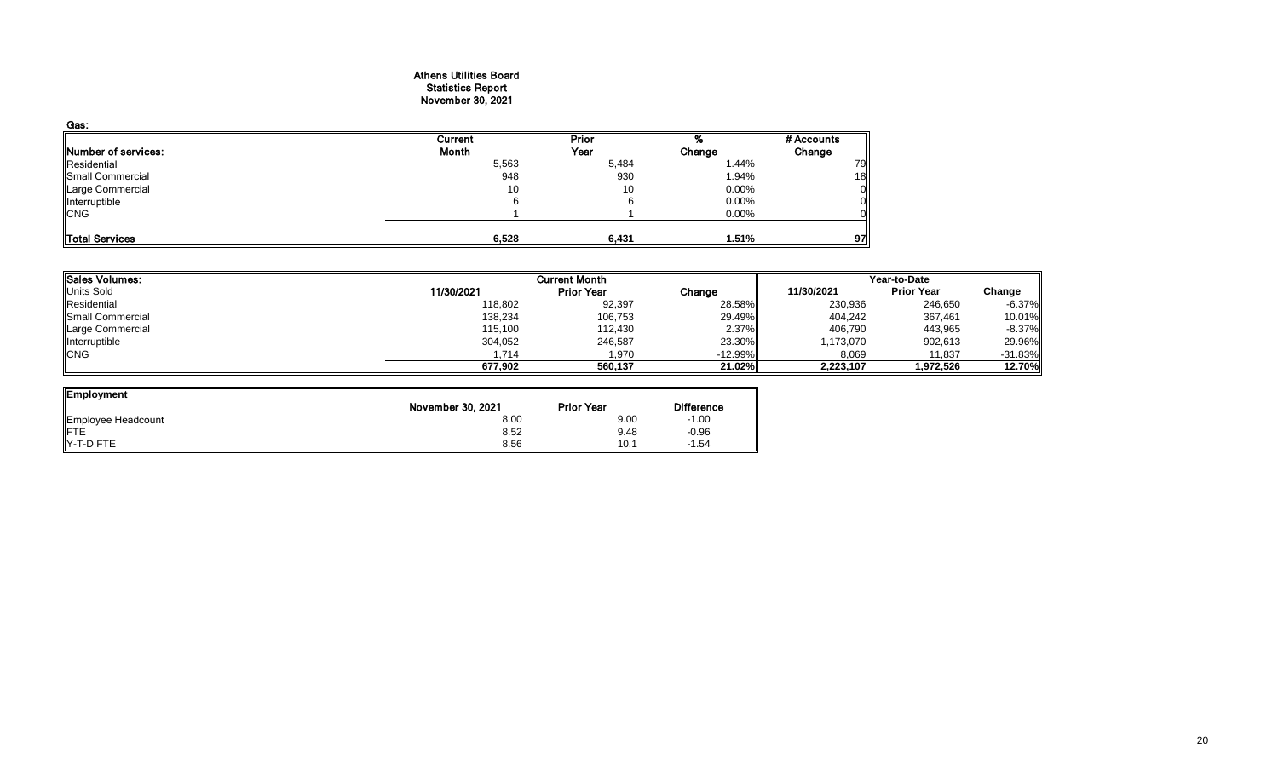## Athens Utilities Board Statistics Report November 30, 2021

| Gas:                       |         |       |          |            |
|----------------------------|---------|-------|----------|------------|
|                            | Current | Prior |          | # Accounts |
| <b>Number of services:</b> | Month   | Year  | Change   | Change     |
| Residential                | 5,563   | 5,484 | 1.44%    | 79         |
| Small Commercial           | 948     | 930   | 1.94%    | 18         |
| Large Commercial           | 10      | 10    | $0.00\%$ | Οl         |
| Interruptible              |         |       | 0.00%    | ΟI         |
| <b>CNG</b>                 |         |       | 0.00%    | Οl         |
| Total Services             | 6,528   | 6,431 | 1.51%    | 97         |

| Sales Volumes:    |            | <b>Current Month</b> |           | Year-to-Date |                   |            |  |
|-------------------|------------|----------------------|-----------|--------------|-------------------|------------|--|
| <b>Units Sold</b> | 11/30/2021 | <b>Prior Year</b>    | Change    | 11/30/2021   | <b>Prior Year</b> | Change     |  |
| Residential       | 118,802    | 92,397               | 28.58%    | 230,936      | 246,650           | $-6.37\%$  |  |
| Small Commercial  | 138,234    | 106,753              | 29.49%    | 404,242      | 367,461           | 10.01%     |  |
| Large Commercial  | 115,100    | 112,430              | 2.37%     | 406.790      | 443,965           | $-8.37\%$  |  |
| Interruptible     | 304,052    | 246,587              | 23.30%    | 1,173,070    | 902,613           | 29.96%     |  |
| <b>ICNG</b>       | 1.714      | 1.970                | $-12.99%$ | 8,069        | 11.837            | $-31.83\%$ |  |
|                   | 677.902    | 560.137              | 21.02%    | 2,223,107    | 1,972,526         | 12.70%     |  |

| Employment         |                   |                   |                   |
|--------------------|-------------------|-------------------|-------------------|
|                    | November 30, 2021 | <b>Prior Year</b> | <b>Difference</b> |
| Employee Headcount | 8.00              | 9.00              | $-1.00$           |
| <b>IFTE</b>        | 8.52              | 9.48              | $-0.96$           |
| IY-T-D FTE         | 8.56              | 10.1              | $-1.54$           |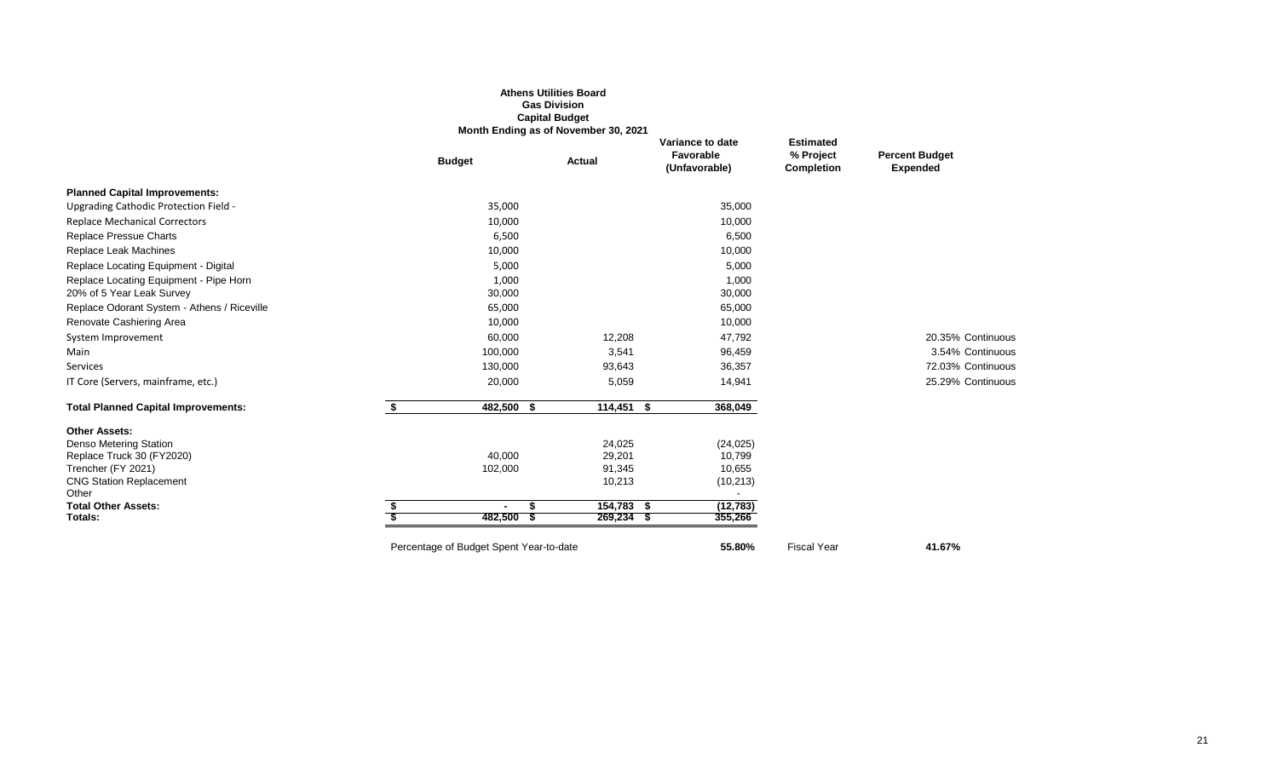|                                             |                                         | <b>Athens Utilities Board</b><br><b>Gas Division</b><br><b>Capital Budget</b><br>Month Ending as of November 30, 2021 |                                                |                                                    |                                          |
|---------------------------------------------|-----------------------------------------|-----------------------------------------------------------------------------------------------------------------------|------------------------------------------------|----------------------------------------------------|------------------------------------------|
|                                             | <b>Budget</b>                           | Actual                                                                                                                | Variance to date<br>Favorable<br>(Unfavorable) | <b>Estimated</b><br>% Project<br><b>Completion</b> | <b>Percent Budget</b><br><b>Expended</b> |
| <b>Planned Capital Improvements:</b>        |                                         |                                                                                                                       |                                                |                                                    |                                          |
| Upgrading Cathodic Protection Field -       | 35,000                                  |                                                                                                                       | 35,000                                         |                                                    |                                          |
| <b>Replace Mechanical Correctors</b>        | 10,000                                  |                                                                                                                       | 10,000                                         |                                                    |                                          |
| Replace Pressue Charts                      | 6,500                                   |                                                                                                                       | 6,500                                          |                                                    |                                          |
| Replace Leak Machines                       | 10,000                                  |                                                                                                                       | 10,000                                         |                                                    |                                          |
| Replace Locating Equipment - Digital        | 5,000                                   |                                                                                                                       | 5,000                                          |                                                    |                                          |
| Replace Locating Equipment - Pipe Horn      | 1,000                                   |                                                                                                                       | 1,000                                          |                                                    |                                          |
| 20% of 5 Year Leak Survey                   | 30,000                                  |                                                                                                                       | 30,000                                         |                                                    |                                          |
| Replace Odorant System - Athens / Riceville | 65,000                                  |                                                                                                                       | 65,000                                         |                                                    |                                          |
| Renovate Cashiering Area                    | 10,000                                  |                                                                                                                       | 10,000                                         |                                                    |                                          |
| System Improvement                          | 60,000                                  | 12,208                                                                                                                | 47,792                                         |                                                    | 20.35% Continuous                        |
| Main                                        | 100,000                                 | 3,541                                                                                                                 | 96,459                                         |                                                    | 3.54% Continuous                         |
| Services                                    | 130,000                                 | 93,643                                                                                                                | 36,357                                         |                                                    | 72.03% Continuous                        |
| IT Core (Servers, mainframe, etc.)          | 20,000                                  | 5,059                                                                                                                 | 14,941                                         |                                                    | 25.29% Continuous                        |
| <b>Total Planned Capital Improvements:</b>  | \$<br>482,500                           | 114,451<br>\$                                                                                                         | - \$<br>368,049                                |                                                    |                                          |
| <b>Other Assets:</b>                        |                                         |                                                                                                                       |                                                |                                                    |                                          |
| <b>Denso Metering Station</b>               |                                         | 24,025                                                                                                                | (24, 025)                                      |                                                    |                                          |
| Replace Truck 30 (FY2020)                   | 40,000                                  | 29,201                                                                                                                | 10,799                                         |                                                    |                                          |
| Trencher (FY 2021)                          | 102,000                                 | 91,345                                                                                                                | 10,655                                         |                                                    |                                          |
| <b>CNG Station Replacement</b><br>Other     |                                         | 10,213                                                                                                                | (10, 213)                                      |                                                    |                                          |
| <b>Total Other Assets:</b>                  | $\sim$                                  | $154,783$ \$<br>\$                                                                                                    | (12, 783)                                      |                                                    |                                          |
| Totals:                                     | 482,500                                 | $269,234$ \$<br>- \$                                                                                                  | 355,266                                        |                                                    |                                          |
|                                             | Percentage of Budget Spent Year-to-date |                                                                                                                       | 55.80%                                         | <b>Fiscal Year</b>                                 | 41.67%                                   |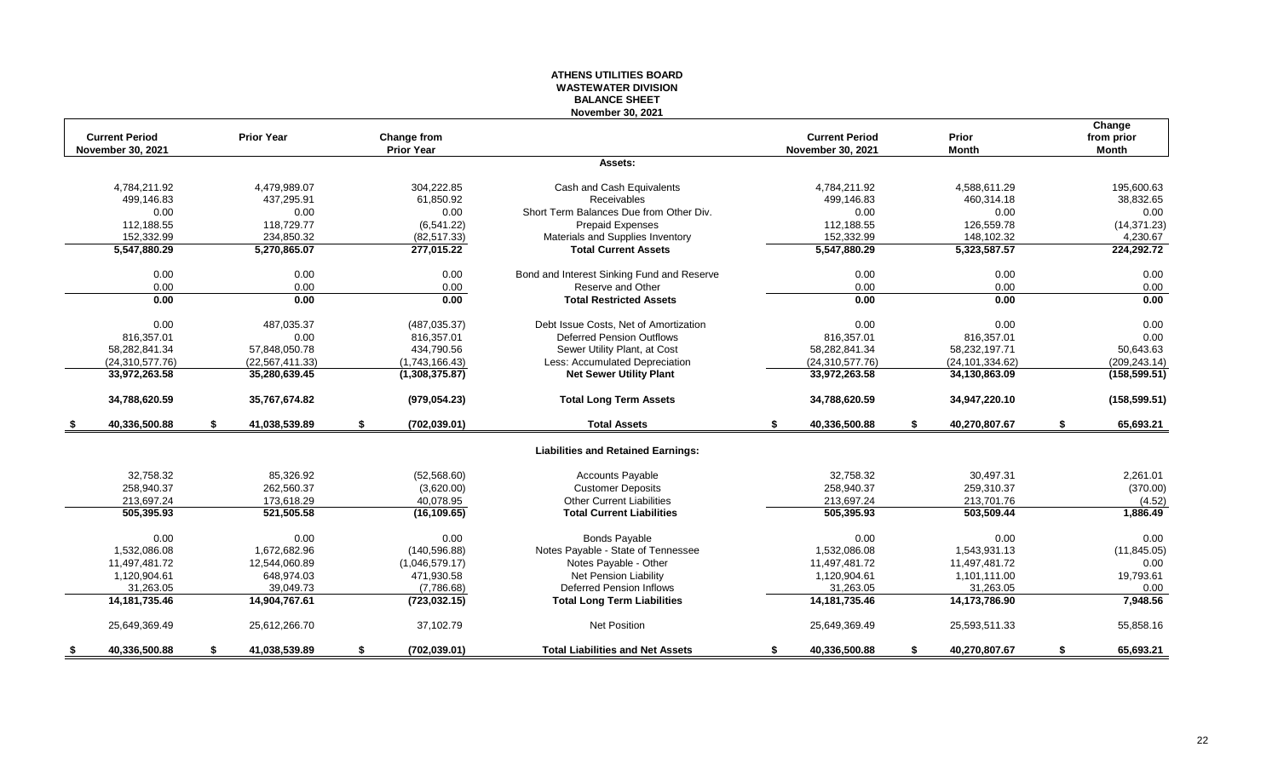#### **ATHENS UTILITIES BOARD WASTEWATER DIVISION BALANCE SHEET November 30, 2021**

|     | <b>Current Period</b>    | <b>Prior Year</b>   | Change from         |                                            | <b>Current Period</b>    | Prior               | Change<br>from prior |
|-----|--------------------------|---------------------|---------------------|--------------------------------------------|--------------------------|---------------------|----------------------|
|     | <b>November 30, 2021</b> |                     | <b>Prior Year</b>   |                                            | <b>November 30, 2021</b> | <b>Month</b>        | <b>Month</b>         |
|     |                          |                     |                     | Assets:                                    |                          |                     |                      |
|     | 4.784.211.92             | 4.479.989.07        | 304.222.85          | Cash and Cash Equivalents                  | 4,784,211.92             | 4,588,611.29        | 195.600.63           |
|     | 499,146.83               | 437,295.91          | 61,850.92           | <b>Receivables</b>                         | 499,146.83               | 460,314.18          | 38,832.65            |
|     | 0.00                     | 0.00                | 0.00                | Short Term Balances Due from Other Div.    | 0.00                     | 0.00                | 0.00                 |
|     | 112,188.55               | 118,729.77          | (6, 541.22)         | <b>Prepaid Expenses</b>                    | 112,188.55               | 126,559.78          | (14, 371.23)         |
|     | 152.332.99               | 234.850.32          | (82, 517.33)        | Materials and Supplies Inventory           | 152.332.99               | 148,102.32          | 4,230.67             |
|     | 5,547,880.29             | 5,270,865.07        | 277,015.22          | <b>Total Current Assets</b>                | 5,547,880.29             | 5,323,587.57        | 224,292.72           |
|     | 0.00                     | 0.00                | 0.00                | Bond and Interest Sinking Fund and Reserve | 0.00                     | 0.00                | 0.00                 |
|     | 0.00                     | 0.00                | 0.00                | Reserve and Other                          | 0.00                     | 0.00                | 0.00                 |
|     | 0.00                     | 0.00                | 0.00                | <b>Total Restricted Assets</b>             | 0.00                     | 0.00                | 0.00                 |
|     | 0.00                     | 487.035.37          | (487, 035.37)       | Debt Issue Costs. Net of Amortization      | 0.00                     | 0.00                | 0.00                 |
|     | 816,357.01               | 0.00                | 816,357.01          | <b>Deferred Pension Outflows</b>           | 816,357.01               | 816,357.01          | 0.00                 |
|     | 58,282,841.34            | 57.848.050.78       | 434,790.56          | Sewer Utility Plant, at Cost               | 58,282,841.34            | 58,232,197.71       | 50,643.63            |
|     | (24, 310, 577, 76)       | (22, 567, 411.33)   | (1,743,166.43)      | Less: Accumulated Depreciation             | (24, 310, 577.76)        | (24, 101, 334.62)   | (209, 243.14)        |
|     | 33,972,263.58            | 35,280,639.45       | (1,308,375.87)      | <b>Net Sewer Utility Plant</b>             | 33,972,263.58            | 34,130,863.09       | (158, 599.51)        |
|     | 34,788,620.59            | 35,767,674.82       | (979, 054.23)       | <b>Total Long Term Assets</b>              | 34,788,620.59            | 34,947,220.10       | (158, 599.51)        |
| - 5 | 40,336,500.88            | \$<br>41,038,539.89 | \$<br>(702, 039.01) | <b>Total Assets</b>                        | \$<br>40,336,500.88      | \$<br>40,270,807.67 | \$<br>65,693.21      |
|     |                          |                     |                     | <b>Liabilities and Retained Earnings:</b>  |                          |                     |                      |
|     | 32,758.32                | 85,326.92           | (52, 568.60)        | <b>Accounts Payable</b>                    | 32.758.32                | 30.497.31           | 2,261.01             |
|     | 258,940.37               | 262,560.37          | (3,620.00)          | <b>Customer Deposits</b>                   | 258,940.37               | 259,310.37          | (370.00)             |
|     | 213.697.24               | 173.618.29          | 40,078.95           | <b>Other Current Liabilities</b>           | 213,697.24               | 213.701.76          | (4.52)               |
|     | 505,395.93               | 521,505.58          | (16, 109.65)        | <b>Total Current Liabilities</b>           | 505,395.93               | 503,509.44          | 1,886.49             |
|     | 0.00                     | 0.00                | 0.00                | <b>Bonds Payable</b>                       | 0.00                     | 0.00                | 0.00                 |
|     | 1.532.086.08             | 1.672.682.96        | (140, 596.88)       | Notes Payable - State of Tennessee         | 1.532.086.08             | 1.543.931.13        | (11, 845.05)         |
|     | 11,497,481.72            | 12,544,060.89       | (1,046,579.17)      | Notes Payable - Other                      | 11,497,481.72            | 11,497,481.72       | 0.00                 |
|     | 1,120,904.61             | 648,974.03          | 471,930.58          | Net Pension Liability                      | 1,120,904.61             | 1,101,111.00        | 19,793.61            |
|     | 31,263.05                | 39,049.73           | (7,786.68)          | <b>Deferred Pension Inflows</b>            | 31,263.05                | 31,263.05           | 0.00                 |
|     | 14, 181, 735. 46         | 14,904,767.61       | (723, 032.15)       | <b>Total Long Term Liabilities</b>         | 14, 181, 735. 46         | 14,173,786.90       | 7,948.56             |
|     | 25,649,369.49            | 25,612,266.70       | 37,102.79           | <b>Net Position</b>                        | 25,649,369.49            | 25,593,511.33       | 55,858.16            |
| \$  | 40,336,500.88            | \$<br>41,038,539.89 | \$<br>(702, 039.01) | <b>Total Liabilities and Net Assets</b>    | \$<br>40,336,500.88      | \$<br>40,270,807.67 | \$<br>65,693.21      |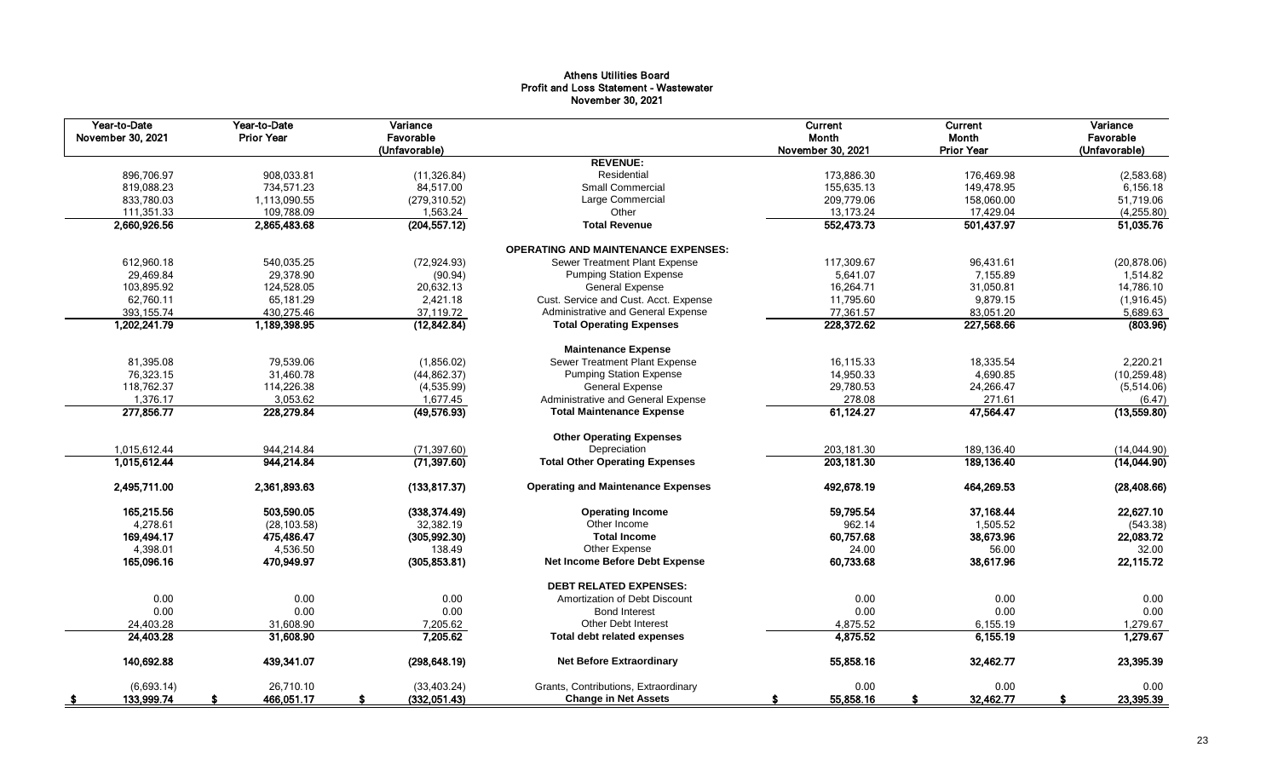# Athens Utilities Board Profit and Loss Statement - Wastewater November 30, 2021

| Year-to-Date<br>November 30, 2021 | Year-to-Date<br><b>Prior Year</b> | Variance<br>Favorable<br>(Unfavorable) |                                            | Current<br>Month<br>November 30, 2021 | Current<br>Month<br><b>Prior Year</b> | Variance<br>Favorable<br>(Unfavorable) |
|-----------------------------------|-----------------------------------|----------------------------------------|--------------------------------------------|---------------------------------------|---------------------------------------|----------------------------------------|
|                                   |                                   |                                        | <b>REVENUE:</b>                            |                                       |                                       |                                        |
| 896,706.97                        | 908,033.81                        | (11, 326.84)                           | Residential                                | 173,886.30                            | 176,469.98                            | (2,583.68)                             |
| 819,088.23                        | 734,571.23                        | 84,517.00                              | <b>Small Commercial</b>                    | 155,635.13                            | 149,478.95                            | 6,156.18                               |
| 833,780.03                        | 1,113,090.55                      | (279, 310.52)                          | Large Commercial                           | 209,779.06                            | 158,060.00                            | 51,719.06                              |
| 111,351.33                        | 109,788.09                        | 1,563.24                               | Other                                      | 13,173.24                             | 17,429.04                             | (4,255.80)                             |
| 2,660,926.56                      | 2,865,483.68                      | (204, 557.12)                          | <b>Total Revenue</b>                       | 552,473.73                            | 501,437.97                            | 51,035.76                              |
|                                   |                                   |                                        | <b>OPERATING AND MAINTENANCE EXPENSES:</b> |                                       |                                       |                                        |
| 612,960.18                        | 540,035.25                        | (72, 924.93)                           | Sewer Treatment Plant Expense              | 117,309.67                            | 96,431.61                             | (20, 878.06)                           |
| 29,469.84                         | 29,378.90                         | (90.94)                                | <b>Pumping Station Expense</b>             | 5,641.07                              | 7,155.89                              | 1,514.82                               |
| 103,895.92                        | 124,528.05                        | 20,632.13                              | <b>General Expense</b>                     | 16,264.71                             | 31,050.81                             | 14,786.10                              |
| 62,760.11                         | 65,181.29                         | 2,421.18                               | Cust. Service and Cust. Acct. Expense      | 11,795.60                             | 9,879.15                              | (1,916.45)                             |
| 393, 155.74                       | 430,275.46                        | 37,119.72                              | Administrative and General Expense         | 77,361.57                             | 83,051.20                             | 5,689.63                               |
| 1,202,241.79                      | 1,189,398.95                      | (12, 842.84)                           | <b>Total Operating Expenses</b>            | 228,372.62                            | 227,568.66                            | (803.96)                               |
|                                   |                                   |                                        | <b>Maintenance Expense</b>                 |                                       |                                       |                                        |
| 81,395.08                         | 79,539.06                         | (1,856.02)                             | Sewer Treatment Plant Expense              | 16,115.33                             | 18,335.54                             | 2,220.21                               |
| 76,323.15                         | 31,460.78                         | (44, 862.37)                           | <b>Pumping Station Expense</b>             | 14,950.33                             | 4,690.85                              | (10, 259.48)                           |
| 118,762.37                        | 114,226.38                        | (4,535.99)                             | <b>General Expense</b>                     | 29,780.53                             | 24,266.47                             | (5,514.06)                             |
| 1,376.17                          | 3,053.62                          | 1,677.45                               | Administrative and General Expense         | 278.08                                | 271.61                                | (6.47)                                 |
| 277,856.77                        | 228,279.84                        | (49, 576.93)                           | <b>Total Maintenance Expense</b>           | 61,124.27                             | 47,564.47                             | (13,559.80)                            |
|                                   |                                   |                                        | <b>Other Operating Expenses</b>            |                                       |                                       |                                        |
| 1,015,612.44                      | 944,214.84                        | (71, 397.60)                           | Depreciation                               | 203,181.30                            | 189,136.40                            | (14,044.90)                            |
| 1,015,612.44                      | 944,214.84                        | (71, 397.60)                           | <b>Total Other Operating Expenses</b>      | 203, 181.30                           | 189,136.40                            | (14,044.90)                            |
| 2,495,711.00                      | 2,361,893.63                      | (133, 817.37)                          | <b>Operating and Maintenance Expenses</b>  | 492,678.19                            | 464,269.53                            | (28, 408.66)                           |
| 165,215.56                        | 503,590.05                        | (338, 374.49)                          | <b>Operating Income</b>                    | 59,795.54                             | 37,168.44                             | 22,627.10                              |
| 4,278.61                          | (28, 103.58)                      | 32,382.19                              | Other Income                               | 962.14                                | 1,505.52                              | (543.38)                               |
| 169,494.17                        | 475,486.47                        | (305, 992.30)                          | <b>Total Income</b>                        | 60,757.68                             | 38,673.96                             | 22,083.72                              |
| 4,398.01                          | 4,536.50                          | 138.49                                 | Other Expense                              | 24.00                                 | 56.00                                 | 32.00                                  |
| 165.096.16                        | 470.949.97                        | (305, 853.81)                          | Net Income Before Debt Expense             | 60.733.68                             | 38,617.96                             | 22,115.72                              |
|                                   |                                   |                                        | <b>DEBT RELATED EXPENSES:</b>              |                                       |                                       |                                        |
| 0.00                              | 0.00                              | 0.00                                   | Amortization of Debt Discount              | 0.00                                  | 0.00                                  | 0.00                                   |
| 0.00                              | 0.00                              | 0.00                                   | <b>Bond Interest</b>                       | 0.00                                  | 0.00                                  | 0.00                                   |
| 24,403.28                         | 31,608.90                         | 7,205.62                               | <b>Other Debt Interest</b>                 | 4,875.52                              | 6,155.19                              | 1,279.67                               |
| 24,403.28                         | 31,608.90                         | 7,205.62                               | <b>Total debt related expenses</b>         | 4,875.52                              | 6,155.19                              | 1,279.67                               |
| 140,692.88                        | 439,341.07                        | (298, 648.19)                          | <b>Net Before Extraordinary</b>            | 55,858.16                             | 32,462.77                             | 23,395.39                              |
| (6,693.14)                        | 26.710.10                         | (33, 403.24)                           | Grants, Contributions, Extraordinary       | 0.00                                  | 0.00                                  | 0.00                                   |
| 133,999.74<br>- \$                | 466,051.17                        | (332,051.43)<br>s.                     | <b>Change in Net Assets</b>                | 55,858.16<br>s                        | 32,462.77<br>\$                       | 23,395.39<br>S.                        |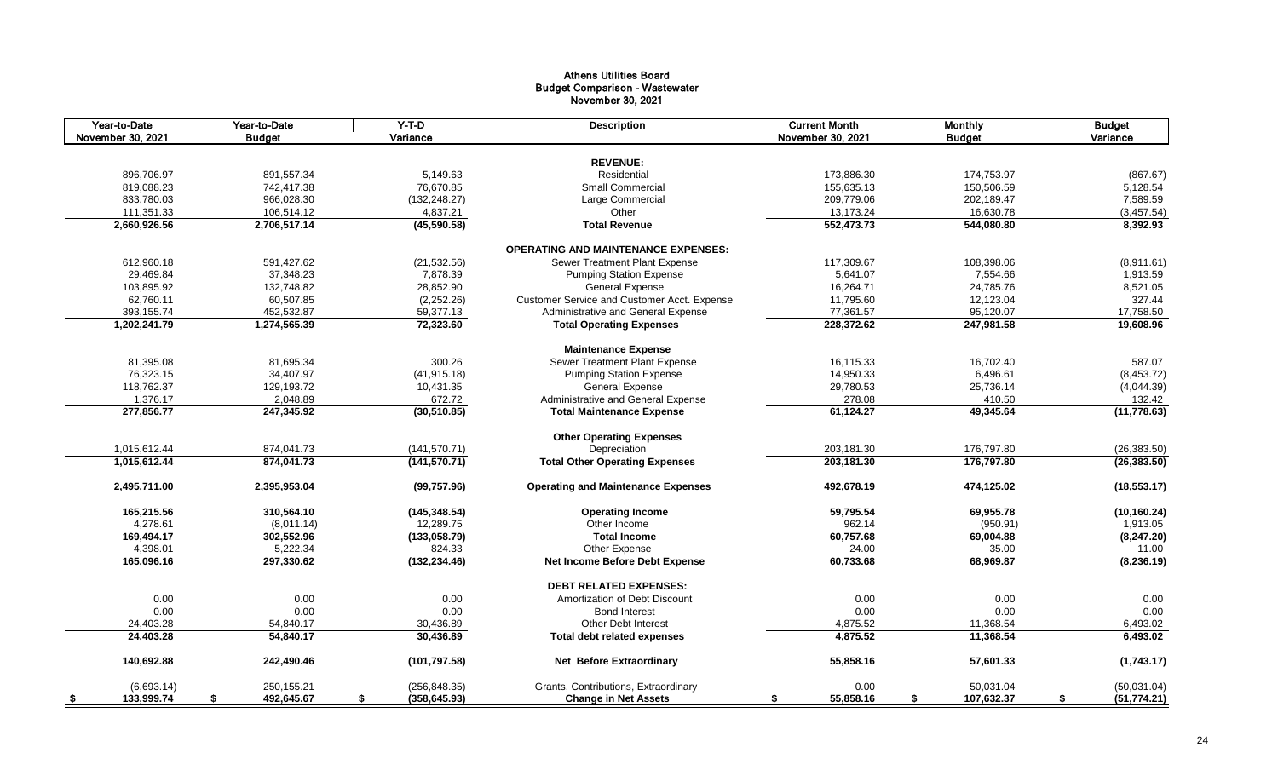## Athens Utilities Board Budget Comparison - Wastewater November 30, 2021

| Year-to-Date<br>November 30, 2021 | Year-to-Date<br><b>Budget</b> | $Y-T-D$<br>Variance     | <b>Description</b>                          | <b>Current Month</b><br>November 30, 2021 | <b>Monthly</b><br><b>Budget</b> | <b>Budget</b><br>Variance |
|-----------------------------------|-------------------------------|-------------------------|---------------------------------------------|-------------------------------------------|---------------------------------|---------------------------|
|                                   |                               |                         |                                             |                                           |                                 |                           |
|                                   |                               |                         | <b>REVENUE:</b>                             |                                           |                                 |                           |
| 896,706.97<br>819,088.23          | 891,557.34<br>742,417.38      | 5,149.63<br>76,670.85   | Residential<br>Small Commercial             | 173,886.30<br>155,635.13                  | 174,753.97<br>150,506.59        | (867.67)<br>5,128.54      |
| 833,780.03                        | 966,028.30                    |                         | Large Commercial                            | 209,779.06                                | 202,189.47                      | 7,589.59                  |
| 111,351.33                        |                               | (132, 248.27)           | Other                                       | 13,173.24                                 | 16,630.78                       | (3, 457.54)               |
| 2,660,926.56                      | 106,514.12<br>2,706,517.14    | 4,837.21<br>(45,590.58) | <b>Total Revenue</b>                        | 552,473.73                                | 544,080.80                      | 8,392.93                  |
|                                   |                               |                         |                                             |                                           |                                 |                           |
|                                   |                               |                         | <b>OPERATING AND MAINTENANCE EXPENSES:</b>  |                                           |                                 |                           |
| 612,960.18                        | 591,427.62                    | (21, 532.56)            | Sewer Treatment Plant Expense               | 117,309.67                                | 108,398.06                      | (8,911.61)                |
| 29,469.84                         | 37,348.23                     | 7,878.39                | <b>Pumping Station Expense</b>              | 5,641.07                                  | 7,554.66                        | 1,913.59                  |
| 103,895.92                        | 132,748.82                    | 28,852.90               | <b>General Expense</b>                      | 16,264.71                                 | 24,785.76                       | 8,521.05                  |
| 62,760.11                         | 60,507.85                     | (2,252.26)              | Customer Service and Customer Acct. Expense | 11,795.60                                 | 12,123.04                       | 327.44                    |
| 393, 155.74                       | 452,532.87                    | 59,377.13               | Administrative and General Expense          | 77,361.57                                 | 95,120.07                       | 17,758.50                 |
| 1,202,241.79                      | 1,274,565.39                  | 72,323.60               | <b>Total Operating Expenses</b>             | 228,372.62                                | 247,981.58                      | 19,608.96                 |
|                                   |                               |                         | <b>Maintenance Expense</b>                  |                                           |                                 |                           |
| 81,395.08                         | 81,695.34                     | 300.26                  | Sewer Treatment Plant Expense               | 16,115.33                                 | 16,702.40                       | 587.07                    |
| 76,323.15                         | 34,407.97                     | (41, 915.18)            | <b>Pumping Station Expense</b>              | 14,950.33                                 | 6,496.61                        | (8,453.72)                |
| 118,762.37                        | 129,193.72                    | 10,431.35               | <b>General Expense</b>                      | 29,780.53                                 | 25,736.14                       | (4,044.39)                |
| 1,376.17                          | 2,048.89                      | 672.72                  | Administrative and General Expense          | 278.08                                    | 410.50                          | 132.42                    |
| 277,856.77                        | 247,345.92                    | (30, 510.85)            | <b>Total Maintenance Expense</b>            | 61,124.27                                 | 49,345.64                       | (11, 778.63)              |
|                                   |                               |                         |                                             |                                           |                                 |                           |
|                                   |                               |                         | <b>Other Operating Expenses</b>             |                                           |                                 |                           |
| 1,015,612.44                      | 874,041.73                    | (141, 570.71)           | Depreciation                                | 203,181.30                                | 176,797.80                      | (26, 383.50)              |
| 1,015,612.44                      | 874,041.73                    | (141, 570.71)           | <b>Total Other Operating Expenses</b>       | 203,181.30                                | 176,797.80                      | (26, 383.50)              |
| 2,495,711.00                      | 2,395,953.04                  | (99, 757.96)            | <b>Operating and Maintenance Expenses</b>   | 492,678.19                                | 474,125.02                      | (18, 553.17)              |
| 165,215.56                        | 310,564.10                    | (145, 348.54)           | <b>Operating Income</b>                     | 59,795.54                                 | 69,955.78                       | (10, 160.24)              |
| 4,278.61                          | (8,011.14)                    | 12,289.75               | Other Income                                | 962.14                                    | (950.91)                        | 1,913.05                  |
| 169,494.17                        | 302,552.96                    | (133,058.79)            | <b>Total Income</b>                         | 60,757.68                                 | 69,004.88                       | (8, 247.20)               |
| 4,398.01                          | 5,222.34                      | 824.33                  | Other Expense                               | 24.00                                     | 35.00                           | 11.00                     |
| 165,096.16                        | 297,330.62                    | (132, 234.46)           | Net Income Before Debt Expense              | 60,733.68                                 | 68,969.87                       | (8, 236.19)               |
|                                   |                               |                         | <b>DEBT RELATED EXPENSES:</b>               |                                           |                                 |                           |
|                                   |                               |                         |                                             |                                           |                                 |                           |
| 0.00                              | 0.00                          | 0.00                    | Amortization of Debt Discount               | 0.00                                      | 0.00                            | 0.00                      |
| 0.00                              | 0.00                          | 0.00                    | <b>Bond Interest</b>                        | 0.00                                      | 0.00                            | 0.00                      |
| 24,403.28                         | 54,840.17                     | 30,436.89               | Other Debt Interest                         | 4,875.52                                  | 11,368.54                       | 6,493.02                  |
| 24,403.28                         | 54,840.17                     | 30,436.89               | <b>Total debt related expenses</b>          | 4,875.52                                  | 11,368.54                       | 6,493.02                  |
| 140,692.88                        | 242,490.46                    | (101, 797.58)           | <b>Net Before Extraordinary</b>             | 55,858.16                                 | 57,601.33                       | (1,743.17)                |
| (6,693.14)                        | 250,155.21                    | (256, 848.35)           | Grants, Contributions, Extraordinary        | 0.00                                      | 50,031.04                       | (50,031.04)               |
| 133,999.74<br>\$                  | \$<br>492,645.67              | \$<br>(358, 645.93)     | <b>Change in Net Assets</b>                 | 55,858.16<br>\$                           | \$<br>107,632.37                | \$<br>(51, 774.21)        |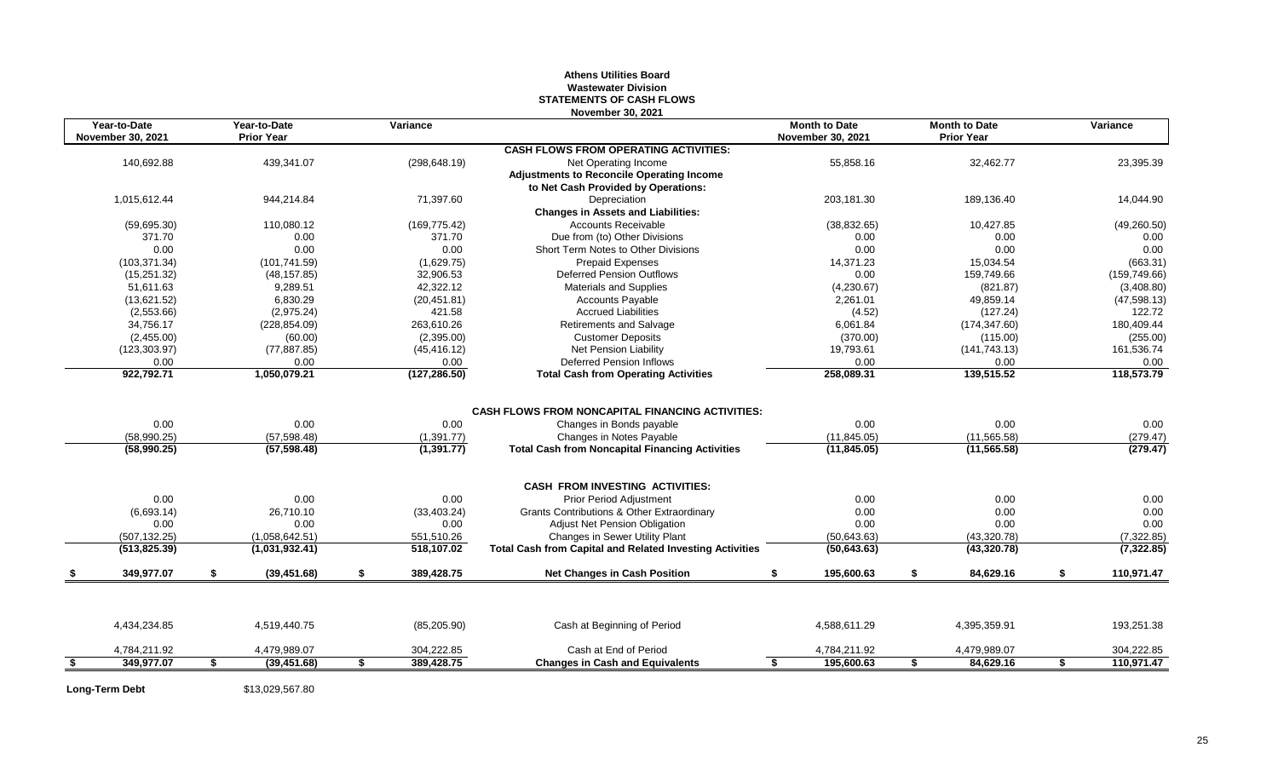## **Athens Utilities Board Wastewater Division STATEMENTS OF CASH FLOWS November 30, 2021**

|      | Year-to-Date<br><b>November 30, 2021</b> | Year-to-Date<br><b>Prior Year</b> | Variance         | NUVUNDU JU. LUL                                                 | <b>Month to Date</b><br><b>November 30, 2021</b> | <b>Month to Date</b><br><b>Prior Year</b> |    | Variance      |
|------|------------------------------------------|-----------------------------------|------------------|-----------------------------------------------------------------|--------------------------------------------------|-------------------------------------------|----|---------------|
|      |                                          |                                   |                  | <b>CASH FLOWS FROM OPERATING ACTIVITIES:</b>                    |                                                  |                                           |    |               |
|      | 140,692.88                               | 439,341.07                        | (298, 648.19)    | Net Operating Income                                            | 55,858.16                                        | 32,462.77                                 |    | 23,395.39     |
|      |                                          |                                   |                  | <b>Adjustments to Reconcile Operating Income</b>                |                                                  |                                           |    |               |
|      |                                          |                                   |                  | to Net Cash Provided by Operations:                             |                                                  |                                           |    |               |
|      | 1,015,612.44                             | 944,214.84                        | 71,397.60        | Depreciation                                                    | 203,181.30                                       | 189,136.40                                |    | 14,044.90     |
|      |                                          |                                   |                  | <b>Changes in Assets and Liabilities:</b>                       |                                                  |                                           |    |               |
|      | (59,695.30)                              | 110.080.12                        | (169, 775.42)    | <b>Accounts Receivable</b>                                      | (38, 832.65)                                     | 10.427.85                                 |    | (49, 260.50)  |
|      | 371.70                                   | 0.00                              | 371.70           | Due from (to) Other Divisions                                   | 0.00                                             | 0.00                                      |    | 0.00          |
|      | 0.00                                     | 0.00                              | 0.00             | Short Term Notes to Other Divisions                             | 0.00                                             | 0.00                                      |    | 0.00          |
|      | (103, 371.34)                            | (101, 741.59)                     | (1,629.75)       | <b>Prepaid Expenses</b>                                         | 14,371.23                                        | 15,034.54                                 |    | (663.31)      |
|      | (15, 251.32)                             | (48, 157.85)                      | 32,906.53        | <b>Deferred Pension Outflows</b>                                | 0.00                                             | 159.749.66                                |    | (159, 749.66) |
|      | 51,611.63                                | 9,289.51                          | 42,322.12        | Materials and Supplies                                          | (4,230.67)                                       | (821.87)                                  |    | (3,408.80)    |
|      | (13,621.52)                              | 6.830.29                          | (20, 451.81)     | <b>Accounts Payable</b>                                         | 2,261.01                                         | 49.859.14                                 |    | (47,598.13)   |
|      | (2,553.66)                               | (2,975.24)                        | 421.58           | <b>Accrued Liabilities</b>                                      | (4.52)                                           | (127.24)                                  |    | 122.72        |
|      | 34,756.17                                | (228, 854.09)                     | 263,610.26       | <b>Retirements and Salvage</b>                                  | 6,061.84                                         | (174, 347.60)                             |    | 180,409.44    |
|      | (2,455.00)                               | (60.00)                           | (2,395.00)       | <b>Customer Deposits</b>                                        | (370.00)                                         | (115.00)                                  |    | (255.00)      |
|      | (123, 303.97)                            | (77, 887.85)                      | (45, 416.12)     | <b>Net Pension Liability</b>                                    | 19,793.61                                        | (141, 743.13)                             |    | 161,536.74    |
|      | 0.00                                     | 0.00                              | 0.00             | <b>Deferred Pension Inflows</b>                                 | 0.00                                             | 0.00                                      |    | 0.00          |
|      | 922,792.71                               | 1,050,079.21                      | (127, 286.50)    | <b>Total Cash from Operating Activities</b>                     | 258,089.31                                       | 139,515.52                                |    | 118,573.79    |
|      |                                          |                                   |                  |                                                                 |                                                  |                                           |    |               |
|      |                                          |                                   |                  | <b>CASH FLOWS FROM NONCAPITAL FINANCING ACTIVITIES:</b>         |                                                  |                                           |    |               |
|      | 0.00                                     | 0.00                              | 0.00             | Changes in Bonds payable                                        | 0.00                                             | 0.00                                      |    | 0.00          |
|      | (58,990.25)                              | (57, 598.48)                      | (1,391.77)       | Changes in Notes Payable                                        | (11, 845.05)                                     | (11, 565.58)                              |    | (279.47)      |
|      | (58,990.25)                              | (57, 598.48)                      | (1,391.77)       | <b>Total Cash from Noncapital Financing Activities</b>          | (11, 845.05)                                     | (11, 565.58)                              |    | (279.47)      |
|      |                                          |                                   |                  | <b>CASH FROM INVESTING ACTIVITIES:</b>                          |                                                  |                                           |    |               |
|      | 0.00                                     | 0.00                              | 0.00             | <b>Prior Period Adjustment</b>                                  | 0.00                                             | 0.00                                      |    | 0.00          |
|      | (6,693.14)                               | 26,710.10                         | (33, 403.24)     | Grants Contributions & Other Extraordinary                      | 0.00                                             | 0.00                                      |    | 0.00          |
|      | 0.00                                     | 0.00                              | 0.00             | <b>Adjust Net Pension Obligation</b>                            | 0.00                                             | 0.00                                      |    | 0.00          |
|      | (507, 132.25)                            | (1,058,642.51)                    | 551,510.26       | Changes in Sewer Utility Plant                                  | (50, 643.63)                                     | (43,320.78)                               |    | (7,322.85)    |
|      | (513, 825.39)                            | (1,031,932.41)                    | 518,107.02       | <b>Total Cash from Capital and Related Investing Activities</b> | (50, 643.63)                                     | (43, 320.78)                              |    | (7,322.85)    |
|      | 349,977.07                               | \$<br>(39, 451.68)                | \$<br>389,428.75 | <b>Net Changes in Cash Position</b>                             | 195,600.63                                       | \$<br>84,629.16                           | \$ | 110,971.47    |
|      |                                          |                                   |                  |                                                                 |                                                  |                                           |    |               |
|      | 4,434,234.85                             | 4,519,440.75                      | (85, 205.90)     | Cash at Beginning of Period                                     | 4,588,611.29                                     | 4,395,359.91                              |    | 193,251.38    |
|      | 4,784,211.92                             | 4,479,989.07                      | 304,222.85       | Cash at End of Period                                           | 4,784,211.92                                     | 4,479,989.07                              |    | 304,222.85    |
| - \$ | 349,977.07                               | \$<br>(39, 451.68)                | \$<br>389,428.75 | <b>Changes in Cash and Equivalents</b>                          | 195,600.63                                       | \$<br>84,629.16                           | S  | 110,971.47    |

**Long-Term Debt** \$13,029,567.80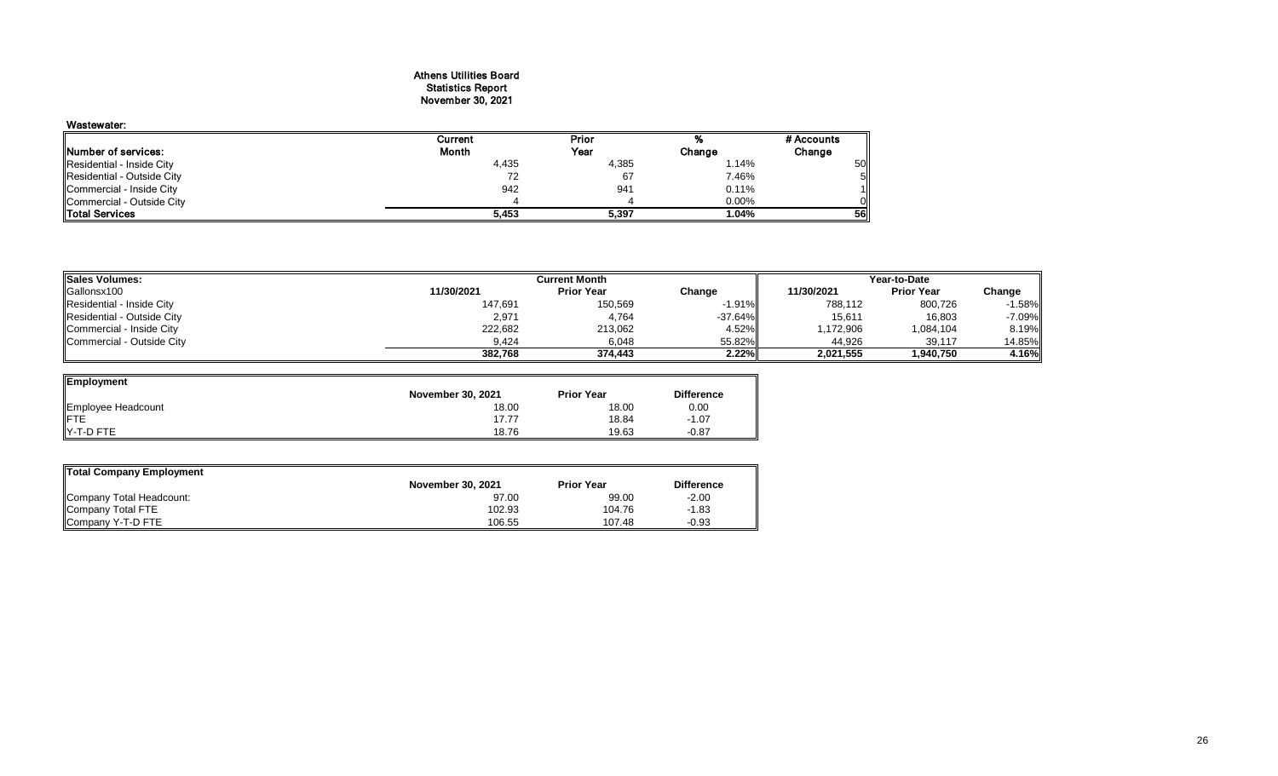#### Athens Utilities Board Statistics Report November 30, 2021

## Wastewater:

| wasiewalei.                 |              |       |        |            |
|-----------------------------|--------------|-------|--------|------------|
|                             | Current      | Prior | %      | # Accounts |
| <b>INumber of services:</b> | <b>Month</b> | Year  | Change | Change     |
| Residential - Inside City   | 4,435        | 4,385 | 1.14%  | 50         |
| Residential - Outside City  |              | 67    | 7.46%  |            |
| Commercial - Inside City    | 942          | 941   | 0.11%  |            |
| Commercial - Outside City   |              |       | 0.00%  |            |
| <b>Total Services</b>       | 5.453        | 5,397 | 1.04%  | <b>561</b> |

| <b>ISales Volumes:</b>     | <b>Current Month</b> | Year-to-Date      |           |            |                   |          |
|----------------------------|----------------------|-------------------|-----------|------------|-------------------|----------|
| Gallonsx100                | 11/30/2021           | <b>Prior Year</b> | Change    | 11/30/2021 | <b>Prior Year</b> | Change   |
| Residential - Inside City  | 147,691              | 150,569           | $-1.91\%$ | 788,112    | 800,726           | $-1.58%$ |
| Residential - Outside City | 2,971                | 4,764             | $-37.64%$ | 15,611     | 16,803            | $-7.09%$ |
| Commercial - Inside City   | 222,682              | 213,062           | 4.52%ll   | 1,172,906  | 1,084,104         | 8.19%    |
| Commercial - Outside City  | 9.424                | 6,048             | 55.82%    | 44,926     | 39,117            | 14.85%   |
|                            | 382,768              | 374,443           | 2.22%     | 2,021,555  | 1,940,750         | 4.16%    |

| Employment         |                          |                   |                   |
|--------------------|--------------------------|-------------------|-------------------|
|                    | <b>November 30, 2021</b> | <b>Prior Year</b> | <b>Difference</b> |
| Employee Headcount | 18.00                    | 18.00             | 0.00              |
| <b>IFTE</b>        | 17.77                    | 18.84             | $-1.07$           |
| IY-T-D FTE         | 18.76                    | 19.63             | $-0.87$           |

| Total Company Employment |                          |                   |                   |  |  |  |  |  |  |  |  |
|--------------------------|--------------------------|-------------------|-------------------|--|--|--|--|--|--|--|--|
|                          | <b>November 30, 2021</b> | <b>Prior Year</b> | <b>Difference</b> |  |  |  |  |  |  |  |  |
| Company Total Headcount: | 97.00                    | 99.00             | $-2.00$           |  |  |  |  |  |  |  |  |
| Company Total FTE        | 102.93                   | 104.76            | $-1.83$           |  |  |  |  |  |  |  |  |
| Company Y-T-D FTE        | 106.55                   | 107.48            | $-0.93$           |  |  |  |  |  |  |  |  |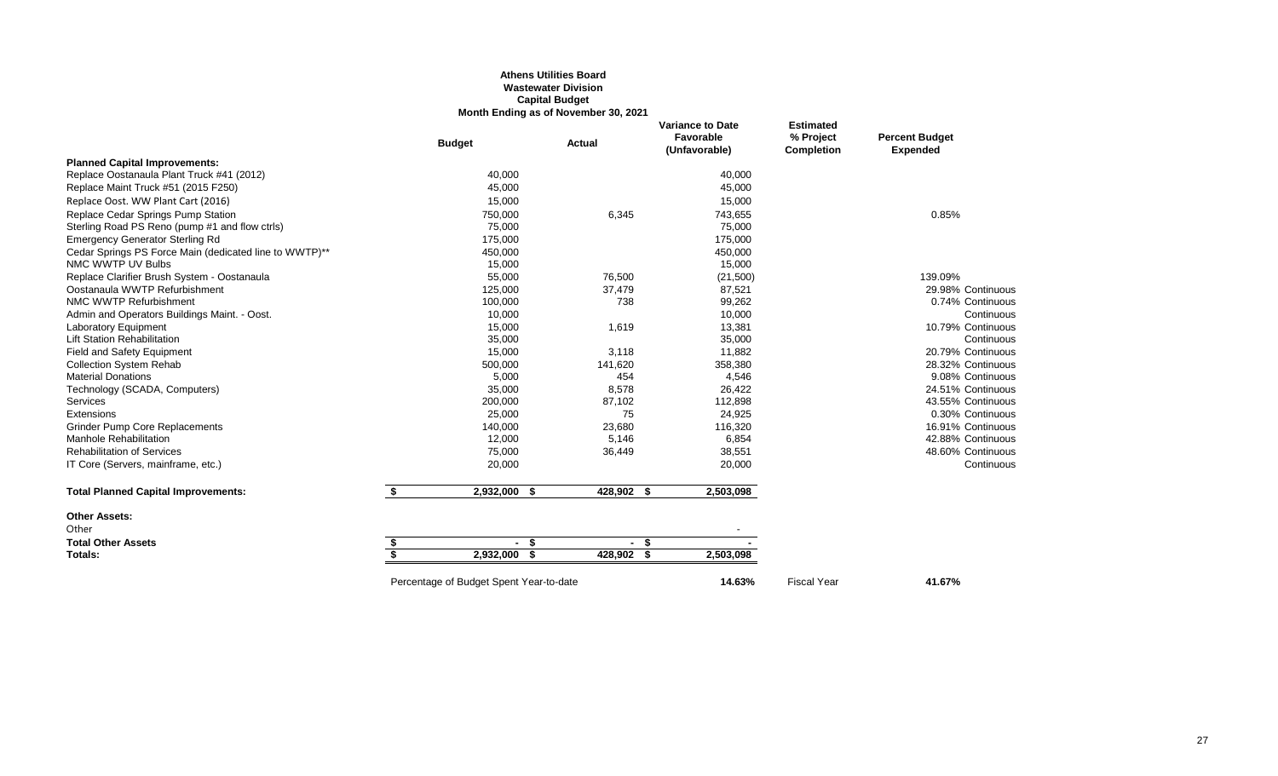#### **Athens Utilities Board Wastewater Division Capital Budget Month Ending as of November 30, 2021**

|                                                        |    | <b>Budget</b>                           | <b>Actual</b> | <b>Variance to Date</b><br>Favorable<br>(Unfavorable) | <b>Estimated</b><br>% Project<br><b>Completion</b> | <b>Percent Budget</b><br><b>Expended</b> |
|--------------------------------------------------------|----|-----------------------------------------|---------------|-------------------------------------------------------|----------------------------------------------------|------------------------------------------|
| <b>Planned Capital Improvements:</b>                   |    |                                         |               |                                                       |                                                    |                                          |
| Replace Oostanaula Plant Truck #41 (2012)              |    | 40,000                                  |               | 40,000                                                |                                                    |                                          |
| Replace Maint Truck #51 (2015 F250)                    |    | 45,000                                  |               | 45,000                                                |                                                    |                                          |
| Replace Oost. WW Plant Cart (2016)                     |    | 15,000                                  |               | 15,000                                                |                                                    |                                          |
| Replace Cedar Springs Pump Station                     |    | 750,000                                 | 6,345         | 743,655                                               |                                                    | 0.85%                                    |
| Sterling Road PS Reno (pump #1 and flow ctrls)         |    | 75,000                                  |               | 75,000                                                |                                                    |                                          |
| <b>Emergency Generator Sterling Rd</b>                 |    | 175,000                                 |               | 175,000                                               |                                                    |                                          |
| Cedar Springs PS Force Main (dedicated line to WWTP)** |    | 450,000                                 |               | 450,000                                               |                                                    |                                          |
| NMC WWTP UV Bulbs                                      |    | 15,000                                  |               | 15,000                                                |                                                    |                                          |
| Replace Clarifier Brush System - Oostanaula            |    | 55,000                                  | 76,500        | (21,500)                                              |                                                    | 139.09%                                  |
| Oostanaula WWTP Refurbishment                          |    | 125,000                                 | 37,479        | 87,521                                                |                                                    | 29.98% Continuous                        |
| NMC WWTP Refurbishment                                 |    | 100,000                                 | 738           | 99,262                                                |                                                    | 0.74% Continuous                         |
| Admin and Operators Buildings Maint. - Oost.           |    | 10,000                                  |               | 10,000                                                |                                                    | Continuous                               |
| Laboratory Equipment                                   |    | 15,000                                  | 1,619         | 13,381                                                |                                                    | 10.79% Continuous                        |
| <b>Lift Station Rehabilitation</b>                     |    | 35,000                                  |               | 35,000                                                |                                                    | Continuous                               |
| <b>Field and Safety Equipment</b>                      |    | 15,000                                  | 3,118         | 11,882                                                |                                                    | 20.79% Continuous                        |
| <b>Collection System Rehab</b>                         |    | 500,000                                 | 141,620       | 358,380                                               |                                                    | 28.32% Continuous                        |
| <b>Material Donations</b>                              |    | 5,000                                   | 454           | 4,546                                                 |                                                    | 9.08% Continuous                         |
| Technology (SCADA, Computers)                          |    | 35,000                                  | 8,578         | 26,422                                                |                                                    | 24.51% Continuous                        |
| Services                                               |    | 200,000                                 | 87,102        | 112,898                                               |                                                    | 43.55% Continuous                        |
| Extensions                                             |    | 25,000                                  | 75            | 24,925                                                |                                                    | 0.30% Continuous                         |
| <b>Grinder Pump Core Replacements</b>                  |    | 140,000                                 | 23,680        | 116,320                                               |                                                    | 16.91% Continuous                        |
| Manhole Rehabilitation                                 |    | 12,000                                  | 5,146         | 6,854                                                 |                                                    | 42.88% Continuous                        |
| <b>Rehabilitation of Services</b>                      |    | 75,000                                  | 36,449        | 38,551                                                |                                                    | 48.60% Continuous                        |
| IT Core (Servers, mainframe, etc.)                     |    | 20,000                                  |               | 20,000                                                |                                                    | Continuous                               |
| <b>Total Planned Capital Improvements:</b>             | \$ | 2,932,000 \$                            | 428,902 \$    | 2,503,098                                             |                                                    |                                          |
| <b>Other Assets:</b>                                   |    |                                         |               |                                                       |                                                    |                                          |
| Other                                                  |    |                                         |               |                                                       |                                                    |                                          |
| <b>Total Other Assets</b>                              | S  | - \$                                    | $-5$          |                                                       |                                                    |                                          |
| Totals:                                                | \$ | 2,932,000<br>\$                         | 428,902 \$    | 2,503,098                                             |                                                    |                                          |
|                                                        |    | Percentage of Budget Spent Year-to-date |               | 14.63%                                                | <b>Fiscal Year</b>                                 | 41.67%                                   |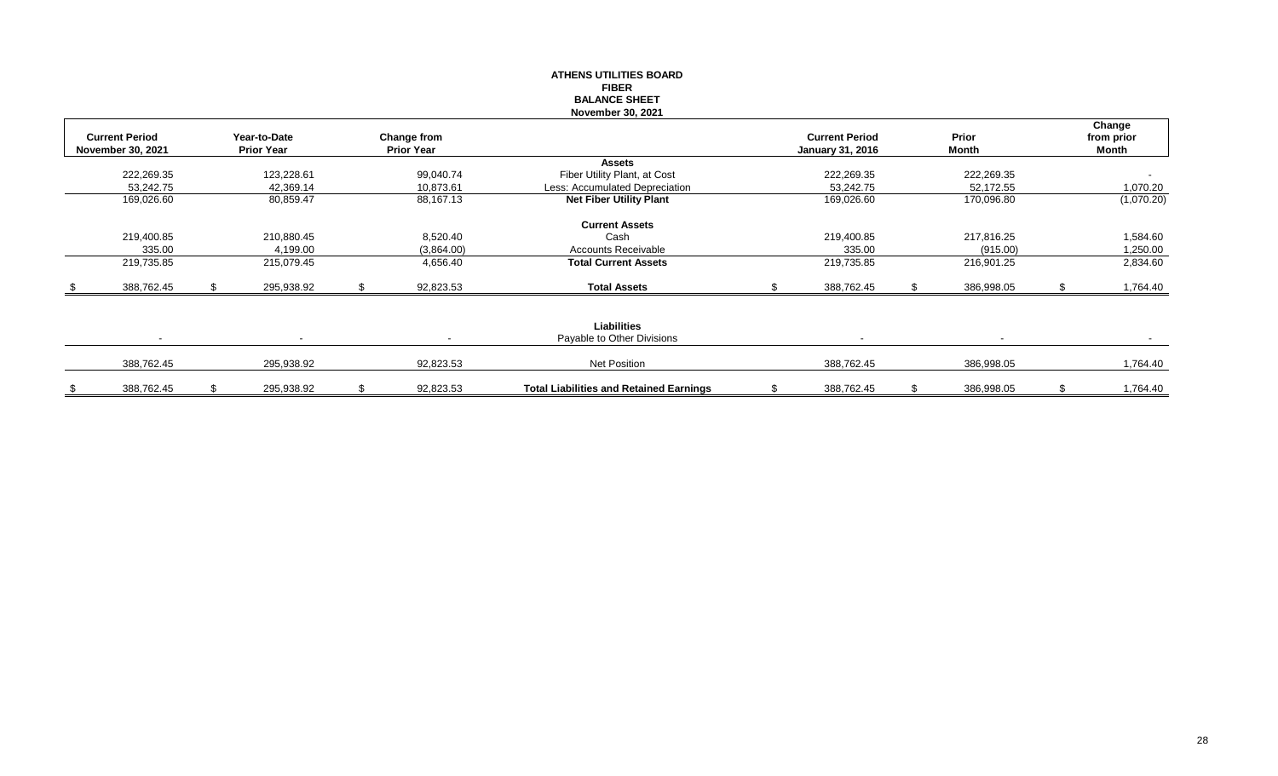|                       |                   |                    | <b>ATHENS UTILITIES BOARD</b>                  |                         |    |                |     |            |
|-----------------------|-------------------|--------------------|------------------------------------------------|-------------------------|----|----------------|-----|------------|
|                       |                   |                    | <b>FIBER</b><br><b>BALANCE SHEET</b>           |                         |    |                |     |            |
|                       |                   |                    | November 30, 2021                              |                         |    |                |     |            |
|                       |                   |                    |                                                |                         |    |                |     | Change     |
| <b>Current Period</b> | Year-to-Date      | <b>Change from</b> |                                                | <b>Current Period</b>   |    | Prior          |     | from prior |
| November 30, 2021     | <b>Prior Year</b> | <b>Prior Year</b>  |                                                | <b>January 31, 2016</b> |    | Month          |     | Month      |
|                       |                   |                    | <b>Assets</b>                                  |                         |    |                |     |            |
| 222,269.35            | 123,228.61        | 99,040.74          | Fiber Utility Plant, at Cost                   | 222,269.35              |    | 222,269.35     |     |            |
| 53,242.75             | 42,369.14         | 10,873.61          | Less: Accumulated Depreciation                 | 53,242.75               |    | 52,172.55      |     | 1,070.20   |
| 169,026.60            | 80,859.47         | 88,167.13          | <b>Net Fiber Utility Plant</b>                 | 169,026.60              |    | 170,096.80     |     | (1,070.20) |
|                       |                   |                    |                                                |                         |    |                |     |            |
|                       |                   |                    | <b>Current Assets</b>                          |                         |    |                |     |            |
| 219,400.85            | 210,880.45        | 8,520.40           | Cash                                           | 219,400.85              |    | 217,816.25     |     | 1,584.60   |
| 335.00                | 4,199.00          | (3,864.00)         | <b>Accounts Receivable</b>                     | 335.00                  |    | (915.00)       |     | 1,250.00   |
| 219,735.85            | 215,079.45        | 4,656.40           | <b>Total Current Assets</b>                    | 219,735.85              |    | 216,901.25     |     | 2,834.60   |
| \$<br>388,762.45      | 295,938.92        | 92,823.53          | <b>Total Assets</b>                            | 388,762.45              | S. | 386,998.05     | \$. | 1,764.40   |
|                       |                   |                    |                                                |                         |    |                |     |            |
|                       |                   |                    | <b>Liabilities</b>                             |                         |    |                |     |            |
| $\sim$                | $\blacksquare$    |                    | Payable to Other Divisions                     | $\blacksquare$          |    | $\blacksquare$ |     |            |
| 388,762.45            | 295,938.92        | 92,823.53          | Net Position                                   | 388,762.45              |    | 386,998.05     |     | 1,764.40   |
| \$<br>388,762.45      | 295,938.92        | \$<br>92,823.53    | <b>Total Liabilities and Retained Earnings</b> | \$<br>388,762.45        | S  | 386,998.05     | \$  | 1,764.40   |
|                       |                   |                    |                                                |                         |    |                |     |            |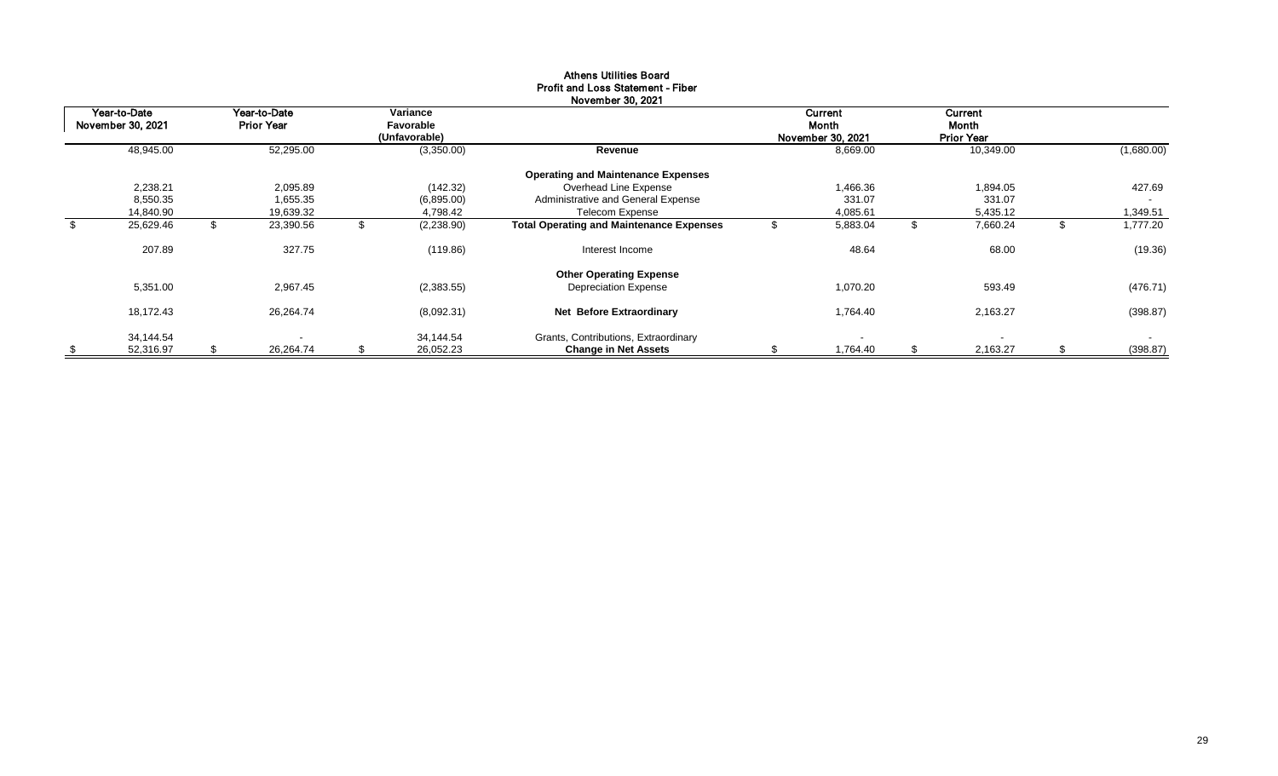|                                   |                                   |                                        | November 30, 2021                                                   |                                       |          |                                       |                          |
|-----------------------------------|-----------------------------------|----------------------------------------|---------------------------------------------------------------------|---------------------------------------|----------|---------------------------------------|--------------------------|
| Year-to-Date<br>November 30, 2021 | Year-to-Date<br><b>Prior Year</b> | Variance<br>Favorable<br>(Unfavorable) |                                                                     | Current<br>Month<br>November 30, 2021 |          | Current<br>Month<br><b>Prior Year</b> |                          |
| 48,945.00                         | 52,295.00                         | (3,350.00)                             | Revenue                                                             |                                       | 8,669.00 | 10,349.00                             | (1,680.00)               |
|                                   |                                   |                                        | <b>Operating and Maintenance Expenses</b>                           |                                       |          |                                       |                          |
| 2,238.21                          | 2,095.89                          | (142.32)                               | Overhead Line Expense                                               |                                       | 1,466.36 | 1,894.05                              | 427.69                   |
| 8,550.35                          | 655.35. ا                         | (6,895.00)                             | Administrative and General Expense                                  |                                       | 331.07   | 331.07                                | $\sim$                   |
| 14,840.90                         | 19,639.32                         | 4,798.42                               | <b>Telecom Expense</b>                                              |                                       | 4,085.61 | 5,435.12                              | 1,349.51                 |
| \$<br>25,629.46                   | \$<br>23,390.56                   | \$<br>(2, 238.90)                      | <b>Total Operating and Maintenance Expenses</b>                     |                                       | 5,883.04 | \$<br>7,660.24                        | \$<br>1,777.20           |
| 207.89                            | 327.75                            | (119.86)                               | Interest Income                                                     |                                       | 48.64    | 68.00                                 | (19.36)                  |
|                                   |                                   |                                        | <b>Other Operating Expense</b>                                      |                                       |          |                                       |                          |
| 5,351.00                          | 2,967.45                          | (2,383.55)                             | <b>Depreciation Expense</b>                                         |                                       | 1,070.20 | 593.49                                | (476.71)                 |
| 18,172.43                         | 26,264.74                         | (8,092.31)                             | <b>Net Before Extraordinary</b>                                     |                                       | 1,764.40 | 2,163.27                              | (398.87)                 |
| \$<br>34,144.54<br>52,316.97      | \$<br>26,264.74                   | \$<br>34,144.54<br>26,052.23           | Grants, Contributions, Extraordinary<br><b>Change in Net Assets</b> | S                                     | 1,764.40 | \$<br>$\blacksquare$<br>2,163.27      | \$<br>$\sim$<br>(398.87) |

# Athens Utilities Board Profit and Loss Statement - Fiber